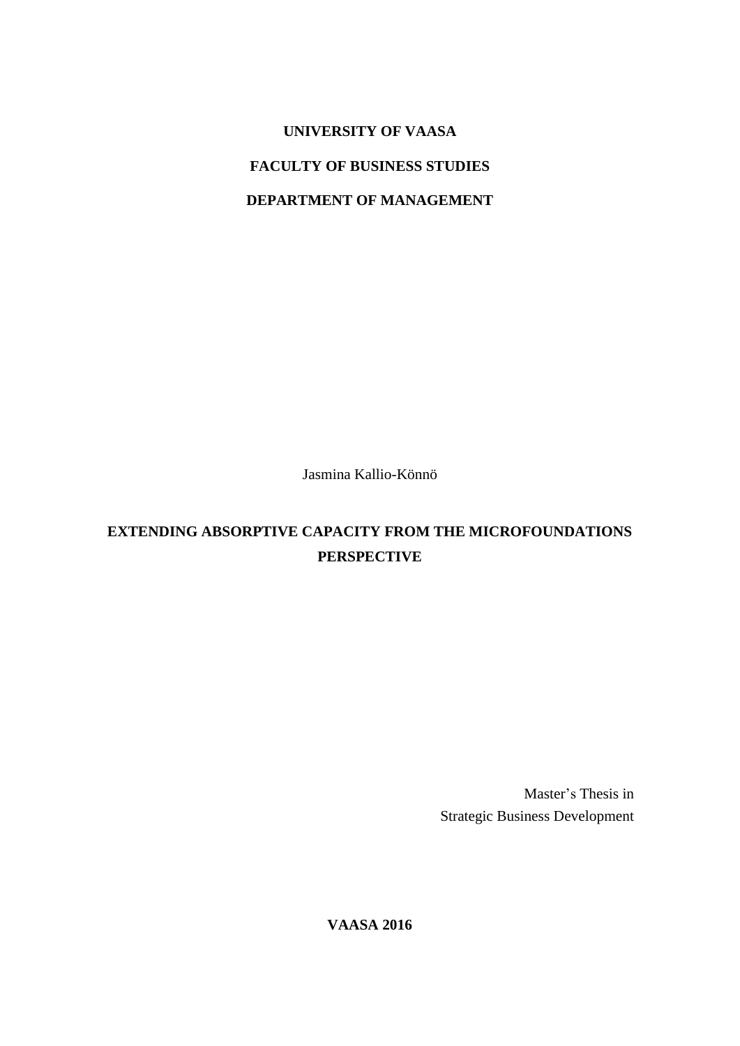# **UNIVERSITY OF VAASA**

## **FACULTY OF BUSINESS STUDIES**

### **DEPARTMENT OF MANAGEMENT**

Jasmina Kallio-Könnö

## **EXTENDING ABSORPTIVE CAPACITY FROM THE MICROFOUNDATIONS PERSPECTIVE**

Master's Thesis in Strategic Business Development

**VAASA 2016**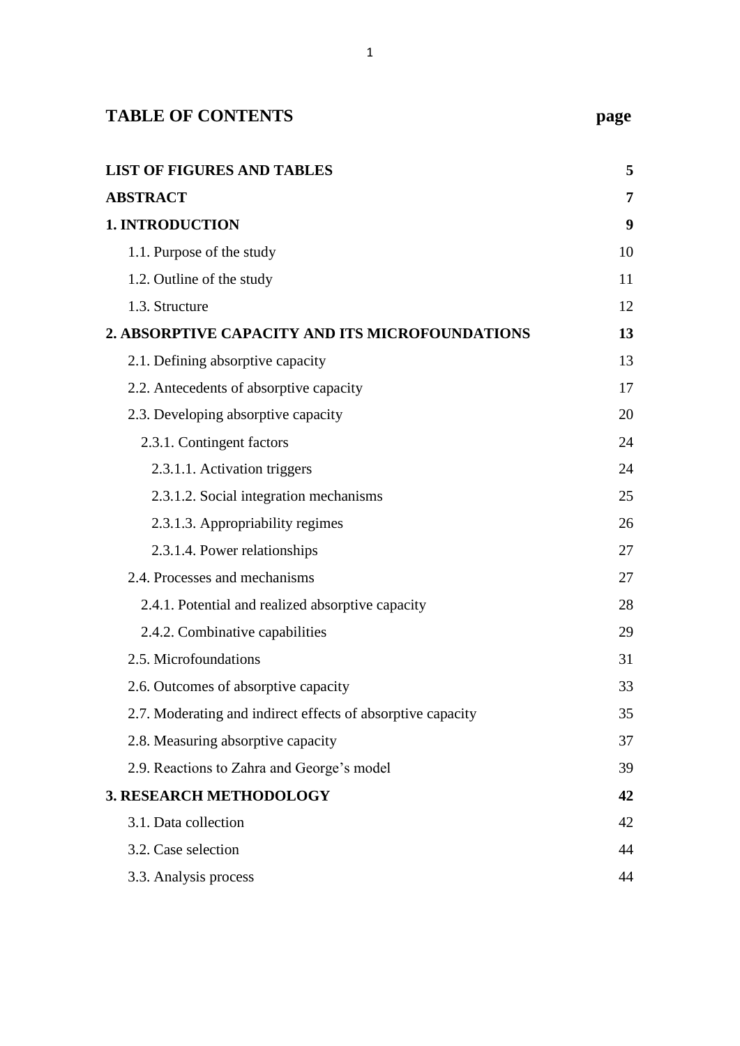| <b>TABLE OF CONTENTS</b>                                    | page |
|-------------------------------------------------------------|------|
|                                                             |      |
| <b>LIST OF FIGURES AND TABLES</b>                           | 5    |
| <b>ABSTRACT</b>                                             | 7    |
| <b>1. INTRODUCTION</b>                                      | 9    |
| 1.1. Purpose of the study                                   | 10   |
| 1.2. Outline of the study                                   | 11   |
| 1.3. Structure                                              | 12   |
| 2. ABSORPTIVE CAPACITY AND ITS MICROFOUNDATIONS             | 13   |
| 2.1. Defining absorptive capacity                           | 13   |
| 2.2. Antecedents of absorptive capacity                     | 17   |
| 2.3. Developing absorptive capacity                         | 20   |
| 2.3.1. Contingent factors                                   | 24   |
| 2.3.1.1. Activation triggers                                | 24   |
| 2.3.1.2. Social integration mechanisms                      | 25   |
| 2.3.1.3. Appropriability regimes                            | 26   |
| 2.3.1.4. Power relationships                                | 27   |
| 2.4. Processes and mechanisms                               | 27   |
| 2.4.1. Potential and realized absorptive capacity           | 28   |
| 2.4.2. Combinative capabilities<br>29                       |      |
| 2.5. Microfoundations                                       | 31   |
| 2.6. Outcomes of absorptive capacity                        | 33   |
| 2.7. Moderating and indirect effects of absorptive capacity | 35   |
| 2.8. Measuring absorptive capacity                          | 37   |
| 2.9. Reactions to Zahra and George's model                  | 39   |
| 3. RESEARCH METHODOLOGY                                     |      |
| 3.1. Data collection                                        | 42   |
| 3.2. Case selection                                         | 44   |
| 3.3. Analysis process                                       | 44   |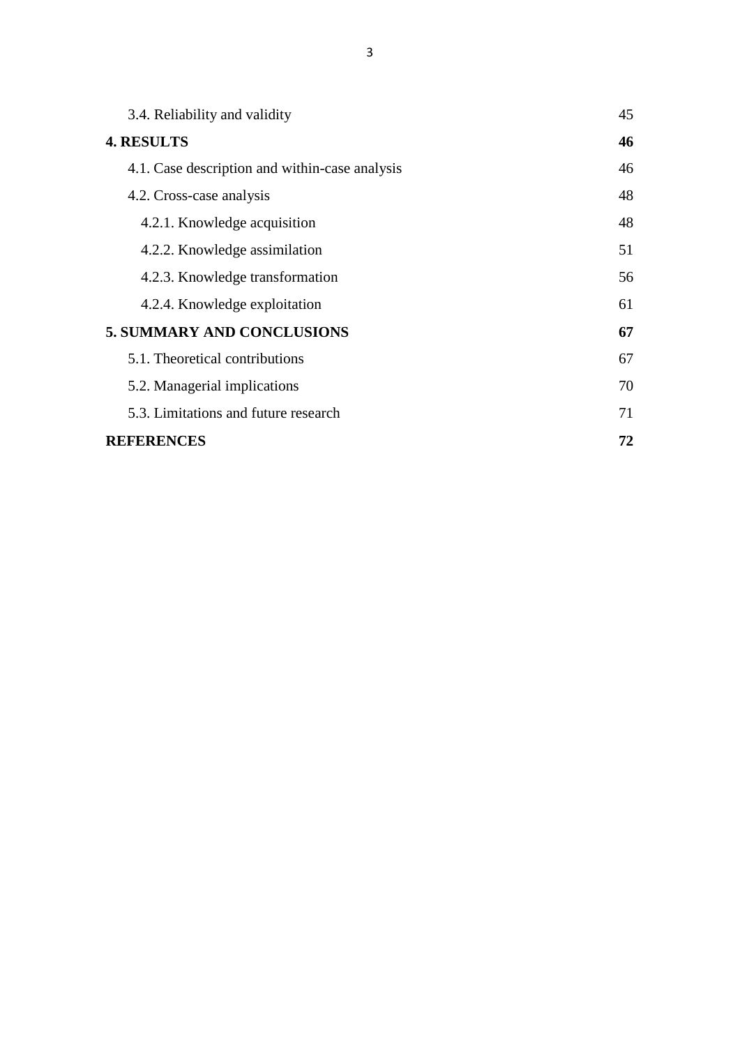| 3.4. Reliability and validity                  | 45 |
|------------------------------------------------|----|
| <b>4. RESULTS</b>                              | 46 |
| 4.1. Case description and within-case analysis | 46 |
| 4.2. Cross-case analysis                       | 48 |
| 4.2.1. Knowledge acquisition                   | 48 |
| 4.2.2. Knowledge assimilation                  | 51 |
| 4.2.3. Knowledge transformation                | 56 |
| 4.2.4. Knowledge exploitation                  | 61 |
| <b>5. SUMMARY AND CONCLUSIONS</b>              |    |
| 5.1. Theoretical contributions                 | 67 |
| 5.2. Managerial implications                   | 70 |
| 5.3. Limitations and future research           | 71 |
| <b>REFERENCES</b>                              | 72 |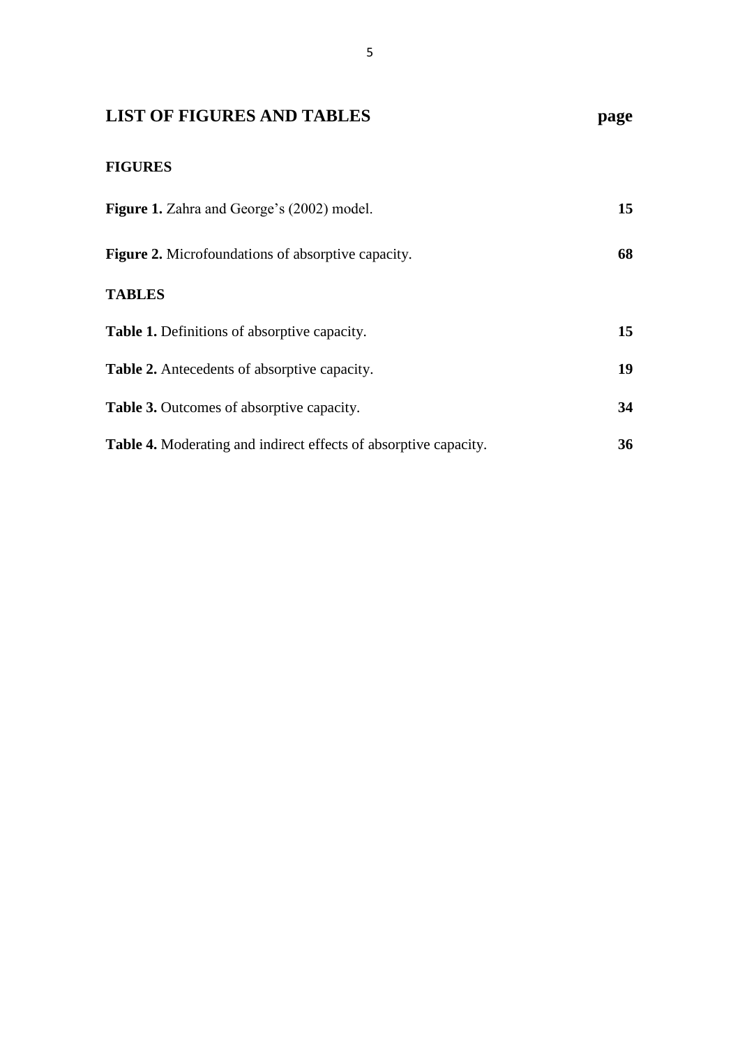## <span id="page-6-0"></span>**LIST OF FIGURES AND TABLES page**

## **FIGURES**

| Figure 1. Zahra and George's (2002) model.                              | 15 |
|-------------------------------------------------------------------------|----|
| <b>Figure 2.</b> Microfoundations of absorptive capacity.               | 68 |
| <b>TABLES</b>                                                           |    |
| <b>Table 1.</b> Definitions of absorptive capacity.                     | 15 |
| <b>Table 2.</b> Antecedents of absorptive capacity.                     | 19 |
| <b>Table 3.</b> Outcomes of absorptive capacity.                        | 34 |
| <b>Table 4.</b> Moderating and indirect effects of absorptive capacity. | 36 |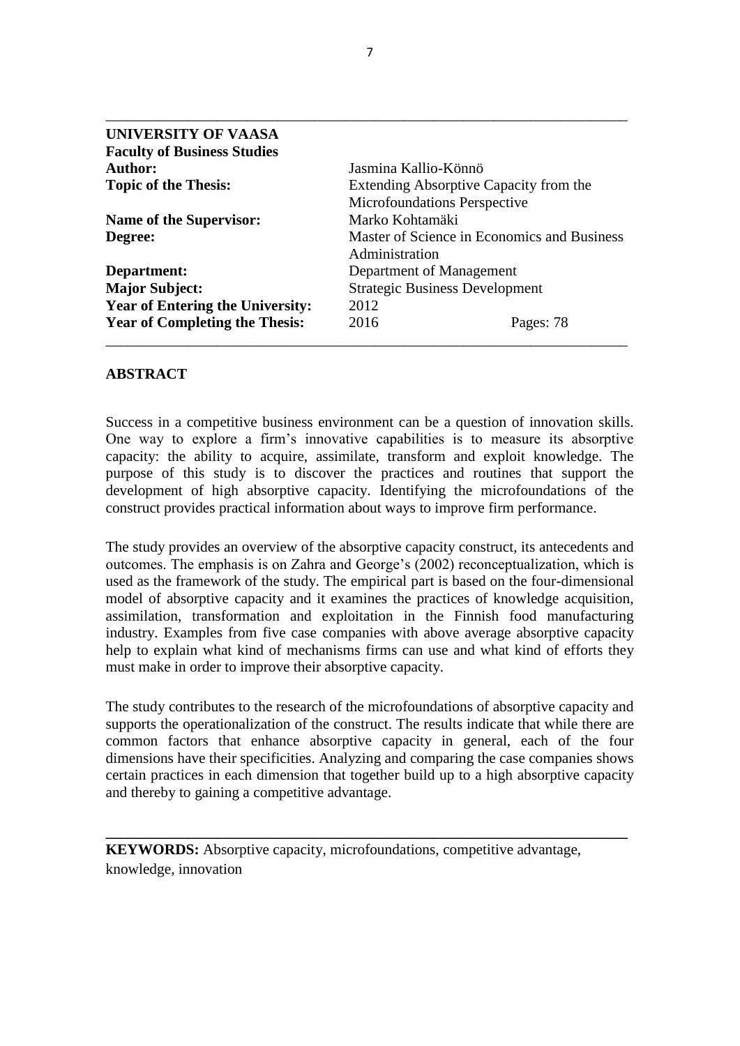| UNIVERSITY OF VAASA                     |                                             |                                        |
|-----------------------------------------|---------------------------------------------|----------------------------------------|
| <b>Faculty of Business Studies</b>      |                                             |                                        |
| <b>Author:</b>                          | Jasmina Kallio-Könnö                        |                                        |
| <b>Topic of the Thesis:</b>             |                                             | Extending Absorptive Capacity from the |
|                                         | Microfoundations Perspective                |                                        |
| <b>Name of the Supervisor:</b>          | Marko Kohtamäki                             |                                        |
| Degree:                                 | Master of Science in Economics and Business |                                        |
|                                         | Administration                              |                                        |
| Department:                             | Department of Management                    |                                        |
| <b>Major Subject:</b>                   | <b>Strategic Business Development</b>       |                                        |
| <b>Year of Entering the University:</b> | 2012                                        |                                        |
| <b>Year of Completing the Thesis:</b>   | 2016                                        | Pages: 78                              |
|                                         |                                             |                                        |

#### <span id="page-8-0"></span>**ABSTRACT**

Success in a competitive business environment can be a question of innovation skills. One way to explore a firm's innovative capabilities is to measure its absorptive capacity: the ability to acquire, assimilate, transform and exploit knowledge. The purpose of this study is to discover the practices and routines that support the development of high absorptive capacity. Identifying the microfoundations of the construct provides practical information about ways to improve firm performance.

The study provides an overview of the absorptive capacity construct, its antecedents and outcomes. The emphasis is on Zahra and George's (2002) reconceptualization, which is used as the framework of the study. The empirical part is based on the four-dimensional model of absorptive capacity and it examines the practices of knowledge acquisition, assimilation, transformation and exploitation in the Finnish food manufacturing industry. Examples from five case companies with above average absorptive capacity help to explain what kind of mechanisms firms can use and what kind of efforts they must make in order to improve their absorptive capacity.

The study contributes to the research of the microfoundations of absorptive capacity and supports the operationalization of the construct. The results indicate that while there are common factors that enhance absorptive capacity in general, each of the four dimensions have their specificities. Analyzing and comparing the case companies shows certain practices in each dimension that together build up to a high absorptive capacity and thereby to gaining a competitive advantage.

**\_\_\_\_\_\_\_\_\_\_\_\_\_\_\_\_\_\_\_\_\_\_\_\_\_\_\_\_\_\_\_\_\_\_\_\_\_\_\_\_\_\_\_\_\_\_\_\_\_\_\_\_\_\_\_\_\_\_\_\_\_\_\_\_\_\_\_\_\_\_**

**KEYWORDS:** Absorptive capacity, microfoundations, competitive advantage, knowledge, innovation

\_\_\_\_\_\_\_\_\_\_\_\_\_\_\_\_\_\_\_\_\_\_\_\_\_\_\_\_\_\_\_\_\_\_\_\_\_\_\_\_\_\_\_\_\_\_\_\_\_\_\_\_\_\_\_\_\_\_\_\_\_\_\_\_\_\_\_\_\_\_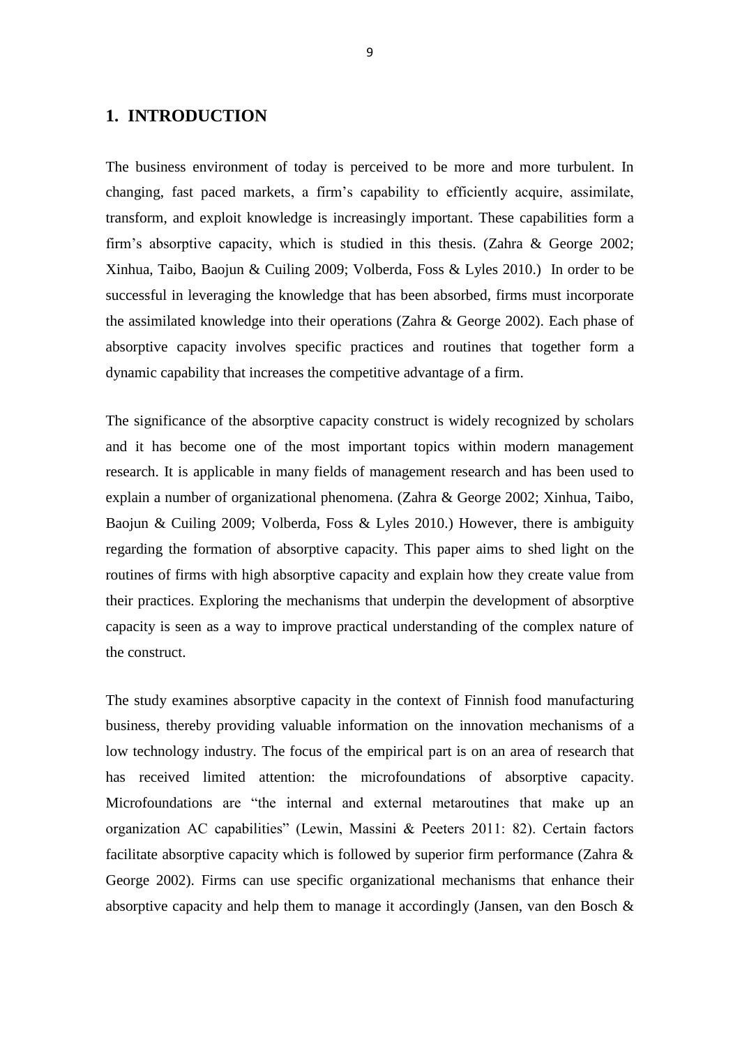### <span id="page-10-0"></span>**1. INTRODUCTION**

The business environment of today is perceived to be more and more turbulent. In changing, fast paced markets, a firm's capability to efficiently acquire, assimilate, transform, and exploit knowledge is increasingly important. These capabilities form a firm's absorptive capacity, which is studied in this thesis. (Zahra & George 2002; Xinhua, Taibo, Baojun & Cuiling 2009; Volberda, Foss & Lyles 2010.) In order to be successful in leveraging the knowledge that has been absorbed, firms must incorporate the assimilated knowledge into their operations (Zahra & George 2002). Each phase of absorptive capacity involves specific practices and routines that together form a dynamic capability that increases the competitive advantage of a firm.

The significance of the absorptive capacity construct is widely recognized by scholars and it has become one of the most important topics within modern management research. It is applicable in many fields of management research and has been used to explain a number of organizational phenomena. (Zahra & George 2002; Xinhua, Taibo, Baojun & Cuiling 2009; Volberda, Foss & Lyles 2010.) However, there is ambiguity regarding the formation of absorptive capacity. This paper aims to shed light on the routines of firms with high absorptive capacity and explain how they create value from their practices. Exploring the mechanisms that underpin the development of absorptive capacity is seen as a way to improve practical understanding of the complex nature of the construct.

The study examines absorptive capacity in the context of Finnish food manufacturing business, thereby providing valuable information on the innovation mechanisms of a low technology industry. The focus of the empirical part is on an area of research that has received limited attention: the microfoundations of absorptive capacity. Microfoundations are "the internal and external metaroutines that make up an organization AC capabilities" (Lewin, Massini & Peeters 2011: 82). Certain factors facilitate absorptive capacity which is followed by superior firm performance (Zahra & George 2002). Firms can use specific organizational mechanisms that enhance their absorptive capacity and help them to manage it accordingly (Jansen, van den Bosch  $\&$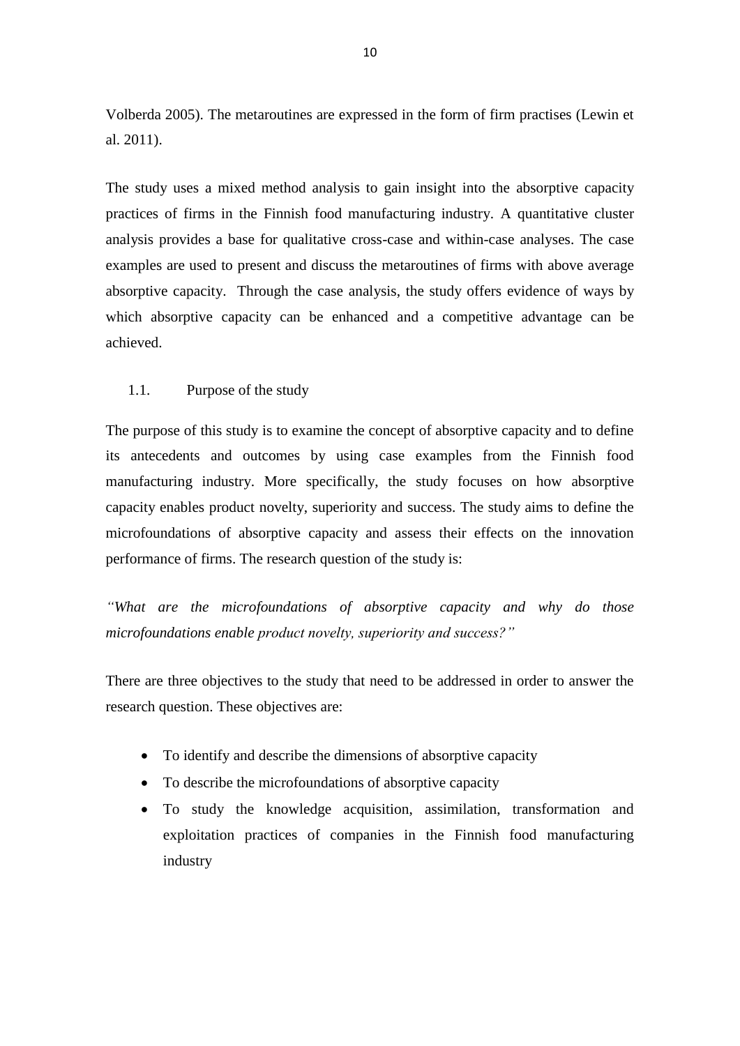Volberda 2005). The metaroutines are expressed in the form of firm practises (Lewin et al. 2011).

The study uses a mixed method analysis to gain insight into the absorptive capacity practices of firms in the Finnish food manufacturing industry. A quantitative cluster analysis provides a base for qualitative cross-case and within-case analyses. The case examples are used to present and discuss the metaroutines of firms with above average absorptive capacity. Through the case analysis, the study offers evidence of ways by which absorptive capacity can be enhanced and a competitive advantage can be achieved.

#### <span id="page-11-0"></span>1.1. Purpose of the study

The purpose of this study is to examine the concept of absorptive capacity and to define its antecedents and outcomes by using case examples from the Finnish food manufacturing industry. More specifically, the study focuses on how absorptive capacity enables product novelty, superiority and success. The study aims to define the microfoundations of absorptive capacity and assess their effects on the innovation performance of firms. The research question of the study is:

*"What are the microfoundations of absorptive capacity and why do those microfoundations enable product novelty, superiority and success?"*

There are three objectives to the study that need to be addressed in order to answer the research question. These objectives are:

- To identify and describe the dimensions of absorptive capacity
- To describe the microfoundations of absorptive capacity
- To study the knowledge acquisition, assimilation, transformation and exploitation practices of companies in the Finnish food manufacturing industry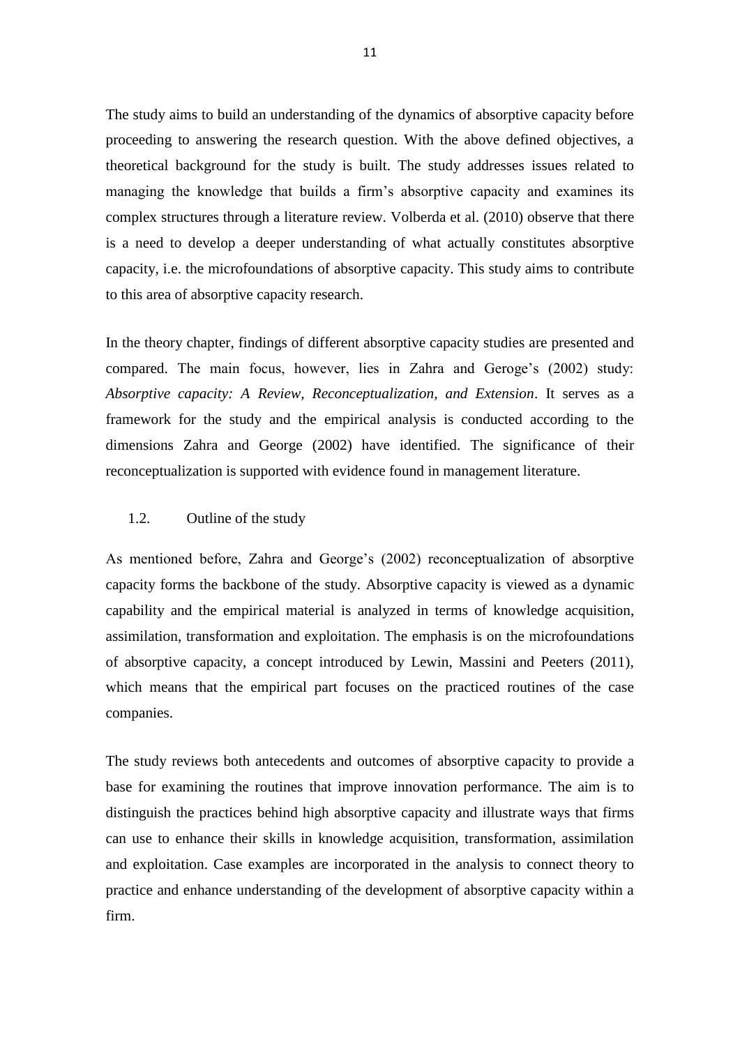The study aims to build an understanding of the dynamics of absorptive capacity before proceeding to answering the research question. With the above defined objectives, a theoretical background for the study is built. The study addresses issues related to managing the knowledge that builds a firm's absorptive capacity and examines its complex structures through a literature review. Volberda et al. (2010) observe that there is a need to develop a deeper understanding of what actually constitutes absorptive capacity, i.e. the microfoundations of absorptive capacity. This study aims to contribute to this area of absorptive capacity research.

In the theory chapter, findings of different absorptive capacity studies are presented and compared. The main focus, however, lies in Zahra and Geroge's (2002) study: *Absorptive capacity: A Review, Reconceptualization, and Extension*. It serves as a framework for the study and the empirical analysis is conducted according to the dimensions Zahra and George (2002) have identified. The significance of their reconceptualization is supported with evidence found in management literature.

#### <span id="page-12-0"></span>1.2. Outline of the study

As mentioned before, Zahra and George's (2002) reconceptualization of absorptive capacity forms the backbone of the study. Absorptive capacity is viewed as a dynamic capability and the empirical material is analyzed in terms of knowledge acquisition, assimilation, transformation and exploitation. The emphasis is on the microfoundations of absorptive capacity, a concept introduced by Lewin, Massini and Peeters (2011), which means that the empirical part focuses on the practiced routines of the case companies.

The study reviews both antecedents and outcomes of absorptive capacity to provide a base for examining the routines that improve innovation performance. The aim is to distinguish the practices behind high absorptive capacity and illustrate ways that firms can use to enhance their skills in knowledge acquisition, transformation, assimilation and exploitation. Case examples are incorporated in the analysis to connect theory to practice and enhance understanding of the development of absorptive capacity within a firm.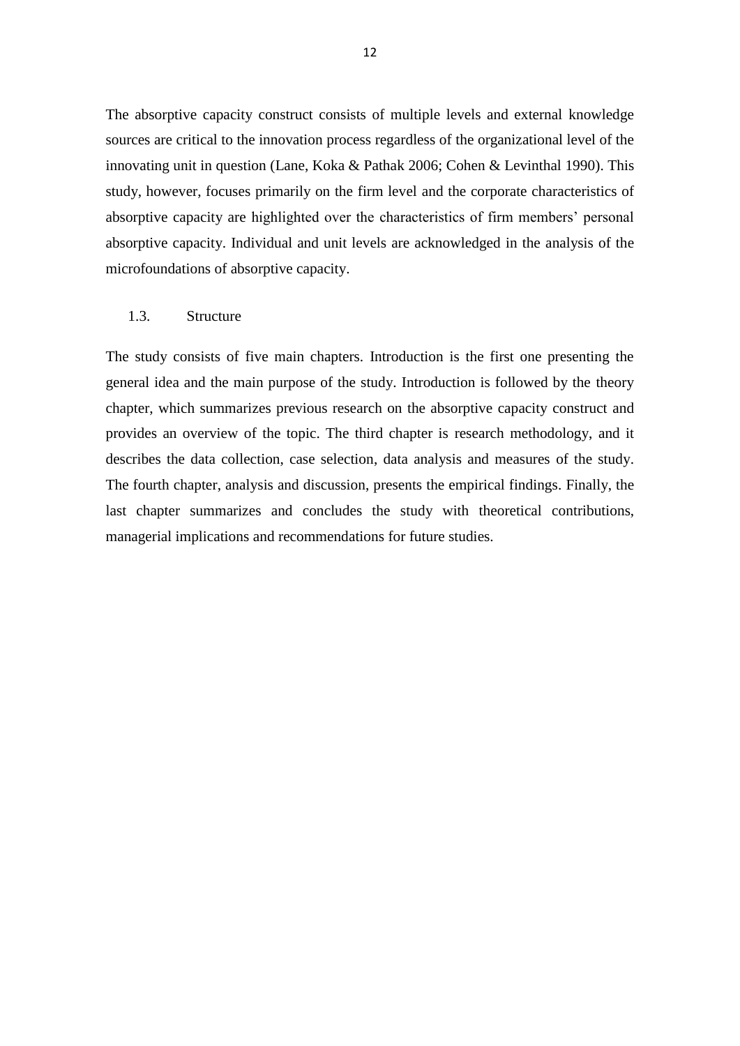The absorptive capacity construct consists of multiple levels and external knowledge sources are critical to the innovation process regardless of the organizational level of the innovating unit in question (Lane, Koka & Pathak 2006; Cohen & Levinthal 1990). This study, however, focuses primarily on the firm level and the corporate characteristics of absorptive capacity are highlighted over the characteristics of firm members' personal absorptive capacity. Individual and unit levels are acknowledged in the analysis of the microfoundations of absorptive capacity.

#### <span id="page-13-0"></span>1.3. Structure

The study consists of five main chapters. Introduction is the first one presenting the general idea and the main purpose of the study. Introduction is followed by the theory chapter, which summarizes previous research on the absorptive capacity construct and provides an overview of the topic. The third chapter is research methodology, and it describes the data collection, case selection, data analysis and measures of the study. The fourth chapter, analysis and discussion, presents the empirical findings. Finally, the last chapter summarizes and concludes the study with theoretical contributions, managerial implications and recommendations for future studies.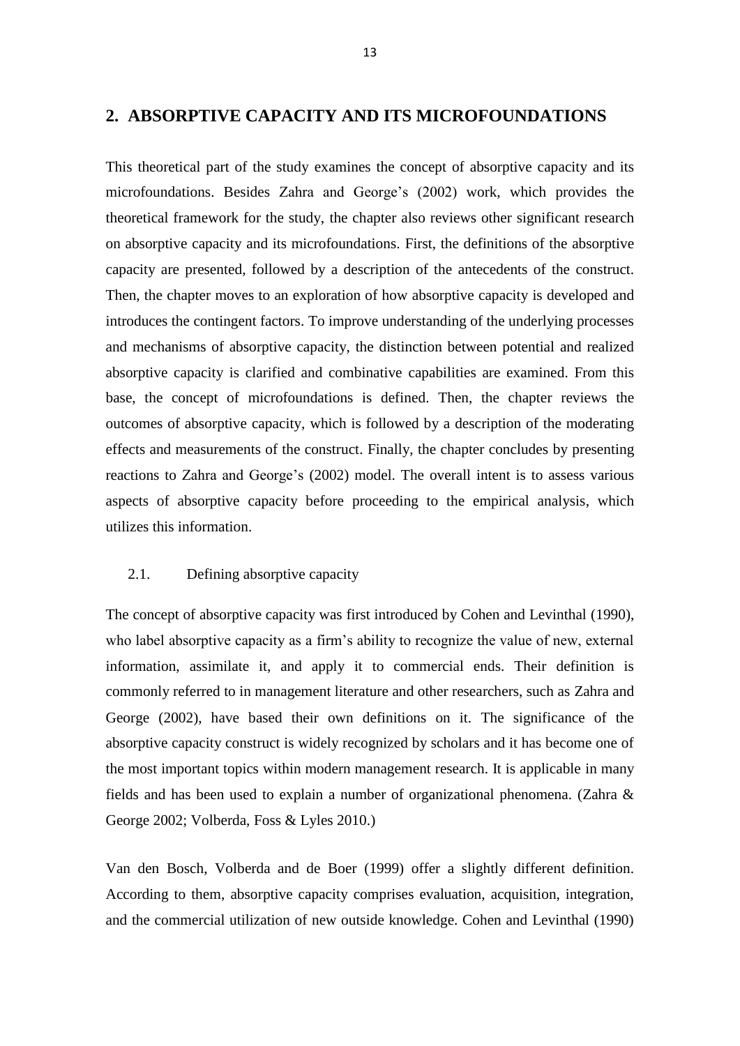#### <span id="page-14-0"></span>**2. ABSORPTIVE CAPACITY AND ITS MICROFOUNDATIONS**

This theoretical part of the study examines the concept of absorptive capacity and its microfoundations. Besides Zahra and George's (2002) work, which provides the theoretical framework for the study, the chapter also reviews other significant research on absorptive capacity and its microfoundations. First, the definitions of the absorptive capacity are presented, followed by a description of the antecedents of the construct. Then, the chapter moves to an exploration of how absorptive capacity is developed and introduces the contingent factors. To improve understanding of the underlying processes and mechanisms of absorptive capacity, the distinction between potential and realized absorptive capacity is clarified and combinative capabilities are examined. From this base, the concept of microfoundations is defined. Then, the chapter reviews the outcomes of absorptive capacity, which is followed by a description of the moderating effects and measurements of the construct. Finally, the chapter concludes by presenting reactions to Zahra and George's (2002) model. The overall intent is to assess various aspects of absorptive capacity before proceeding to the empirical analysis, which utilizes this information.

#### <span id="page-14-1"></span>2.1. Defining absorptive capacity

The concept of absorptive capacity was first introduced by Cohen and Levinthal (1990), who label absorptive capacity as a firm's ability to recognize the value of new, external information, assimilate it, and apply it to commercial ends. Their definition is commonly referred to in management literature and other researchers, such as Zahra and George (2002), have based their own definitions on it. The significance of the absorptive capacity construct is widely recognized by scholars and it has become one of the most important topics within modern management research. It is applicable in many fields and has been used to explain a number of organizational phenomena. (Zahra & George 2002; Volberda, Foss & Lyles 2010.)

Van den Bosch, Volberda and de Boer (1999) offer a slightly different definition. According to them, absorptive capacity comprises evaluation, acquisition, integration, and the commercial utilization of new outside knowledge. Cohen and Levinthal (1990)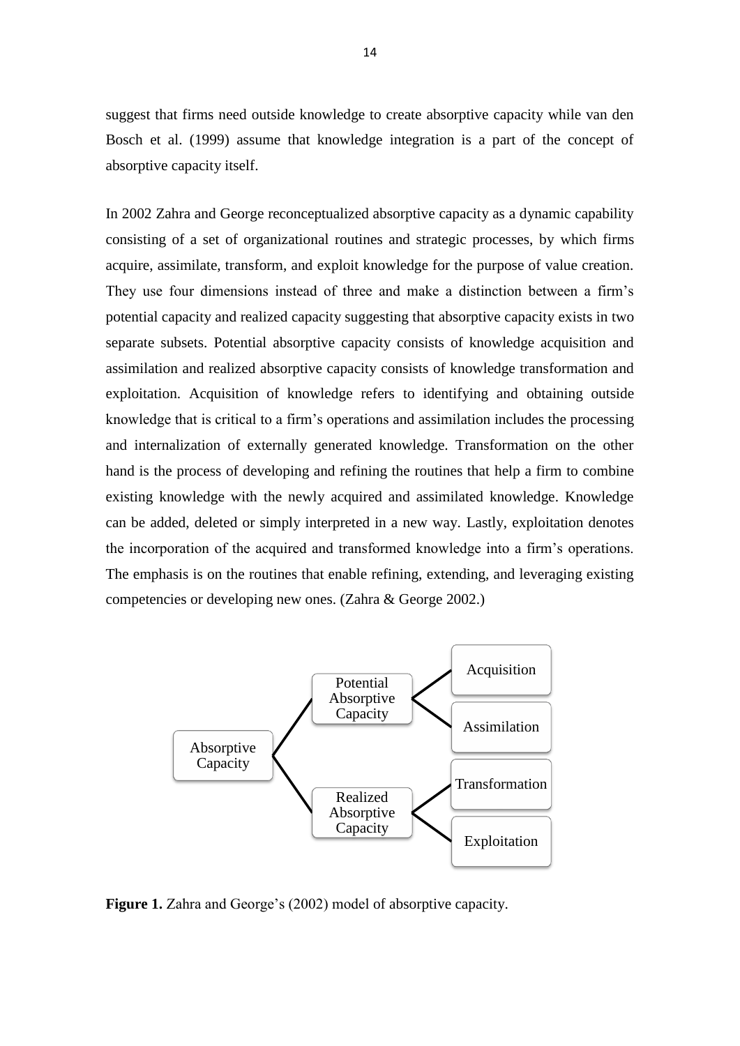suggest that firms need outside knowledge to create absorptive capacity while van den Bosch et al. (1999) assume that knowledge integration is a part of the concept of absorptive capacity itself.

In 2002 Zahra and George reconceptualized absorptive capacity as a dynamic capability consisting of a set of organizational routines and strategic processes, by which firms acquire, assimilate, transform, and exploit knowledge for the purpose of value creation. They use four dimensions instead of three and make a distinction between a firm's potential capacity and realized capacity suggesting that absorptive capacity exists in two separate subsets. Potential absorptive capacity consists of knowledge acquisition and assimilation and realized absorptive capacity consists of knowledge transformation and exploitation. Acquisition of knowledge refers to identifying and obtaining outside knowledge that is critical to a firm's operations and assimilation includes the processing and internalization of externally generated knowledge. Transformation on the other hand is the process of developing and refining the routines that help a firm to combine existing knowledge with the newly acquired and assimilated knowledge. Knowledge can be added, deleted or simply interpreted in a new way. Lastly, exploitation denotes the incorporation of the acquired and transformed knowledge into a firm's operations. The emphasis is on the routines that enable refining, extending, and leveraging existing competencies or developing new ones. (Zahra & George 2002.)



Figure 1. Zahra and George's (2002) model of absorptive capacity.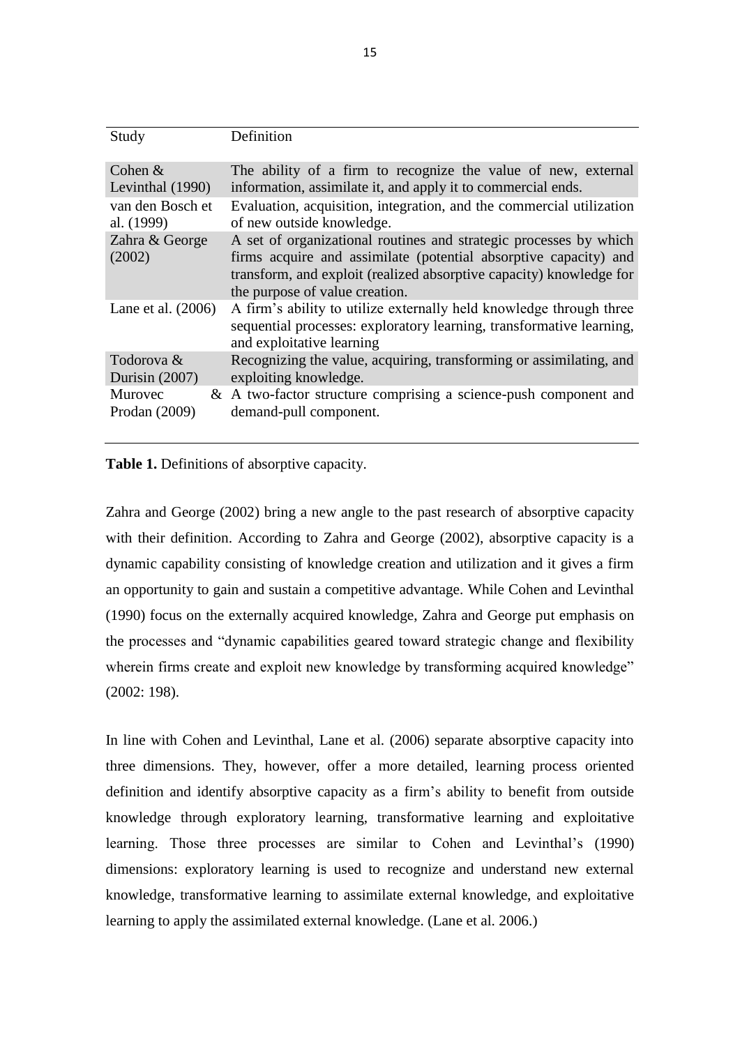| Study                    | Definition                                                                                                                                                                                                                                     |
|--------------------------|------------------------------------------------------------------------------------------------------------------------------------------------------------------------------------------------------------------------------------------------|
| Cohen $&$                | The ability of a firm to recognize the value of new, external                                                                                                                                                                                  |
| Levinthal (1990)         | information, assimilate it, and apply it to commercial ends.                                                                                                                                                                                   |
| van den Bosch et         | Evaluation, acquisition, integration, and the commercial utilization                                                                                                                                                                           |
| al. (1999)               | of new outside knowledge.                                                                                                                                                                                                                      |
| Zahra & George<br>(2002) | A set of organizational routines and strategic processes by which<br>firms acquire and assimilate (potential absorptive capacity) and<br>transform, and exploit (realized absorptive capacity) knowledge for<br>the purpose of value creation. |
| Lane et al. $(2006)$     | A firm's ability to utilize externally held knowledge through three<br>sequential processes: exploratory learning, transformative learning,<br>and exploitative learning                                                                       |
| Todorova &               | Recognizing the value, acquiring, transforming or assimilating, and                                                                                                                                                                            |
| Durisin $(2007)$         | exploiting knowledge.                                                                                                                                                                                                                          |
| Murovec                  | $\&$ A two-factor structure comprising a science-push component and                                                                                                                                                                            |
| Prodan (2009)            | demand-pull component.                                                                                                                                                                                                                         |

**Table 1.** Definitions of absorptive capacity.

Zahra and George (2002) bring a new angle to the past research of absorptive capacity with their definition. According to Zahra and George (2002), absorptive capacity is a dynamic capability consisting of knowledge creation and utilization and it gives a firm an opportunity to gain and sustain a competitive advantage. While Cohen and Levinthal (1990) focus on the externally acquired knowledge, Zahra and George put emphasis on the processes and "dynamic capabilities geared toward strategic change and flexibility wherein firms create and exploit new knowledge by transforming acquired knowledge" (2002: 198).

In line with Cohen and Levinthal, Lane et al. (2006) separate absorptive capacity into three dimensions. They, however, offer a more detailed, learning process oriented definition and identify absorptive capacity as a firm's ability to benefit from outside knowledge through exploratory learning, transformative learning and exploitative learning. Those three processes are similar to Cohen and Levinthal's (1990) dimensions: exploratory learning is used to recognize and understand new external knowledge, transformative learning to assimilate external knowledge, and exploitative learning to apply the assimilated external knowledge. (Lane et al. 2006.)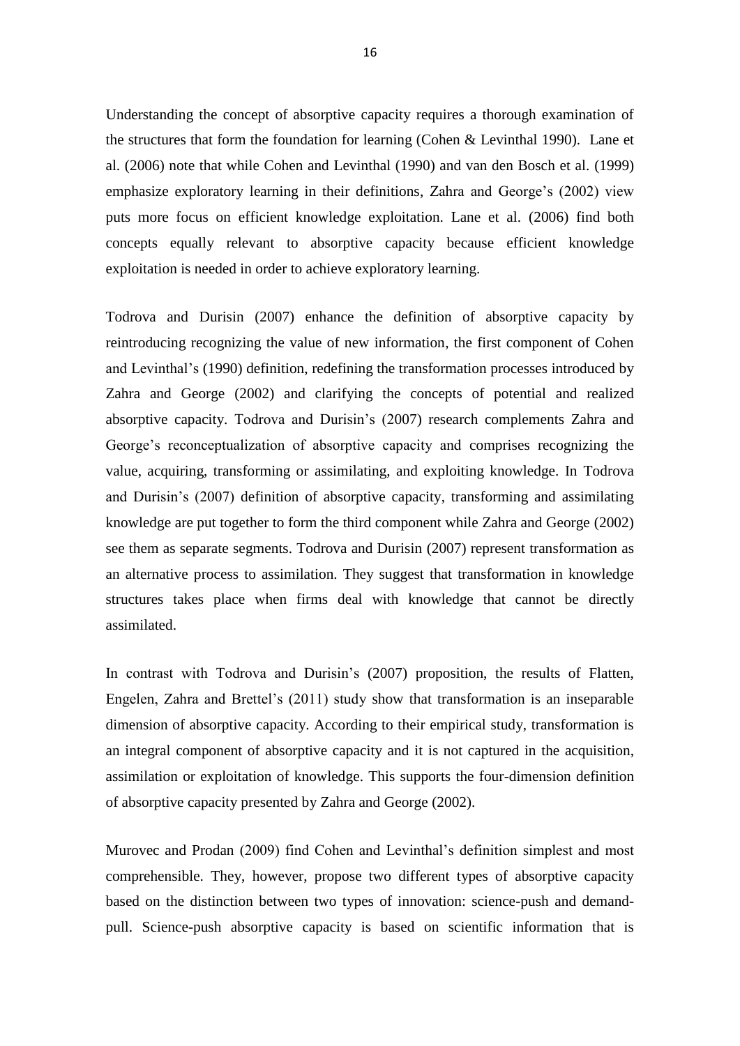Understanding the concept of absorptive capacity requires a thorough examination of the structures that form the foundation for learning (Cohen  $&$  Levinthal 1990). Lane et al. (2006) note that while Cohen and Levinthal (1990) and van den Bosch et al. (1999) emphasize exploratory learning in their definitions, Zahra and George's (2002) view puts more focus on efficient knowledge exploitation. Lane et al. (2006) find both concepts equally relevant to absorptive capacity because efficient knowledge exploitation is needed in order to achieve exploratory learning.

Todrova and Durisin (2007) enhance the definition of absorptive capacity by reintroducing recognizing the value of new information, the first component of Cohen and Levinthal's (1990) definition, redefining the transformation processes introduced by Zahra and George (2002) and clarifying the concepts of potential and realized absorptive capacity. Todrova and Durisin's (2007) research complements Zahra and George's reconceptualization of absorptive capacity and comprises recognizing the value, acquiring, transforming or assimilating, and exploiting knowledge. In Todrova and Durisin's (2007) definition of absorptive capacity, transforming and assimilating knowledge are put together to form the third component while Zahra and George (2002) see them as separate segments. Todrova and Durisin (2007) represent transformation as an alternative process to assimilation. They suggest that transformation in knowledge structures takes place when firms deal with knowledge that cannot be directly assimilated.

In contrast with Todrova and Durisin's (2007) proposition, the results of Flatten, Engelen, Zahra and Brettel's (2011) study show that transformation is an inseparable dimension of absorptive capacity. According to their empirical study, transformation is an integral component of absorptive capacity and it is not captured in the acquisition, assimilation or exploitation of knowledge. This supports the four-dimension definition of absorptive capacity presented by Zahra and George (2002).

Murovec and Prodan (2009) find Cohen and Levinthal's definition simplest and most comprehensible. They, however, propose two different types of absorptive capacity based on the distinction between two types of innovation: science-push and demandpull. Science-push absorptive capacity is based on scientific information that is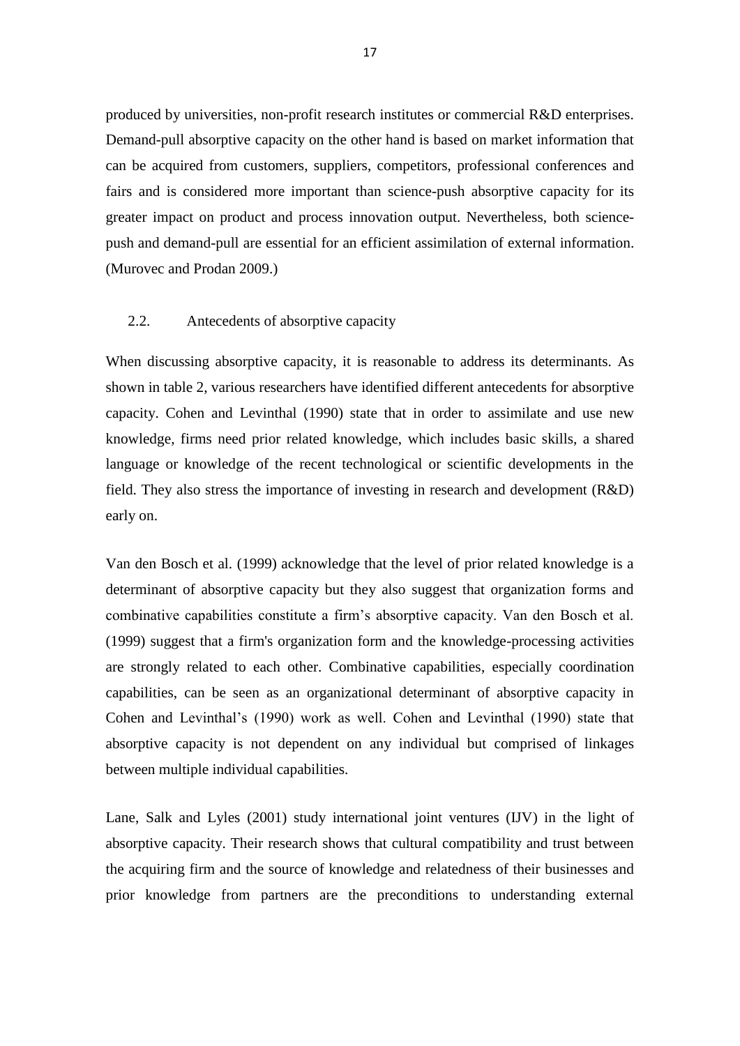produced by universities, non-profit research institutes or commercial R&D enterprises. Demand-pull absorptive capacity on the other hand is based on market information that can be acquired from customers, suppliers, competitors, professional conferences and fairs and is considered more important than science-push absorptive capacity for its greater impact on product and process innovation output. Nevertheless, both sciencepush and demand-pull are essential for an efficient assimilation of external information. (Murovec and Prodan 2009.)

#### <span id="page-18-0"></span>2.2. Antecedents of absorptive capacity

When discussing absorptive capacity, it is reasonable to address its determinants. As shown in table 2, various researchers have identified different antecedents for absorptive capacity. Cohen and Levinthal (1990) state that in order to assimilate and use new knowledge, firms need prior related knowledge, which includes basic skills, a shared language or knowledge of the recent technological or scientific developments in the field. They also stress the importance of investing in research and development (R&D) early on.

Van den Bosch et al. (1999) acknowledge that the level of prior related knowledge is a determinant of absorptive capacity but they also suggest that organization forms and combinative capabilities constitute a firm's absorptive capacity. Van den Bosch et al. (1999) suggest that a firm's organization form and the knowledge-processing activities are strongly related to each other. Combinative capabilities, especially coordination capabilities, can be seen as an organizational determinant of absorptive capacity in Cohen and Levinthal's (1990) work as well. Cohen and Levinthal (1990) state that absorptive capacity is not dependent on any individual but comprised of linkages between multiple individual capabilities.

Lane, Salk and Lyles (2001) study international joint ventures (IJV) in the light of absorptive capacity. Their research shows that cultural compatibility and trust between the acquiring firm and the source of knowledge and relatedness of their businesses and prior knowledge from partners are the preconditions to understanding external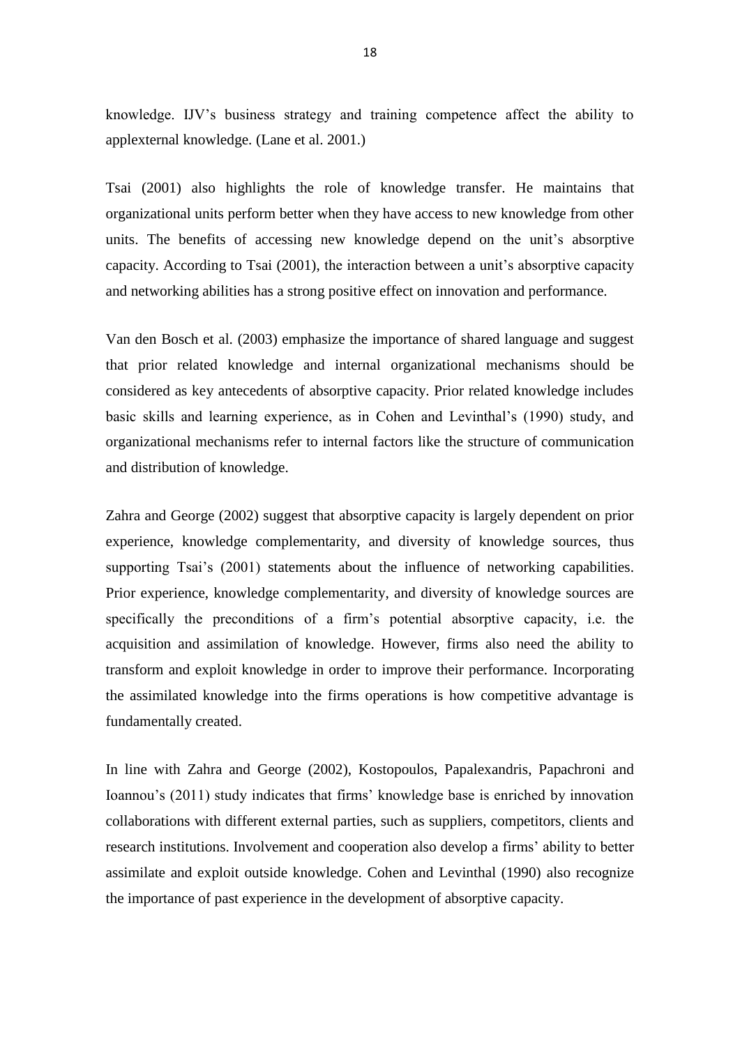knowledge. IJV's business strategy and training competence affect the ability to applexternal knowledge. (Lane et al. 2001.)

Tsai (2001) also highlights the role of knowledge transfer. He maintains that organizational units perform better when they have access to new knowledge from other units. The benefits of accessing new knowledge depend on the unit's absorptive capacity. According to Tsai (2001), the interaction between a unit's absorptive capacity and networking abilities has a strong positive effect on innovation and performance.

Van den Bosch et al. (2003) emphasize the importance of shared language and suggest that prior related knowledge and internal organizational mechanisms should be considered as key antecedents of absorptive capacity. Prior related knowledge includes basic skills and learning experience, as in Cohen and Levinthal's (1990) study, and organizational mechanisms refer to internal factors like the structure of communication and distribution of knowledge.

Zahra and George (2002) suggest that absorptive capacity is largely dependent on prior experience, knowledge complementarity, and diversity of knowledge sources, thus supporting Tsai's (2001) statements about the influence of networking capabilities. Prior experience, knowledge complementarity, and diversity of knowledge sources are specifically the preconditions of a firm's potential absorptive capacity, i.e. the acquisition and assimilation of knowledge. However, firms also need the ability to transform and exploit knowledge in order to improve their performance. Incorporating the assimilated knowledge into the firms operations is how competitive advantage is fundamentally created.

In line with Zahra and George (2002), Kostopoulos, Papalexandris, Papachroni and Ioannou's (2011) study indicates that firms' knowledge base is enriched by innovation collaborations with different external parties, such as suppliers, competitors, clients and research institutions. Involvement and cooperation also develop a firms' ability to better assimilate and exploit outside knowledge. Cohen and Levinthal (1990) also recognize the importance of past experience in the development of absorptive capacity.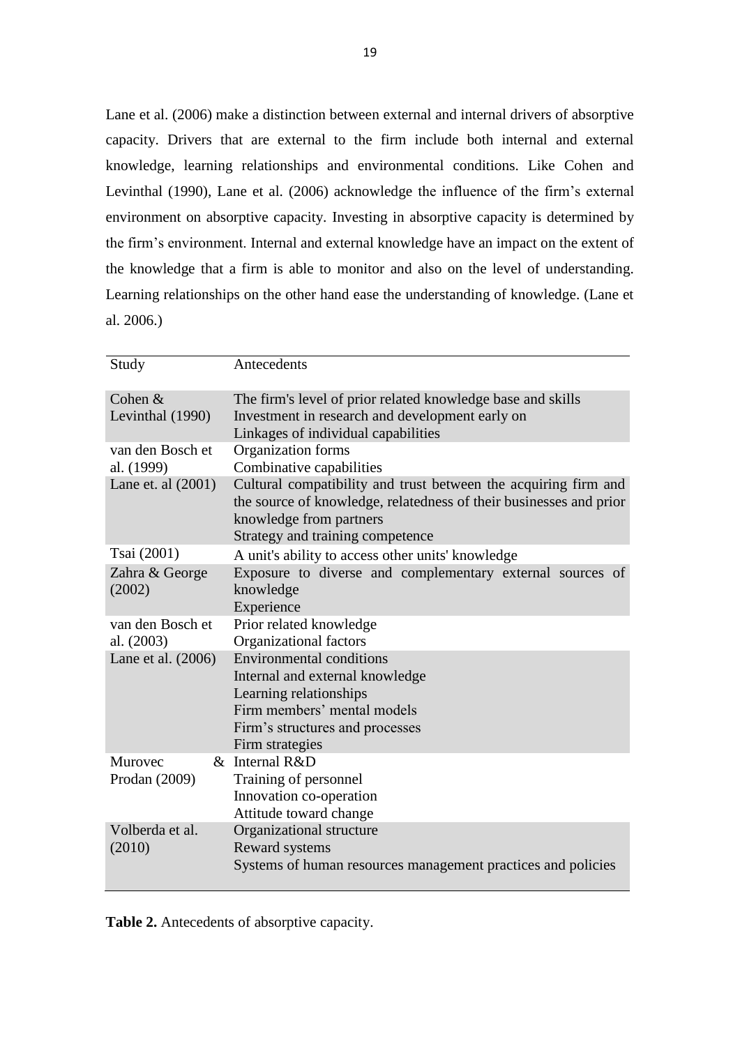Lane et al. (2006) make a distinction between external and internal drivers of absorptive capacity. Drivers that are external to the firm include both internal and external knowledge, learning relationships and environmental conditions. Like Cohen and Levinthal (1990), Lane et al. (2006) acknowledge the influence of the firm's external environment on absorptive capacity. Investing in absorptive capacity is determined by the firm's environment. Internal and external knowledge have an impact on the extent of the knowledge that a firm is able to monitor and also on the level of understanding. Learning relationships on the other hand ease the understanding of knowledge. (Lane et al. 2006.)

| Study                          | Antecedents                                                                                                                                                                                          |
|--------------------------------|------------------------------------------------------------------------------------------------------------------------------------------------------------------------------------------------------|
| Cohen $&$<br>Levinthal (1990)  | The firm's level of prior related knowledge base and skills<br>Investment in research and development early on<br>Linkages of individual capabilities                                                |
| van den Bosch et<br>al. (1999) | Organization forms<br>Combinative capabilities                                                                                                                                                       |
| Lane et. al $(2001)$           | Cultural compatibility and trust between the acquiring firm and<br>the source of knowledge, relatedness of their businesses and prior<br>knowledge from partners<br>Strategy and training competence |
| Tsai (2001)                    | A unit's ability to access other units' knowledge                                                                                                                                                    |
| Zahra & George<br>(2002)       | Exposure to diverse and complementary external sources of<br>knowledge<br>Experience                                                                                                                 |
| van den Bosch et<br>al. (2003) | Prior related knowledge<br>Organizational factors                                                                                                                                                    |
| Lane et al. (2006)             | <b>Environmental conditions</b><br>Internal and external knowledge<br>Learning relationships<br>Firm members' mental models<br>Firm's structures and processes<br>Firm strategies                    |
| Murovec<br>Prodan (2009)       | & Internal R&D<br>Training of personnel<br>Innovation co-operation<br>Attitude toward change                                                                                                         |
| Volberda et al.<br>(2010)      | Organizational structure<br>Reward systems<br>Systems of human resources management practices and policies                                                                                           |

**Table 2.** Antecedents of absorptive capacity.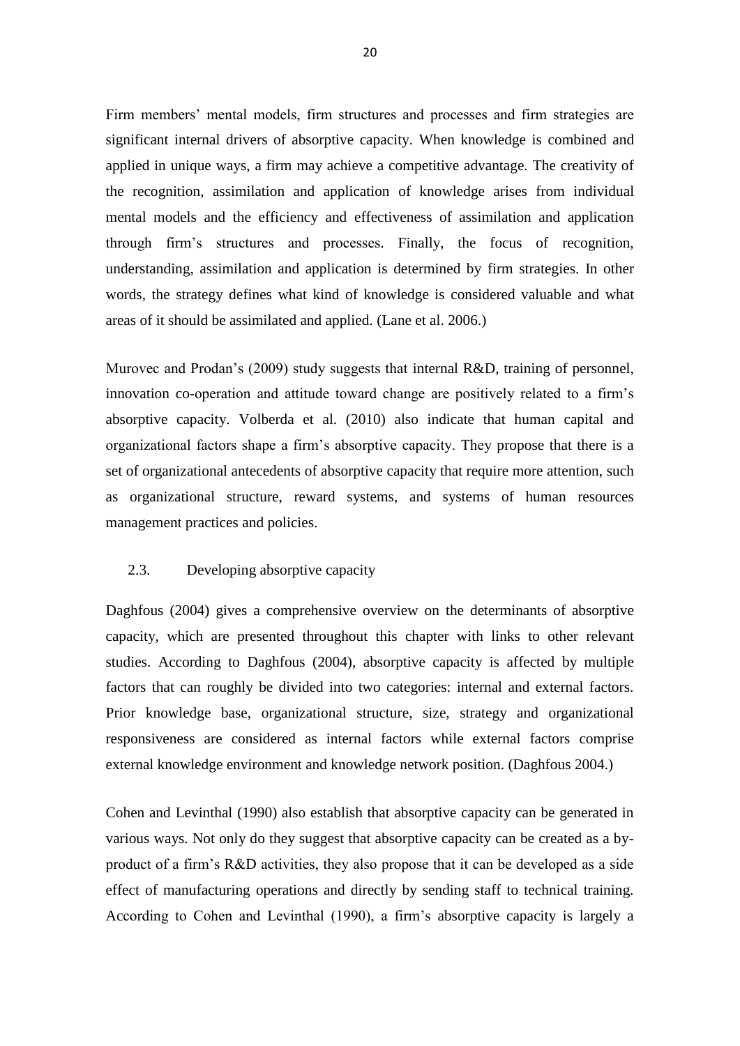Firm members' mental models, firm structures and processes and firm strategies are significant internal drivers of absorptive capacity. When knowledge is combined and applied in unique ways, a firm may achieve a competitive advantage. The creativity of the recognition, assimilation and application of knowledge arises from individual mental models and the efficiency and effectiveness of assimilation and application through firm's structures and processes. Finally, the focus of recognition, understanding, assimilation and application is determined by firm strategies. In other words, the strategy defines what kind of knowledge is considered valuable and what areas of it should be assimilated and applied. (Lane et al. 2006.)

Murovec and Prodan's (2009) study suggests that internal R&D, training of personnel, innovation co-operation and attitude toward change are positively related to a firm's absorptive capacity. Volberda et al. (2010) also indicate that human capital and organizational factors shape a firm's absorptive capacity. They propose that there is a set of organizational antecedents of absorptive capacity that require more attention, such as organizational structure, reward systems, and systems of human resources management practices and policies.

#### <span id="page-21-0"></span>2.3. Developing absorptive capacity

Daghfous (2004) gives a comprehensive overview on the determinants of absorptive capacity, which are presented throughout this chapter with links to other relevant studies. According to Daghfous (2004), absorptive capacity is affected by multiple factors that can roughly be divided into two categories: internal and external factors. Prior knowledge base, organizational structure, size, strategy and organizational responsiveness are considered as internal factors while external factors comprise external knowledge environment and knowledge network position. (Daghfous 2004.)

Cohen and Levinthal (1990) also establish that absorptive capacity can be generated in various ways. Not only do they suggest that absorptive capacity can be created as a byproduct of a firm's R&D activities, they also propose that it can be developed as a side effect of manufacturing operations and directly by sending staff to technical training. According to Cohen and Levinthal (1990), a firm's absorptive capacity is largely a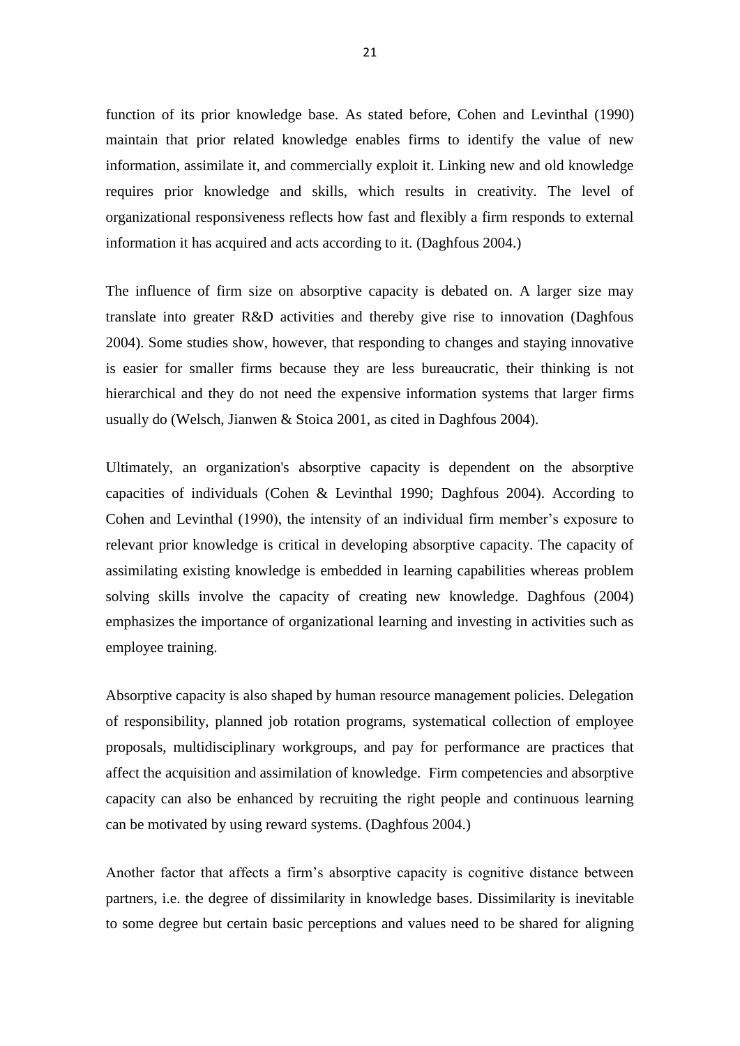function of its prior knowledge base. As stated before, Cohen and Levinthal (1990) maintain that prior related knowledge enables firms to identify the value of new information, assimilate it, and commercially exploit it. Linking new and old knowledge requires prior knowledge and skills, which results in creativity. The level of organizational responsiveness reflects how fast and flexibly a firm responds to external information it has acquired and acts according to it. (Daghfous 2004.)

The influence of firm size on absorptive capacity is debated on. A larger size may translate into greater R&D activities and thereby give rise to innovation (Daghfous 2004). Some studies show, however, that responding to changes and staying innovative is easier for smaller firms because they are less bureaucratic, their thinking is not hierarchical and they do not need the expensive information systems that larger firms usually do (Welsch, Jianwen & Stoica 2001, as cited in Daghfous 2004).

Ultimately, an organization's absorptive capacity is dependent on the absorptive capacities of individuals (Cohen & Levinthal 1990; Daghfous 2004). According to Cohen and Levinthal (1990), the intensity of an individual firm member's exposure to relevant prior knowledge is critical in developing absorptive capacity. The capacity of assimilating existing knowledge is embedded in learning capabilities whereas problem solving skills involve the capacity of creating new knowledge. Daghfous (2004) emphasizes the importance of organizational learning and investing in activities such as employee training.

Absorptive capacity is also shaped by human resource management policies. Delegation of responsibility, planned job rotation programs, systematical collection of employee proposals, multidisciplinary workgroups, and pay for performance are practices that affect the acquisition and assimilation of knowledge. Firm competencies and absorptive capacity can also be enhanced by recruiting the right people and continuous learning can be motivated by using reward systems. (Daghfous 2004.)

Another factor that affects a firm's absorptive capacity is cognitive distance between partners, i.e. the degree of dissimilarity in knowledge bases. Dissimilarity is inevitable to some degree but certain basic perceptions and values need to be shared for aligning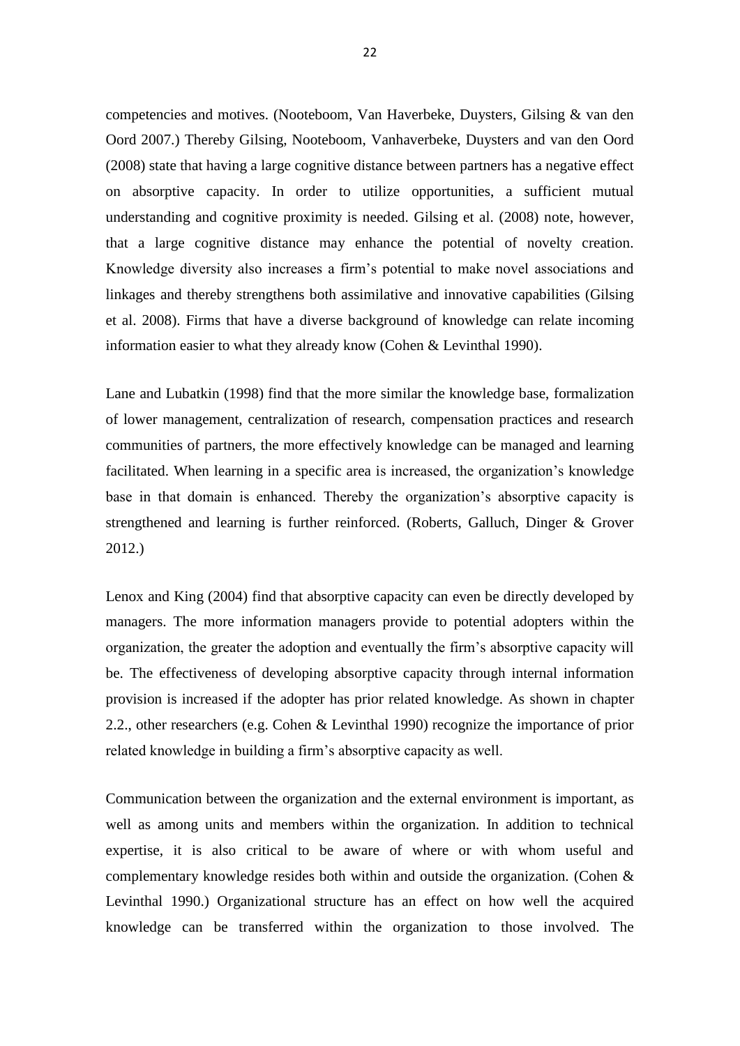competencies and motives. (Nooteboom, Van Haverbeke, Duysters, Gilsing & van den Oord 2007.) Thereby Gilsing, Nooteboom, Vanhaverbeke, Duysters and van den Oord (2008) state that having a large cognitive distance between partners has a negative effect on absorptive capacity. In order to utilize opportunities, a sufficient mutual understanding and cognitive proximity is needed. Gilsing et al. (2008) note, however, that a large cognitive distance may enhance the potential of novelty creation. Knowledge diversity also increases a firm's potential to make novel associations and linkages and thereby strengthens both assimilative and innovative capabilities (Gilsing et al. 2008). Firms that have a diverse background of knowledge can relate incoming information easier to what they already know (Cohen & Levinthal 1990).

Lane and Lubatkin (1998) find that the more similar the knowledge base, formalization of lower management, centralization of research, compensation practices and research communities of partners, the more effectively knowledge can be managed and learning facilitated. When learning in a specific area is increased, the organization's knowledge base in that domain is enhanced. Thereby the organization's absorptive capacity is strengthened and learning is further reinforced. (Roberts, Galluch, Dinger & Grover 2012.)

Lenox and King (2004) find that absorptive capacity can even be directly developed by managers. The more information managers provide to potential adopters within the organization, the greater the adoption and eventually the firm's absorptive capacity will be. The effectiveness of developing absorptive capacity through internal information provision is increased if the adopter has prior related knowledge. As shown in chapter 2.2., other researchers (e.g. Cohen & Levinthal 1990) recognize the importance of prior related knowledge in building a firm's absorptive capacity as well.

Communication between the organization and the external environment is important, as well as among units and members within the organization. In addition to technical expertise, it is also critical to be aware of where or with whom useful and complementary knowledge resides both within and outside the organization. (Cohen & Levinthal 1990.) Organizational structure has an effect on how well the acquired knowledge can be transferred within the organization to those involved. The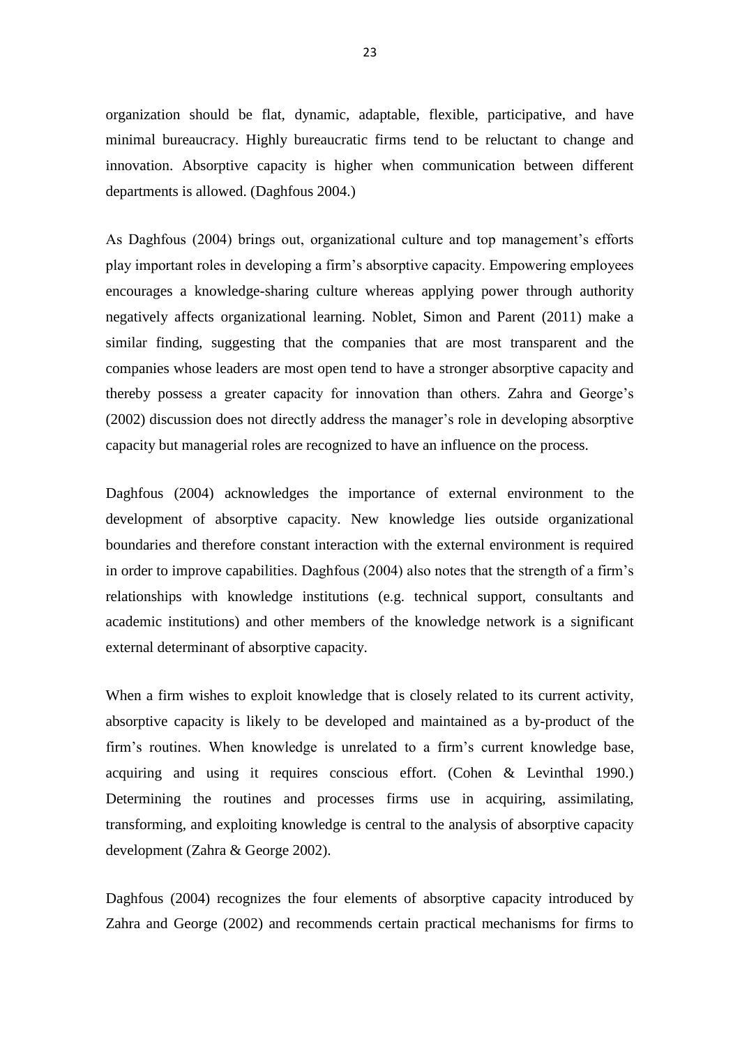organization should be flat, dynamic, adaptable, flexible, participative, and have minimal bureaucracy. Highly bureaucratic firms tend to be reluctant to change and innovation. Absorptive capacity is higher when communication between different departments is allowed. (Daghfous 2004.)

As Daghfous (2004) brings out, organizational culture and top management's efforts play important roles in developing a firm's absorptive capacity. Empowering employees encourages a knowledge-sharing culture whereas applying power through authority negatively affects organizational learning. Noblet, Simon and Parent (2011) make a similar finding, suggesting that the companies that are most transparent and the companies whose leaders are most open tend to have a stronger absorptive capacity and thereby possess a greater capacity for innovation than others. Zahra and George's (2002) discussion does not directly address the manager's role in developing absorptive capacity but managerial roles are recognized to have an influence on the process.

Daghfous (2004) acknowledges the importance of external environment to the development of absorptive capacity. New knowledge lies outside organizational boundaries and therefore constant interaction with the external environment is required in order to improve capabilities. Daghfous (2004) also notes that the strength of a firm's relationships with knowledge institutions (e.g. technical support, consultants and academic institutions) and other members of the knowledge network is a significant external determinant of absorptive capacity.

When a firm wishes to exploit knowledge that is closely related to its current activity, absorptive capacity is likely to be developed and maintained as a by-product of the firm's routines. When knowledge is unrelated to a firm's current knowledge base, acquiring and using it requires conscious effort. (Cohen & Levinthal 1990.) Determining the routines and processes firms use in acquiring, assimilating, transforming, and exploiting knowledge is central to the analysis of absorptive capacity development (Zahra & George 2002).

Daghfous (2004) recognizes the four elements of absorptive capacity introduced by Zahra and George (2002) and recommends certain practical mechanisms for firms to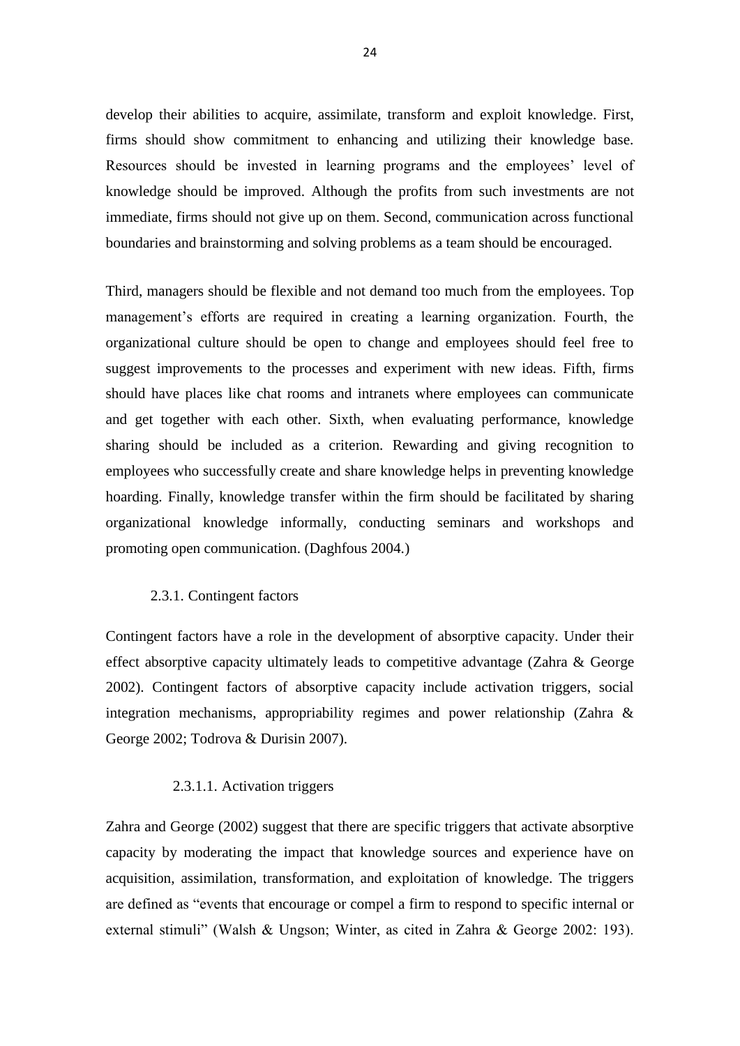develop their abilities to acquire, assimilate, transform and exploit knowledge. First, firms should show commitment to enhancing and utilizing their knowledge base. Resources should be invested in learning programs and the employees' level of knowledge should be improved. Although the profits from such investments are not immediate, firms should not give up on them. Second, communication across functional boundaries and brainstorming and solving problems as a team should be encouraged.

Third, managers should be flexible and not demand too much from the employees. Top management's efforts are required in creating a learning organization. Fourth, the organizational culture should be open to change and employees should feel free to suggest improvements to the processes and experiment with new ideas. Fifth, firms should have places like chat rooms and intranets where employees can communicate and get together with each other. Sixth, when evaluating performance, knowledge sharing should be included as a criterion. Rewarding and giving recognition to employees who successfully create and share knowledge helps in preventing knowledge hoarding. Finally, knowledge transfer within the firm should be facilitated by sharing organizational knowledge informally, conducting seminars and workshops and promoting open communication. (Daghfous 2004.)

#### <span id="page-25-0"></span>2.3.1. Contingent factors

Contingent factors have a role in the development of absorptive capacity. Under their effect absorptive capacity ultimately leads to competitive advantage (Zahra & George 2002). Contingent factors of absorptive capacity include activation triggers, social integration mechanisms, appropriability regimes and power relationship (Zahra & George 2002; Todrova & Durisin 2007).

#### 2.3.1.1. Activation triggers

<span id="page-25-1"></span>Zahra and George (2002) suggest that there are specific triggers that activate absorptive capacity by moderating the impact that knowledge sources and experience have on acquisition, assimilation, transformation, and exploitation of knowledge. The triggers are defined as "events that encourage or compel a firm to respond to specific internal or external stimuli" (Walsh & Ungson; Winter, as cited in Zahra & George 2002: 193).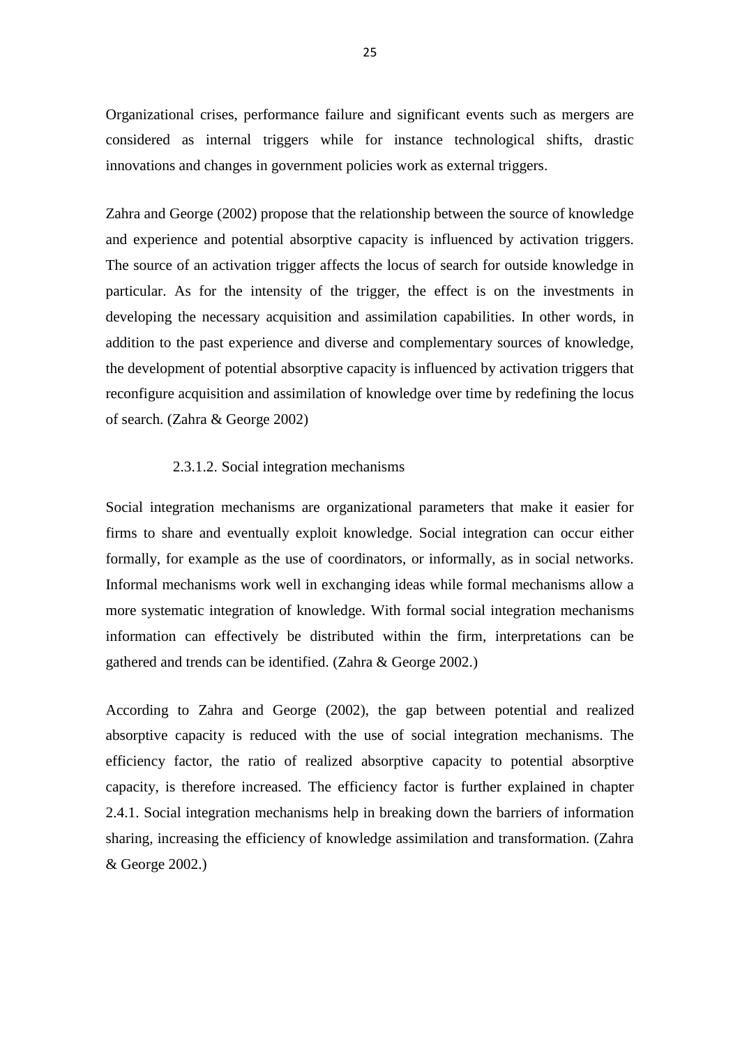Organizational crises, performance failure and significant events such as mergers are considered as internal triggers while for instance technological shifts, drastic innovations and changes in government policies work as external triggers.

Zahra and George (2002) propose that the relationship between the source of knowledge and experience and potential absorptive capacity is influenced by activation triggers. The source of an activation trigger affects the locus of search for outside knowledge in particular. As for the intensity of the trigger, the effect is on the investments in developing the necessary acquisition and assimilation capabilities. In other words, in addition to the past experience and diverse and complementary sources of knowledge, the development of potential absorptive capacity is influenced by activation triggers that reconfigure acquisition and assimilation of knowledge over time by redefining the locus of search. (Zahra & George 2002)

#### 2.3.1.2. Social integration mechanisms

<span id="page-26-0"></span>Social integration mechanisms are organizational parameters that make it easier for firms to share and eventually exploit knowledge. Social integration can occur either formally, for example as the use of coordinators, or informally, as in social networks. Informal mechanisms work well in exchanging ideas while formal mechanisms allow a more systematic integration of knowledge. With formal social integration mechanisms information can effectively be distributed within the firm, interpretations can be gathered and trends can be identified. (Zahra & George 2002.)

According to Zahra and George (2002), the gap between potential and realized absorptive capacity is reduced with the use of social integration mechanisms. The efficiency factor, the ratio of realized absorptive capacity to potential absorptive capacity, is therefore increased. The efficiency factor is further explained in chapter 2.4.1. Social integration mechanisms help in breaking down the barriers of information sharing, increasing the efficiency of knowledge assimilation and transformation. (Zahra & George 2002.)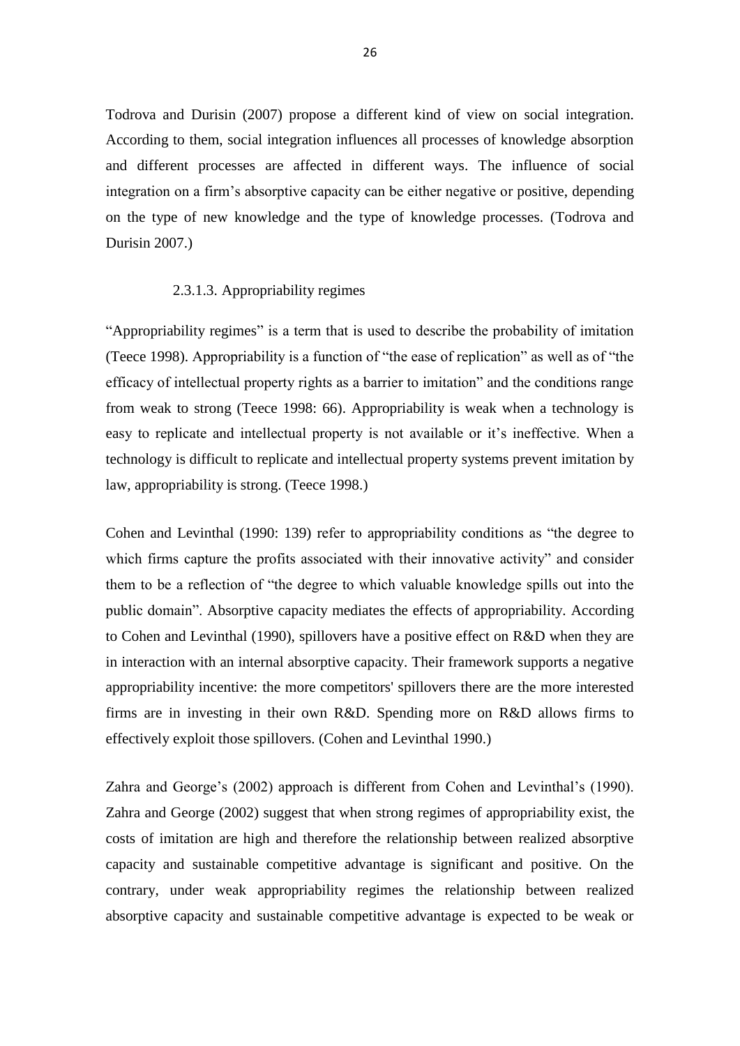Todrova and Durisin (2007) propose a different kind of view on social integration. According to them, social integration influences all processes of knowledge absorption and different processes are affected in different ways. The influence of social integration on a firm's absorptive capacity can be either negative or positive, depending on the type of new knowledge and the type of knowledge processes. (Todrova and Durisin 2007.)

#### 2.3.1.3. Appropriability regimes

<span id="page-27-0"></span>"Appropriability regimes" is a term that is used to describe the probability of imitation (Teece 1998). Appropriability is a function of "the ease of replication" as well as of "the efficacy of intellectual property rights as a barrier to imitation" and the conditions range from weak to strong (Teece 1998: 66). Appropriability is weak when a technology is easy to replicate and intellectual property is not available or it's ineffective. When a technology is difficult to replicate and intellectual property systems prevent imitation by law, appropriability is strong. (Teece 1998.)

Cohen and Levinthal (1990: 139) refer to appropriability conditions as "the degree to which firms capture the profits associated with their innovative activity" and consider them to be a reflection of "the degree to which valuable knowledge spills out into the public domain". Absorptive capacity mediates the effects of appropriability. According to Cohen and Levinthal (1990), spillovers have a positive effect on R&D when they are in interaction with an internal absorptive capacity. Their framework supports a negative appropriability incentive: the more competitors' spillovers there are the more interested firms are in investing in their own R&D. Spending more on R&D allows firms to effectively exploit those spillovers. (Cohen and Levinthal 1990.)

Zahra and George's (2002) approach is different from Cohen and Levinthal's (1990). Zahra and George (2002) suggest that when strong regimes of appropriability exist, the costs of imitation are high and therefore the relationship between realized absorptive capacity and sustainable competitive advantage is significant and positive. On the contrary, under weak appropriability regimes the relationship between realized absorptive capacity and sustainable competitive advantage is expected to be weak or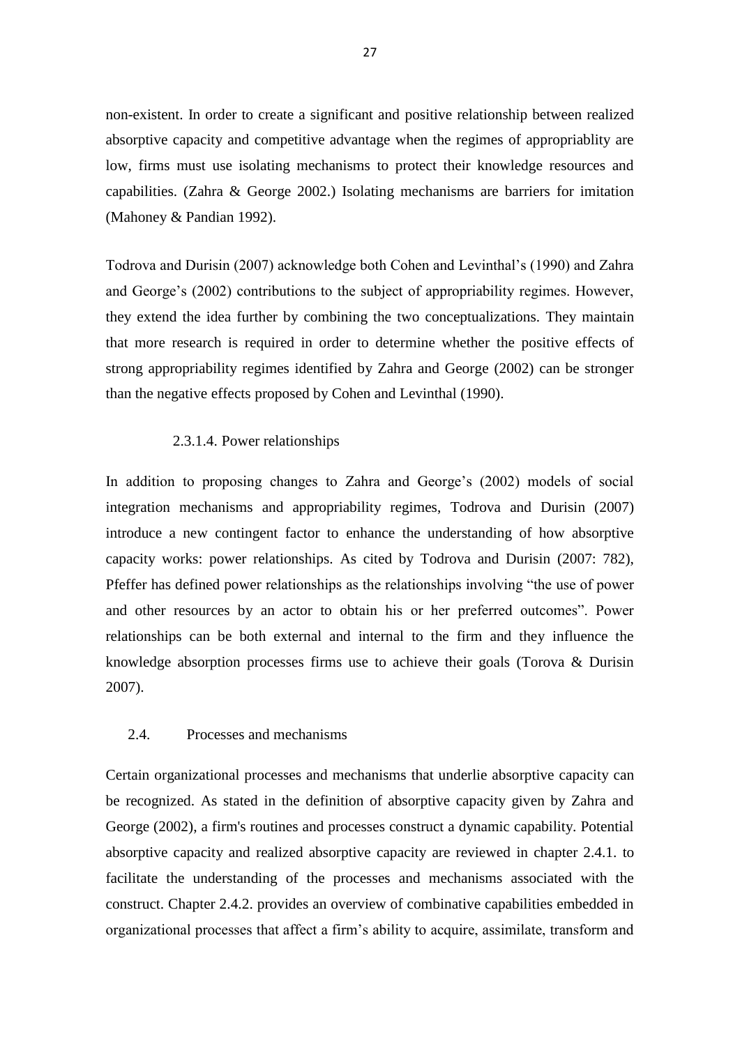non-existent. In order to create a significant and positive relationship between realized absorptive capacity and competitive advantage when the regimes of appropriablity are low, firms must use isolating mechanisms to protect their knowledge resources and capabilities. (Zahra & George 2002.) Isolating mechanisms are barriers for imitation (Mahoney & Pandian 1992).

Todrova and Durisin (2007) acknowledge both Cohen and Levinthal's (1990) and Zahra and George's (2002) contributions to the subject of appropriability regimes. However, they extend the idea further by combining the two conceptualizations. They maintain that more research is required in order to determine whether the positive effects of strong appropriability regimes identified by Zahra and George (2002) can be stronger than the negative effects proposed by Cohen and Levinthal (1990).

#### 2.3.1.4. Power relationships

<span id="page-28-0"></span>In addition to proposing changes to Zahra and George's (2002) models of social integration mechanisms and appropriability regimes, Todrova and Durisin (2007) introduce a new contingent factor to enhance the understanding of how absorptive capacity works: power relationships. As cited by Todrova and Durisin (2007: 782), Pfeffer has defined power relationships as the relationships involving "the use of power and other resources by an actor to obtain his or her preferred outcomes". Power relationships can be both external and internal to the firm and they influence the knowledge absorption processes firms use to achieve their goals (Torova & Durisin 2007).

#### <span id="page-28-1"></span>2.4. Processes and mechanisms

Certain organizational processes and mechanisms that underlie absorptive capacity can be recognized. As stated in the definition of absorptive capacity given by Zahra and George (2002), a firm's routines and processes construct a dynamic capability. Potential absorptive capacity and realized absorptive capacity are reviewed in chapter 2.4.1. to facilitate the understanding of the processes and mechanisms associated with the construct. Chapter 2.4.2. provides an overview of combinative capabilities embedded in organizational processes that affect a firm's ability to acquire, assimilate, transform and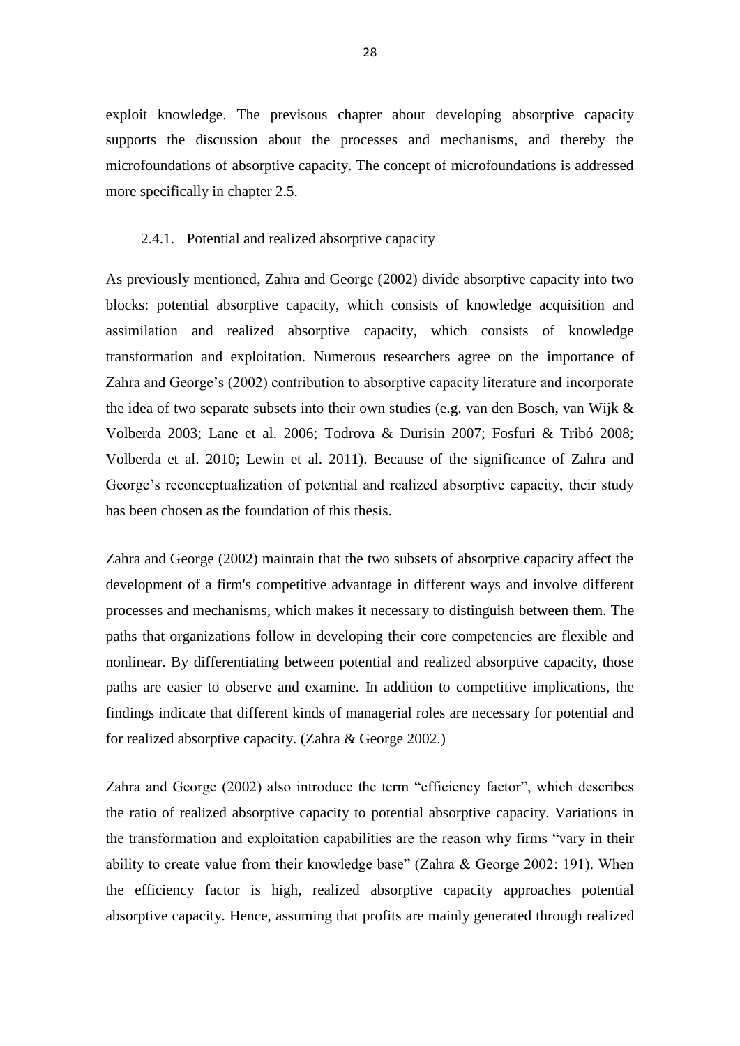exploit knowledge. The previsous chapter about developing absorptive capacity supports the discussion about the processes and mechanisms, and thereby the microfoundations of absorptive capacity. The concept of microfoundations is addressed more specifically in chapter 2.5.

#### <span id="page-29-0"></span>2.4.1. Potential and realized absorptive capacity

As previously mentioned, Zahra and George (2002) divide absorptive capacity into two blocks: potential absorptive capacity, which consists of knowledge acquisition and assimilation and realized absorptive capacity, which consists of knowledge transformation and exploitation. Numerous researchers agree on the importance of Zahra and George's (2002) contribution to absorptive capacity literature and incorporate the idea of two separate subsets into their own studies (e.g. van den Bosch, van Wijk & Volberda 2003; Lane et al. 2006; Todrova & Durisin 2007; Fosfuri & Tribó 2008; Volberda et al. 2010; Lewin et al. 2011). Because of the significance of Zahra and George's reconceptualization of potential and realized absorptive capacity, their study has been chosen as the foundation of this thesis.

Zahra and George (2002) maintain that the two subsets of absorptive capacity affect the development of a firm's competitive advantage in different ways and involve different processes and mechanisms, which makes it necessary to distinguish between them. The paths that organizations follow in developing their core competencies are flexible and nonlinear. By differentiating between potential and realized absorptive capacity, those paths are easier to observe and examine. In addition to competitive implications, the findings indicate that different kinds of managerial roles are necessary for potential and for realized absorptive capacity. (Zahra & George 2002.)

Zahra and George (2002) also introduce the term "efficiency factor", which describes the ratio of realized absorptive capacity to potential absorptive capacity. Variations in the transformation and exploitation capabilities are the reason why firms "vary in their ability to create value from their knowledge base" (Zahra & George 2002: 191). When the efficiency factor is high, realized absorptive capacity approaches potential absorptive capacity. Hence, assuming that profits are mainly generated through realized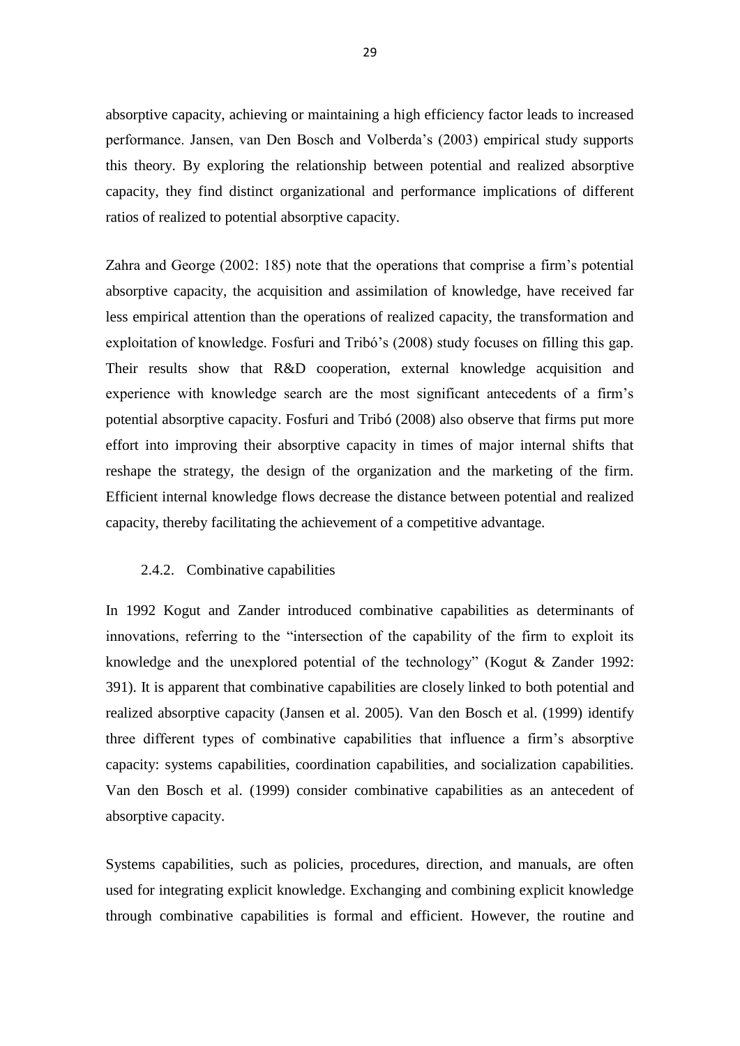absorptive capacity, achieving or maintaining a high efficiency factor leads to increased performance. Jansen, van Den Bosch and Volberda's (2003) empirical study supports this theory. By exploring the relationship between potential and realized absorptive capacity, they find distinct organizational and performance implications of different ratios of realized to potential absorptive capacity.

Zahra and George (2002: 185) note that the operations that comprise a firm's potential absorptive capacity, the acquisition and assimilation of knowledge, have received far less empirical attention than the operations of realized capacity, the transformation and exploitation of knowledge. Fosfuri and Tribó's (2008) study focuses on filling this gap. Their results show that R&D cooperation, external knowledge acquisition and experience with knowledge search are the most significant antecedents of a firm's potential absorptive capacity. Fosfuri and Tribó (2008) also observe that firms put more effort into improving their absorptive capacity in times of major internal shifts that reshape the strategy, the design of the organization and the marketing of the firm. Efficient internal knowledge flows decrease the distance between potential and realized capacity, thereby facilitating the achievement of a competitive advantage.

#### <span id="page-30-0"></span>2.4.2. Combinative capabilities

In 1992 Kogut and Zander introduced combinative capabilities as determinants of innovations, referring to the "intersection of the capability of the firm to exploit its knowledge and the unexplored potential of the technology" (Kogut & Zander 1992: 391). It is apparent that combinative capabilities are closely linked to both potential and realized absorptive capacity (Jansen et al. 2005). Van den Bosch et al. (1999) identify three different types of combinative capabilities that influence a firm's absorptive capacity: systems capabilities, coordination capabilities, and socialization capabilities. Van den Bosch et al. (1999) consider combinative capabilities as an antecedent of absorptive capacity.

Systems capabilities, such as policies, procedures, direction, and manuals, are often used for integrating explicit knowledge. Exchanging and combining explicit knowledge through combinative capabilities is formal and efficient. However, the routine and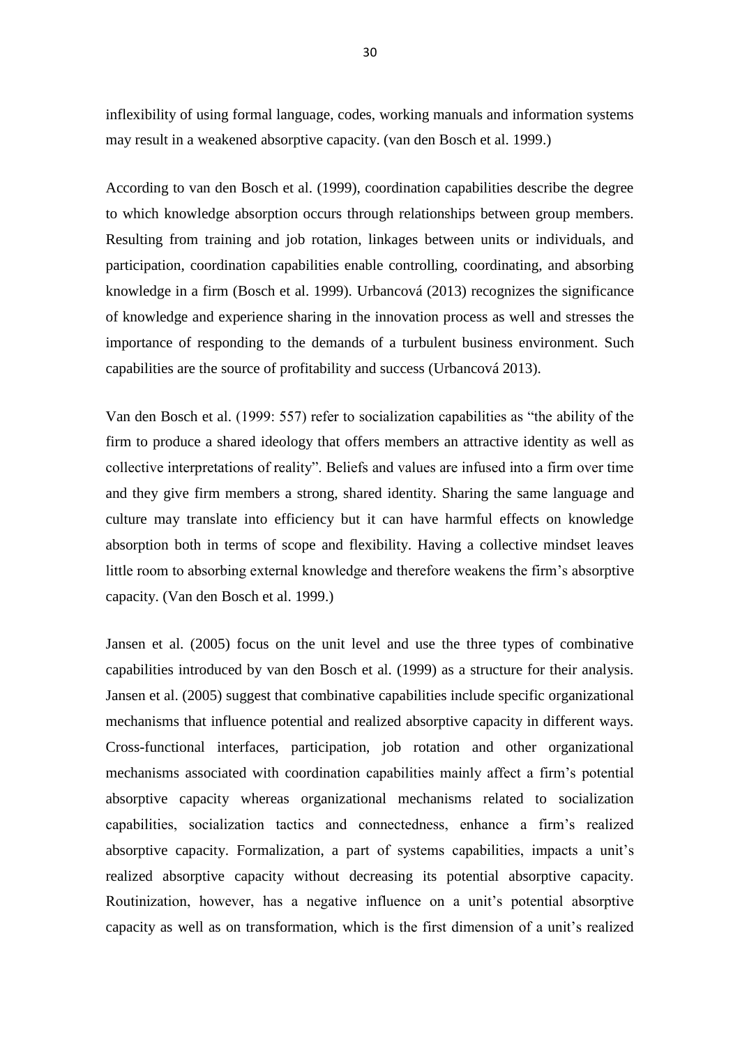inflexibility of using formal language, codes, working manuals and information systems may result in a weakened absorptive capacity. (van den Bosch et al. 1999.)

According to van den Bosch et al. (1999), coordination capabilities describe the degree to which knowledge absorption occurs through relationships between group members. Resulting from training and job rotation, linkages between units or individuals, and participation, coordination capabilities enable controlling, coordinating, and absorbing knowledge in a firm (Bosch et al. 1999). Urbancová (2013) recognizes the significance of knowledge and experience sharing in the innovation process as well and stresses the importance of responding to the demands of a turbulent business environment. Such capabilities are the source of profitability and success (Urbancová 2013).

Van den Bosch et al. (1999: 557) refer to socialization capabilities as "the ability of the firm to produce a shared ideology that offers members an attractive identity as well as collective interpretations of reality". Beliefs and values are infused into a firm over time and they give firm members a strong, shared identity. Sharing the same language and culture may translate into efficiency but it can have harmful effects on knowledge absorption both in terms of scope and flexibility. Having a collective mindset leaves little room to absorbing external knowledge and therefore weakens the firm's absorptive capacity. (Van den Bosch et al. 1999.)

Jansen et al. (2005) focus on the unit level and use the three types of combinative capabilities introduced by van den Bosch et al. (1999) as a structure for their analysis. Jansen et al. (2005) suggest that combinative capabilities include specific organizational mechanisms that influence potential and realized absorptive capacity in different ways. Cross-functional interfaces, participation, job rotation and other organizational mechanisms associated with coordination capabilities mainly affect a firm's potential absorptive capacity whereas organizational mechanisms related to socialization capabilities, socialization tactics and connectedness, enhance a firm's realized absorptive capacity. Formalization, a part of systems capabilities, impacts a unit's realized absorptive capacity without decreasing its potential absorptive capacity. Routinization, however, has a negative influence on a unit's potential absorptive capacity as well as on transformation, which is the first dimension of a unit's realized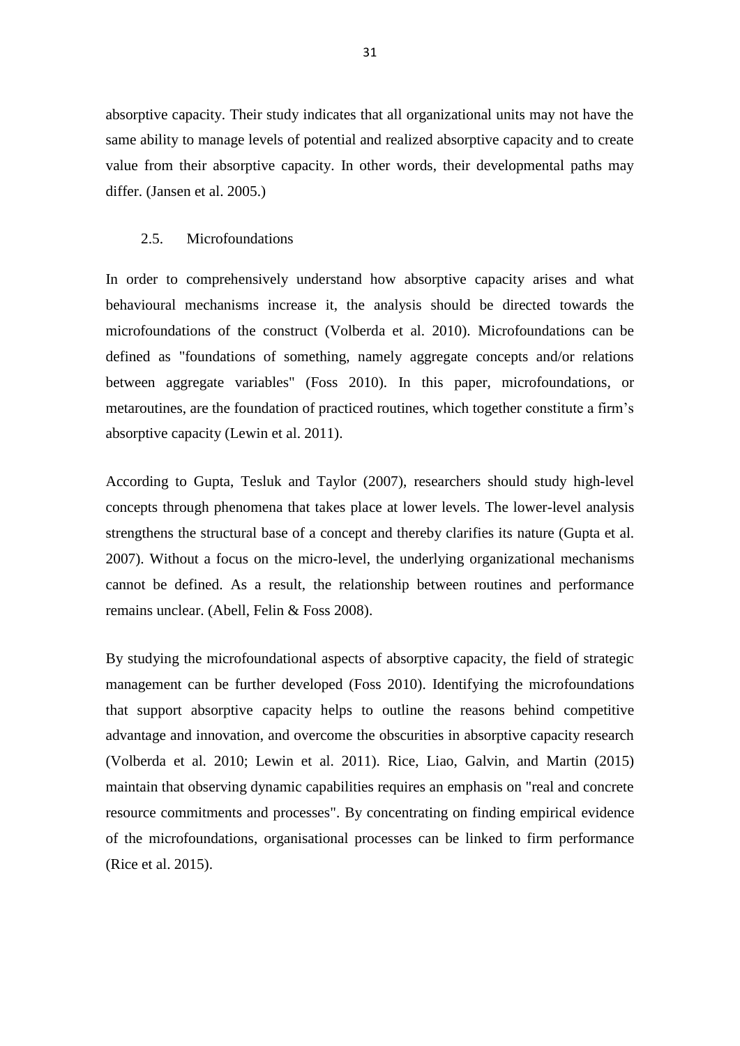absorptive capacity. Their study indicates that all organizational units may not have the same ability to manage levels of potential and realized absorptive capacity and to create value from their absorptive capacity. In other words, their developmental paths may differ. (Jansen et al. 2005.)

#### <span id="page-32-0"></span>2.5. Microfoundations

In order to comprehensively understand how absorptive capacity arises and what behavioural mechanisms increase it, the analysis should be directed towards the microfoundations of the construct (Volberda et al. 2010). Microfoundations can be defined as "foundations of something, namely aggregate concepts and/or relations between aggregate variables" (Foss 2010). In this paper, microfoundations, or metaroutines, are the foundation of practiced routines, which together constitute a firm's absorptive capacity (Lewin et al. 2011).

According to Gupta, Tesluk and Taylor (2007), researchers should study high-level concepts through phenomena that takes place at lower levels. The lower-level analysis strengthens the structural base of a concept and thereby clarifies its nature (Gupta et al. 2007). Without a focus on the micro-level, the underlying organizational mechanisms cannot be defined. As a result, the relationship between routines and performance remains unclear. (Abell, Felin & Foss 2008).

By studying the microfoundational aspects of absorptive capacity, the field of strategic management can be further developed (Foss 2010). Identifying the microfoundations that support absorptive capacity helps to outline the reasons behind competitive advantage and innovation, and overcome the obscurities in absorptive capacity research (Volberda et al. 2010; Lewin et al. 2011). Rice, Liao, Galvin, and Martin (2015) maintain that observing dynamic capabilities requires an emphasis on "real and concrete resource commitments and processes". By concentrating on finding empirical evidence of the microfoundations, organisational processes can be linked to firm performance (Rice et al. 2015).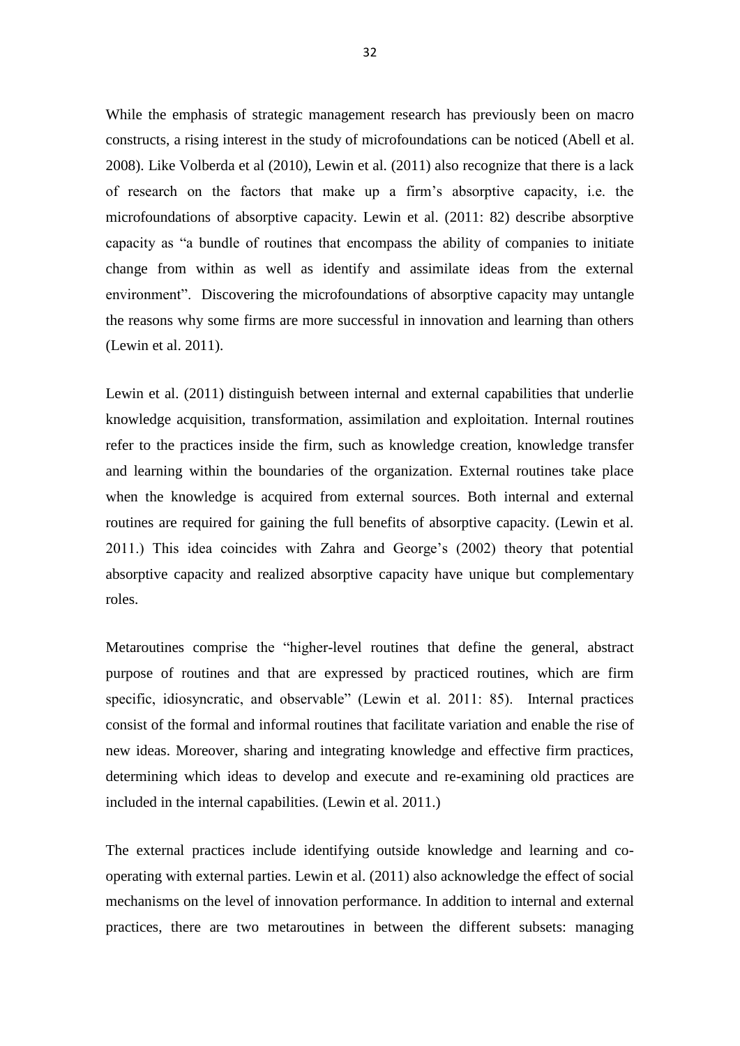While the emphasis of strategic management research has previously been on macro constructs, a rising interest in the study of microfoundations can be noticed (Abell et al. 2008). Like Volberda et al (2010), Lewin et al. (2011) also recognize that there is a lack of research on the factors that make up a firm's absorptive capacity, i.e. the microfoundations of absorptive capacity. Lewin et al. (2011: 82) describe absorptive capacity as "a bundle of routines that encompass the ability of companies to initiate change from within as well as identify and assimilate ideas from the external environment". Discovering the microfoundations of absorptive capacity may untangle the reasons why some firms are more successful in innovation and learning than others (Lewin et al. 2011).

Lewin et al. (2011) distinguish between internal and external capabilities that underlie knowledge acquisition, transformation, assimilation and exploitation. Internal routines refer to the practices inside the firm, such as knowledge creation, knowledge transfer and learning within the boundaries of the organization. External routines take place when the knowledge is acquired from external sources. Both internal and external routines are required for gaining the full benefits of absorptive capacity. (Lewin et al. 2011.) This idea coincides with Zahra and George's (2002) theory that potential absorptive capacity and realized absorptive capacity have unique but complementary roles.

Metaroutines comprise the "higher-level routines that define the general, abstract purpose of routines and that are expressed by practiced routines, which are firm specific, idiosyncratic, and observable" (Lewin et al. 2011: 85). Internal practices consist of the formal and informal routines that facilitate variation and enable the rise of new ideas. Moreover, sharing and integrating knowledge and effective firm practices, determining which ideas to develop and execute and re-examining old practices are included in the internal capabilities. (Lewin et al. 2011.)

The external practices include identifying outside knowledge and learning and cooperating with external parties. Lewin et al. (2011) also acknowledge the effect of social mechanisms on the level of innovation performance. In addition to internal and external practices, there are two metaroutines in between the different subsets: managing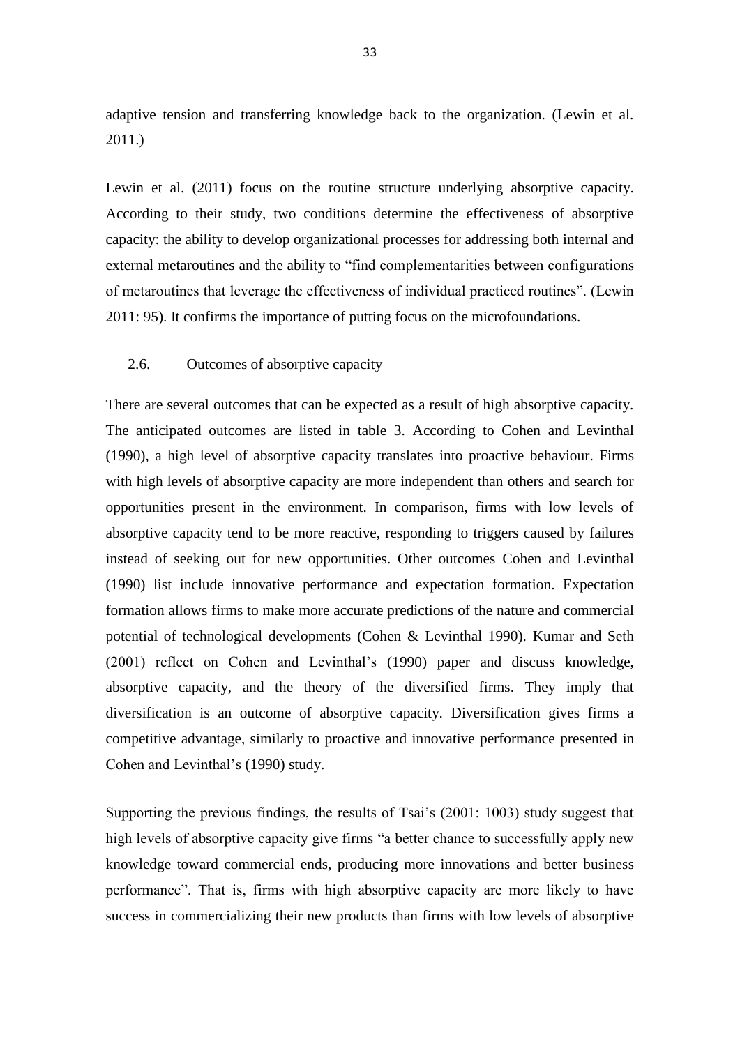adaptive tension and transferring knowledge back to the organization. (Lewin et al. 2011.)

Lewin et al. (2011) focus on the routine structure underlying absorptive capacity. According to their study, two conditions determine the effectiveness of absorptive capacity: the ability to develop organizational processes for addressing both internal and external metaroutines and the ability to "find complementarities between configurations of metaroutines that leverage the effectiveness of individual practiced routines". (Lewin 2011: 95). It confirms the importance of putting focus on the microfoundations.

#### <span id="page-34-0"></span>2.6. Outcomes of absorptive capacity

There are several outcomes that can be expected as a result of high absorptive capacity. The anticipated outcomes are listed in table 3. According to Cohen and Levinthal (1990), a high level of absorptive capacity translates into proactive behaviour. Firms with high levels of absorptive capacity are more independent than others and search for opportunities present in the environment. In comparison, firms with low levels of absorptive capacity tend to be more reactive, responding to triggers caused by failures instead of seeking out for new opportunities. Other outcomes Cohen and Levinthal (1990) list include innovative performance and expectation formation. Expectation formation allows firms to make more accurate predictions of the nature and commercial potential of technological developments (Cohen & Levinthal 1990). Kumar and Seth (2001) reflect on Cohen and Levinthal's (1990) paper and discuss knowledge, absorptive capacity, and the theory of the diversified firms. They imply that diversification is an outcome of absorptive capacity. Diversification gives firms a competitive advantage, similarly to proactive and innovative performance presented in Cohen and Levinthal's (1990) study.

Supporting the previous findings, the results of Tsai's (2001: 1003) study suggest that high levels of absorptive capacity give firms "a better chance to successfully apply new knowledge toward commercial ends, producing more innovations and better business performance". That is, firms with high absorptive capacity are more likely to have success in commercializing their new products than firms with low levels of absorptive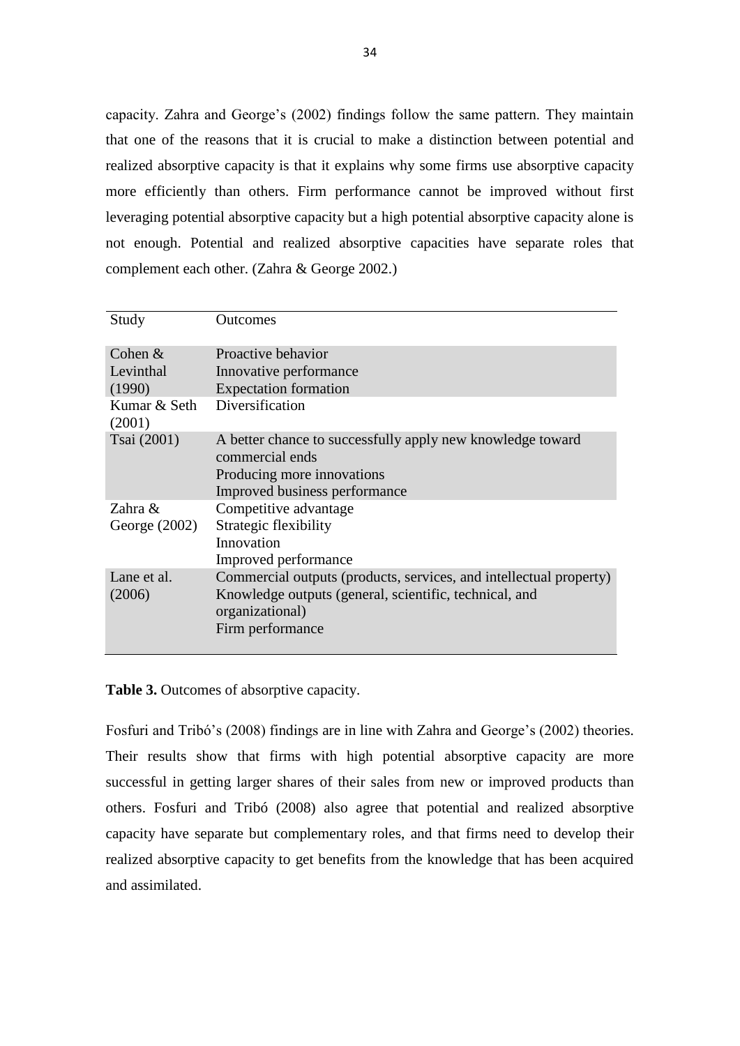capacity. Zahra and George's (2002) findings follow the same pattern. They maintain that one of the reasons that it is crucial to make a distinction between potential and realized absorptive capacity is that it explains why some firms use absorptive capacity more efficiently than others. Firm performance cannot be improved without first leveraging potential absorptive capacity but a high potential absorptive capacity alone is not enough. Potential and realized absorptive capacities have separate roles that complement each other. (Zahra & George 2002.)

| Study                  | <b>Outcomes</b>                                                                                                                                                     |
|------------------------|---------------------------------------------------------------------------------------------------------------------------------------------------------------------|
| Cohen $&$              | Proactive behavior                                                                                                                                                  |
| Levinthal              | Innovative performance                                                                                                                                              |
| (1990)                 | <b>Expectation formation</b>                                                                                                                                        |
| Kumar & Seth<br>(2001) | Diversification                                                                                                                                                     |
| Tsai (2001)            | A better chance to successfully apply new knowledge toward<br>commercial ends<br>Producing more innovations<br>Improved business performance                        |
| Zahra &                | Competitive advantage                                                                                                                                               |
| George $(2002)$        | Strategic flexibility                                                                                                                                               |
|                        | Innovation                                                                                                                                                          |
|                        | Improved performance                                                                                                                                                |
| Lane et al.<br>(2006)  | Commercial outputs (products, services, and intellectual property)<br>Knowledge outputs (general, scientific, technical, and<br>organizational)<br>Firm performance |

**Table 3.** Outcomes of absorptive capacity.

Fosfuri and Tribó's (2008) findings are in line with Zahra and George's (2002) theories. Their results show that firms with high potential absorptive capacity are more successful in getting larger shares of their sales from new or improved products than others. Fosfuri and Tribó (2008) also agree that potential and realized absorptive capacity have separate but complementary roles, and that firms need to develop their realized absorptive capacity to get benefits from the knowledge that has been acquired and assimilated.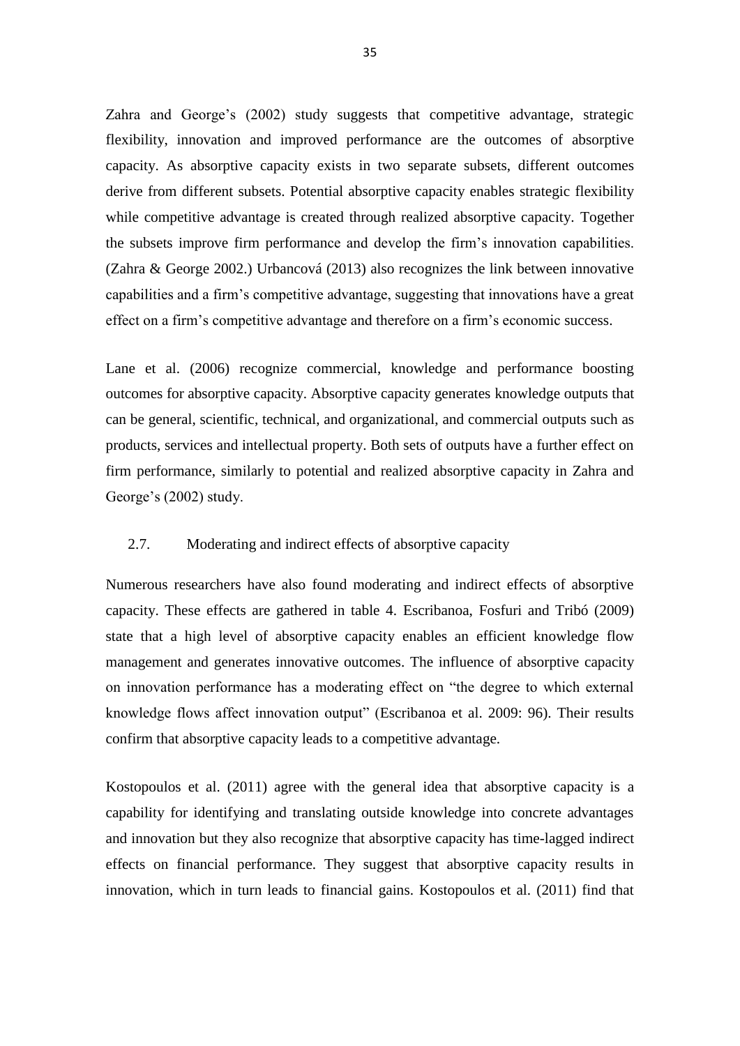Zahra and George's (2002) study suggests that competitive advantage, strategic flexibility, innovation and improved performance are the outcomes of absorptive capacity. As absorptive capacity exists in two separate subsets, different outcomes derive from different subsets. Potential absorptive capacity enables strategic flexibility while competitive advantage is created through realized absorptive capacity. Together the subsets improve firm performance and develop the firm's innovation capabilities. (Zahra & George 2002.) Urbancová (2013) also recognizes the link between innovative capabilities and a firm's competitive advantage, suggesting that innovations have a great effect on a firm's competitive advantage and therefore on a firm's economic success.

Lane et al. (2006) recognize commercial, knowledge and performance boosting outcomes for absorptive capacity. Absorptive capacity generates knowledge outputs that can be general, scientific, technical, and organizational, and commercial outputs such as products, services and intellectual property. Both sets of outputs have a further effect on firm performance, similarly to potential and realized absorptive capacity in Zahra and George's (2002) study.

# 2.7. Moderating and indirect effects of absorptive capacity

Numerous researchers have also found moderating and indirect effects of absorptive capacity. These effects are gathered in table 4. Escribanoa, Fosfuri and Tribó (2009) state that a high level of absorptive capacity enables an efficient knowledge flow management and generates innovative outcomes. The influence of absorptive capacity on innovation performance has a moderating effect on "the degree to which external knowledge flows affect innovation output" (Escribanoa et al. 2009: 96). Their results confirm that absorptive capacity leads to a competitive advantage.

Kostopoulos et al. (2011) agree with the general idea that absorptive capacity is a capability for identifying and translating outside knowledge into concrete advantages and innovation but they also recognize that absorptive capacity has time-lagged indirect effects on financial performance. They suggest that absorptive capacity results in innovation, which in turn leads to financial gains. Kostopoulos et al. (2011) find that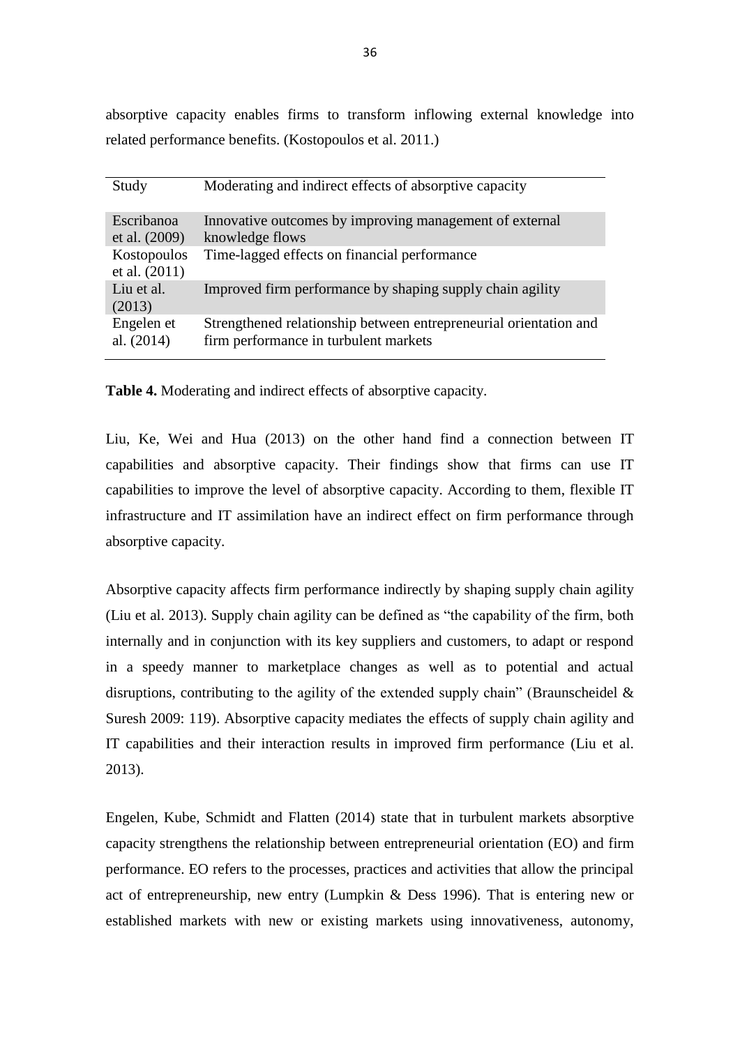absorptive capacity enables firms to transform inflowing external knowledge into related performance benefits. (Kostopoulos et al. 2011.)

| Study                        | Moderating and indirect effects of absorptive capacity                                                     |
|------------------------------|------------------------------------------------------------------------------------------------------------|
| Escribanoa<br>et al. (2009)  | Innovative outcomes by improving management of external<br>knowledge flows                                 |
| Kostopoulos<br>et al. (2011) | Time-lagged effects on financial performance                                                               |
| Liu et al.<br>(2013)         | Improved firm performance by shaping supply chain agility                                                  |
| Engelen et<br>al. $(2014)$   | Strengthened relationship between entrepreneurial orientation and<br>firm performance in turbulent markets |

**Table 4.** Moderating and indirect effects of absorptive capacity.

Liu, Ke, Wei and Hua (2013) on the other hand find a connection between IT capabilities and absorptive capacity. Their findings show that firms can use IT capabilities to improve the level of absorptive capacity. According to them, flexible IT infrastructure and IT assimilation have an indirect effect on firm performance through absorptive capacity.

Absorptive capacity affects firm performance indirectly by shaping supply chain agility (Liu et al. 2013). Supply chain agility can be defined as "the capability of the firm, both internally and in conjunction with its key suppliers and customers, to adapt or respond in a speedy manner to marketplace changes as well as to potential and actual disruptions, contributing to the agility of the extended supply chain" (Braunscheidel  $\&$ Suresh 2009: 119). Absorptive capacity mediates the effects of supply chain agility and IT capabilities and their interaction results in improved firm performance (Liu et al. 2013).

Engelen, Kube, Schmidt and Flatten (2014) state that in turbulent markets absorptive capacity strengthens the relationship between entrepreneurial orientation (EO) and firm performance. EO refers to the processes, practices and activities that allow the principal act of entrepreneurship, new entry (Lumpkin & Dess 1996). That is entering new or established markets with new or existing markets using innovativeness, autonomy,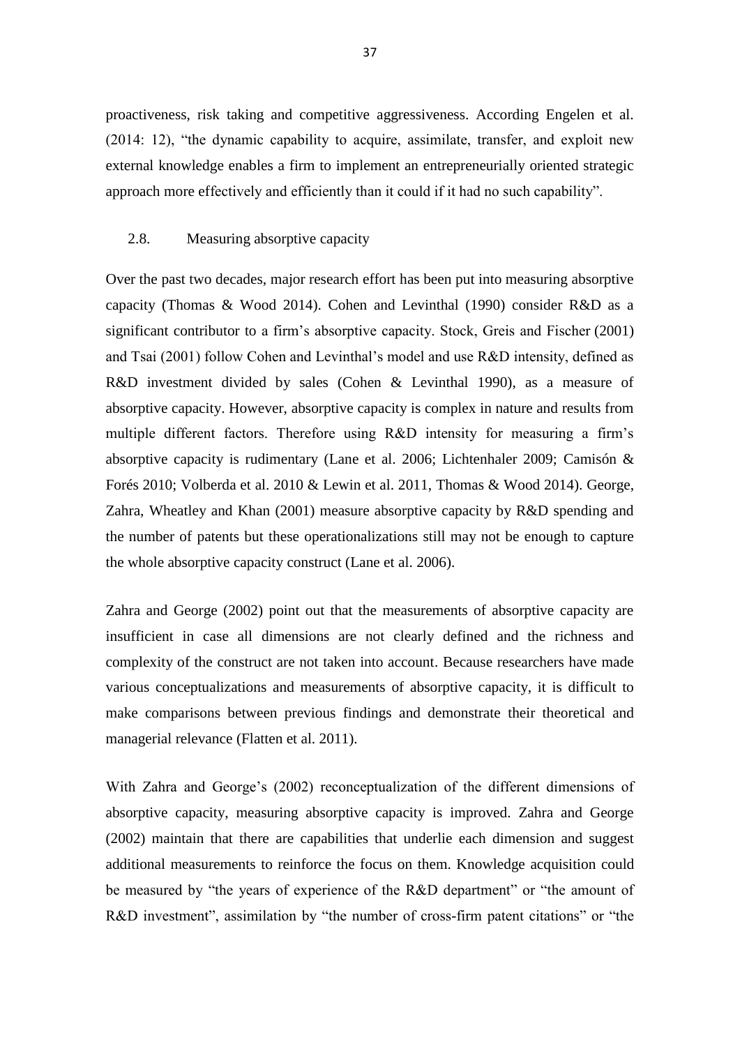proactiveness, risk taking and competitive aggressiveness. According Engelen et al. (2014: 12), "the dynamic capability to acquire, assimilate, transfer, and exploit new external knowledge enables a firm to implement an entrepreneurially oriented strategic approach more effectively and efficiently than it could if it had no such capability".

## 2.8. Measuring absorptive capacity

Over the past two decades, major research effort has been put into measuring absorptive capacity (Thomas & Wood 2014). Cohen and Levinthal (1990) consider R&D as a significant contributor to a firm's absorptive capacity. Stock, Greis and Fischer (2001) and Tsai (2001) follow Cohen and Levinthal's model and use R&D intensity, defined as R&D investment divided by sales (Cohen & Levinthal 1990), as a measure of absorptive capacity. However, absorptive capacity is complex in nature and results from multiple different factors. Therefore using R&D intensity for measuring a firm's absorptive capacity is rudimentary (Lane et al. 2006; Lichtenhaler 2009; [Camisón](http://www.sciencedirect.com.proxy.tritonia.fi/science/article/pii/S0148296309001477) & Forés 2010; Volberda et al. 2010 & Lewin et al. 2011, Thomas & Wood 2014). George, Zahra, Wheatley and Khan (2001) measure absorptive capacity by R&D spending and the number of patents but these operationalizations still may not be enough to capture the whole absorptive capacity construct (Lane et al. 2006).

Zahra and George (2002) point out that the measurements of absorptive capacity are insufficient in case all dimensions are not clearly defined and the richness and complexity of the construct are not taken into account. Because researchers have made various conceptualizations and measurements of absorptive capacity, it is difficult to make comparisons between previous findings and demonstrate their theoretical and managerial relevance (Flatten et al. 2011).

With Zahra and George's (2002) reconceptualization of the different dimensions of absorptive capacity, measuring absorptive capacity is improved. Zahra and George (2002) maintain that there are capabilities that underlie each dimension and suggest additional measurements to reinforce the focus on them. Knowledge acquisition could be measured by "the years of experience of the R&D department" or "the amount of R&D investment", assimilation by "the number of cross-firm patent citations" or "the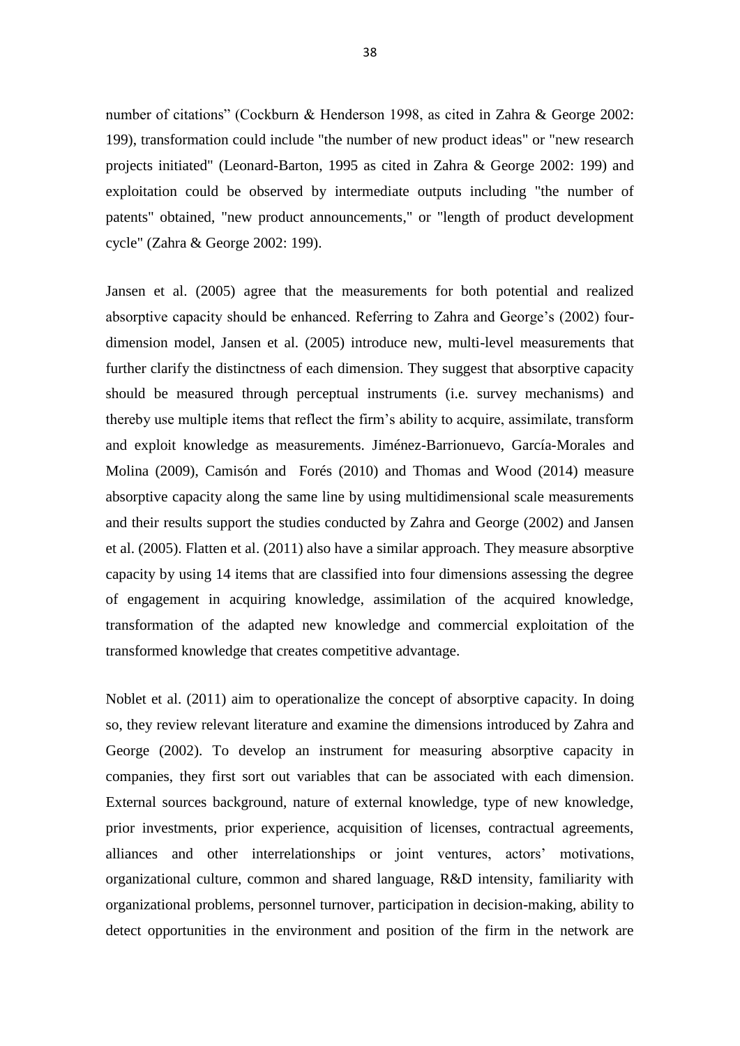number of citations" (Cockburn & Henderson 1998, as cited in Zahra & George 2002: 199), transformation could include "the number of new product ideas" or "new research projects initiated" (Leonard-Barton, 1995 as cited in Zahra & George 2002: 199) and exploitation could be observed by intermediate outputs including "the number of patents" obtained, "new product announcements," or "length of product development cycle" (Zahra & George 2002: 199).

Jansen et al. (2005) agree that the measurements for both potential and realized absorptive capacity should be enhanced. Referring to Zahra and George's (2002) fourdimension model, Jansen et al. (2005) introduce new, multi-level measurements that further clarify the distinctness of each dimension. They suggest that absorptive capacity should be measured through perceptual instruments (i.e. survey mechanisms) and thereby use multiple items that reflect the firm's ability to acquire, assimilate, transform and exploit knowledge as measurements. [Jiménez-Barrionuevo,](http://www.sciencedirect.com.proxy.tritonia.fi/science/article/pii/S016649721000132X) [García-Morales](http://www.sciencedirect.com.proxy.tritonia.fi/science/article/pii/S016649721000132X) and [Molina](http://www.sciencedirect.com.proxy.tritonia.fi/science/article/pii/S016649721000132X) (2009), [Camisón](http://www.sciencedirect.com.proxy.tritonia.fi/science/article/pii/S0148296309001477) and Forés (2010) and Thomas and Wood (2014) measure absorptive capacity along the same line by using multidimensional scale measurements and their results support the studies conducted by Zahra and George (2002) and Jansen et al. (2005). Flatten et al. (2011) also have a similar approach. They measure absorptive capacity by using 14 items that are classified into four dimensions assessing the degree of engagement in acquiring knowledge, assimilation of the acquired knowledge, transformation of the adapted new knowledge and commercial exploitation of the transformed knowledge that creates competitive advantage.

Noblet et al. (2011) aim to operationalize the concept of absorptive capacity. In doing so, they review relevant literature and examine the dimensions introduced by Zahra and George (2002). To develop an instrument for measuring absorptive capacity in companies, they first sort out variables that can be associated with each dimension. External sources background, nature of external knowledge, type of new knowledge, prior investments, prior experience, acquisition of licenses, contractual agreements, alliances and other interrelationships or joint ventures, actors' motivations, organizational culture, common and shared language, R&D intensity, familiarity with organizational problems, personnel turnover, participation in decision-making, ability to detect opportunities in the environment and position of the firm in the network are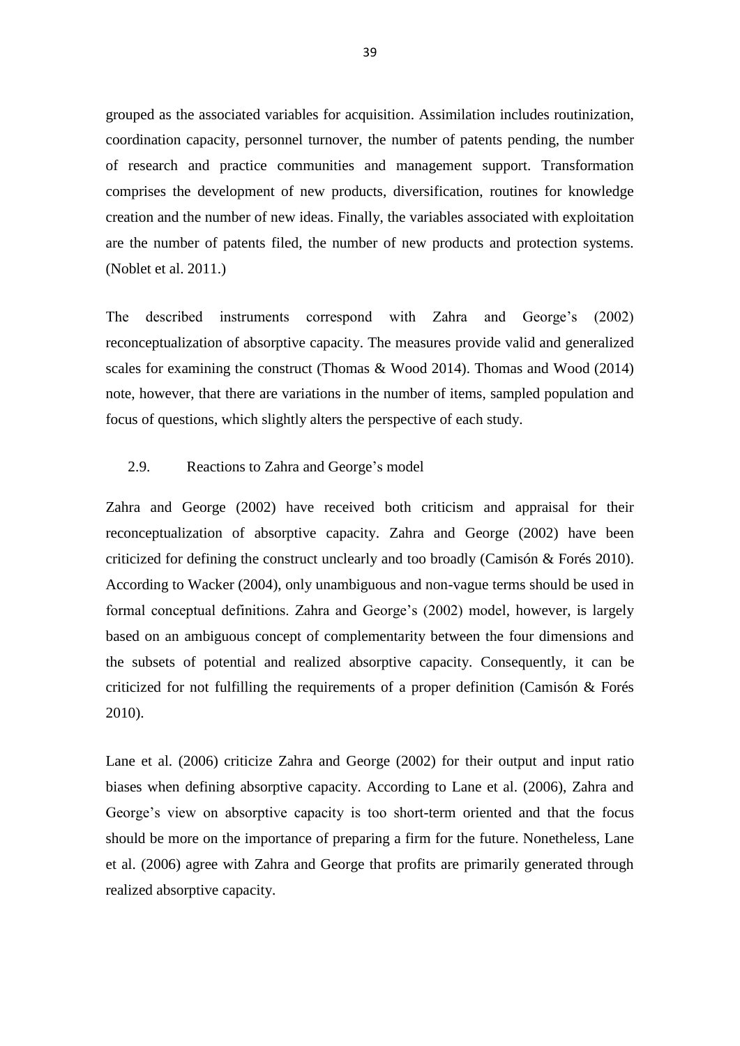grouped as the associated variables for acquisition. Assimilation includes routinization, coordination capacity, personnel turnover, the number of patents pending, the number of research and practice communities and management support. Transformation comprises the development of new products, diversification, routines for knowledge creation and the number of new ideas. Finally, the variables associated with exploitation are the number of patents filed, the number of new products and protection systems. (Noblet et al. 2011.)

The described instruments correspond with Zahra and George's (2002) reconceptualization of absorptive capacity. The measures provide valid and generalized scales for examining the construct (Thomas & Wood 2014). Thomas and Wood (2014) note, however, that there are variations in the number of items, sampled population and focus of questions, which slightly alters the perspective of each study.

### 2.9. Reactions to Zahra and George's model

Zahra and George (2002) have received both criticism and appraisal for their reconceptualization of absorptive capacity. Zahra and George (2002) have been criticized for defining the construct unclearly and too broadly [\(Camisón](http://www.sciencedirect.com.proxy.tritonia.fi/science/article/pii/S0148296309001477) & Forés 2010). According to Wacker (2004), only unambiguous and non-vague terms should be used in formal conceptual definitions. Zahra and George's (2002) model, however, is largely based on an ambiguous concept of complementarity between the four dimensions and the subsets of potential and realized absorptive capacity. Consequently, it can be criticized for not fulfilling the requirements of a proper definition [\(Camisón](http://www.sciencedirect.com.proxy.tritonia.fi/science/article/pii/S0148296309001477) & Forés 2010).

Lane et al. (2006) criticize Zahra and George (2002) for their output and input ratio biases when defining absorptive capacity. According to Lane et al. (2006), Zahra and George's view on absorptive capacity is too short-term oriented and that the focus should be more on the importance of preparing a firm for the future. Nonetheless, Lane et al. (2006) agree with Zahra and George that profits are primarily generated through realized absorptive capacity.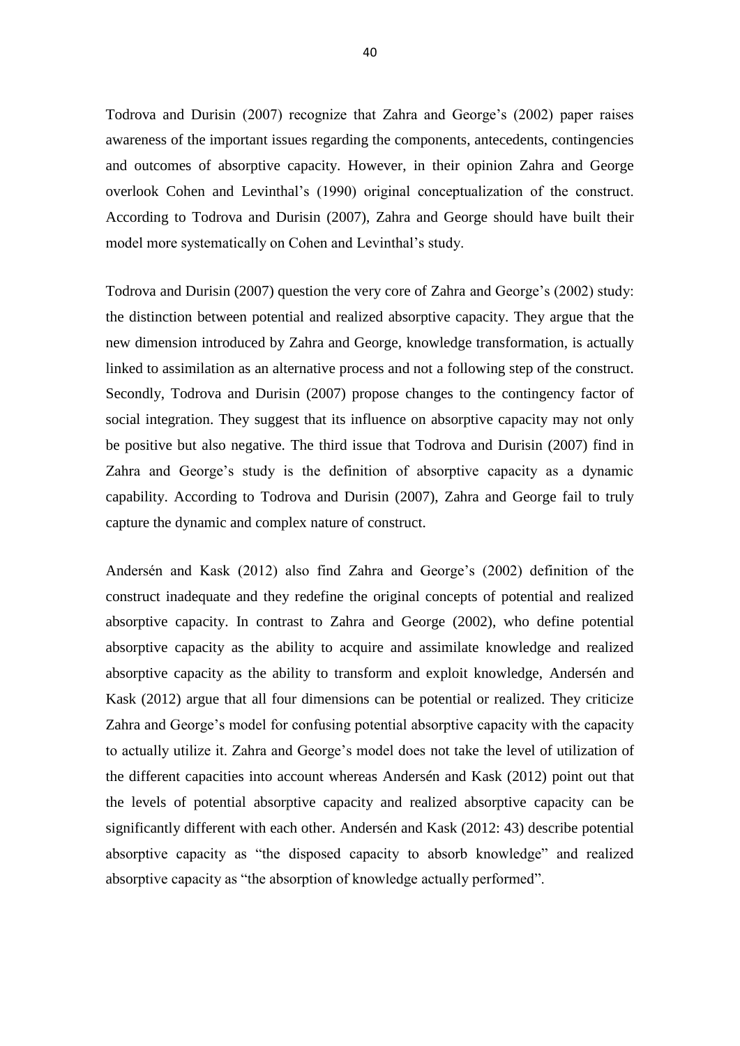Todrova and Durisin (2007) recognize that Zahra and George's (2002) paper raises awareness of the important issues regarding the components, antecedents, contingencies and outcomes of absorptive capacity. However, in their opinion Zahra and George overlook Cohen and Levinthal's (1990) original conceptualization of the construct. According to Todrova and Durisin (2007), Zahra and George should have built their model more systematically on Cohen and Levinthal's study.

Todrova and Durisin (2007) question the very core of Zahra and George's (2002) study: the distinction between potential and realized absorptive capacity. They argue that the new dimension introduced by Zahra and George, knowledge transformation, is actually linked to assimilation as an alternative process and not a following step of the construct. Secondly, Todrova and Durisin (2007) propose changes to the contingency factor of social integration. They suggest that its influence on absorptive capacity may not only be positive but also negative. The third issue that Todrova and Durisin (2007) find in Zahra and George's study is the definition of absorptive capacity as a dynamic capability. According to Todrova and Durisin (2007), Zahra and George fail to truly capture the dynamic and complex nature of construct.

Andersén and Kask (2012) also find Zahra and George's (2002) definition of the construct inadequate and they redefine the original concepts of potential and realized absorptive capacity. In contrast to Zahra and George (2002), who define potential absorptive capacity as the ability to acquire and assimilate knowledge and realized absorptive capacity as the ability to transform and exploit knowledge, Andersén and Kask (2012) argue that all four dimensions can be potential or realized. They criticize Zahra and George's model for confusing potential absorptive capacity with the capacity to actually utilize it. Zahra and George's model does not take the level of utilization of the different capacities into account whereas Andersén and Kask (2012) point out that the levels of potential absorptive capacity and realized absorptive capacity can be significantly different with each other. Andersén and Kask (2012: 43) describe potential absorptive capacity as "the disposed capacity to absorb knowledge" and realized absorptive capacity as "the absorption of knowledge actually performed".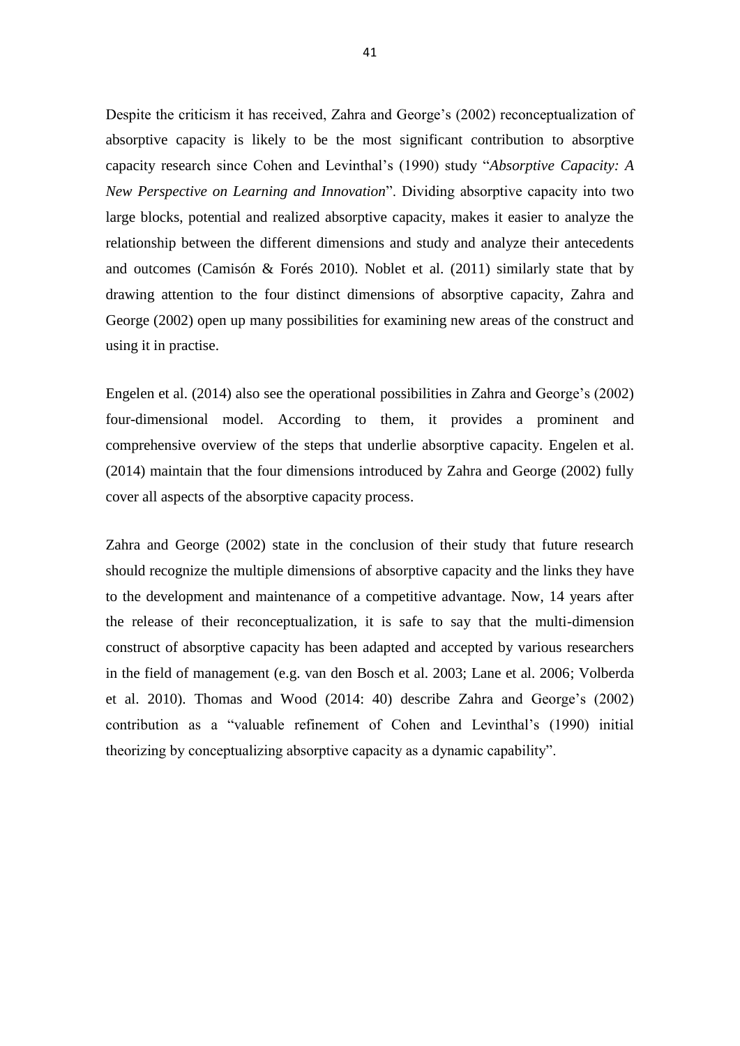Despite the criticism it has received, Zahra and George's (2002) reconceptualization of absorptive capacity is likely to be the most significant contribution to absorptive capacity research since Cohen and Levinthal's (1990) study "*Absorptive Capacity: A New Perspective on Learning and Innovation*". Dividing absorptive capacity into two large blocks, potential and realized absorptive capacity, makes it easier to analyze the relationship between the different dimensions and study and analyze their antecedents and outcomes [\(Camisón](http://www.sciencedirect.com.proxy.tritonia.fi/science/article/pii/S0148296309001477) & Forés 2010). Noblet et al. (2011) similarly state that by drawing attention to the four distinct dimensions of absorptive capacity, Zahra and George (2002) open up many possibilities for examining new areas of the construct and using it in practise.

Engelen et al. (2014) also see the operational possibilities in Zahra and George's (2002) four-dimensional model. According to them, it provides a prominent and comprehensive overview of the steps that underlie absorptive capacity. Engelen et al. (2014) maintain that the four dimensions introduced by Zahra and George (2002) fully cover all aspects of the absorptive capacity process.

Zahra and George (2002) state in the conclusion of their study that future research should recognize the multiple dimensions of absorptive capacity and the links they have to the development and maintenance of a competitive advantage. Now, 14 years after the release of their reconceptualization, it is safe to say that the multi-dimension construct of absorptive capacity has been adapted and accepted by various researchers in the field of management (e.g. van den Bosch et al. 2003; Lane et al. 2006; Volberda et al. 2010). Thomas and Wood (2014: 40) describe Zahra and George's (2002) contribution as a "valuable refinement of Cohen and Levinthal's (1990) initial theorizing by conceptualizing absorptive capacity as a dynamic capability".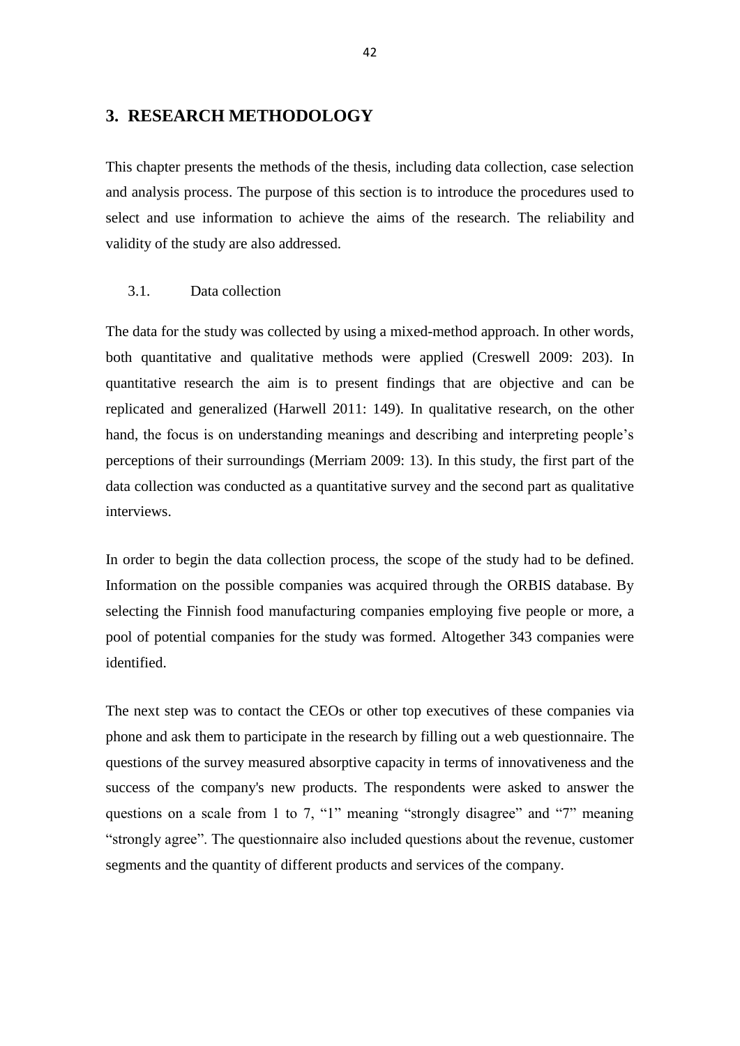# **3. RESEARCH METHODOLOGY**

This chapter presents the methods of the thesis, including data collection, case selection and analysis process. The purpose of this section is to introduce the procedures used to select and use information to achieve the aims of the research. The reliability and validity of the study are also addressed.

## 3.1. Data collection

The data for the study was collected by using a mixed-method approach. In other words, both quantitative and qualitative methods were applied (Creswell 2009: 203). In quantitative research the aim is to present findings that are objective and can be replicated and generalized (Harwell 2011: 149). In qualitative research, on the other hand, the focus is on understanding meanings and describing and interpreting people's perceptions of their surroundings (Merriam 2009: 13). In this study, the first part of the data collection was conducted as a quantitative survey and the second part as qualitative interviews.

In order to begin the data collection process, the scope of the study had to be defined. Information on the possible companies was acquired through the ORBIS database. By selecting the Finnish food manufacturing companies employing five people or more, a pool of potential companies for the study was formed. Altogether 343 companies were identified.

The next step was to contact the CEOs or other top executives of these companies via phone and ask them to participate in the research by filling out a web questionnaire. The questions of the survey measured absorptive capacity in terms of innovativeness and the success of the company's new products. The respondents were asked to answer the questions on a scale from 1 to 7, "1" meaning "strongly disagree" and "7" meaning "strongly agree". The questionnaire also included questions about the revenue, customer segments and the quantity of different products and services of the company.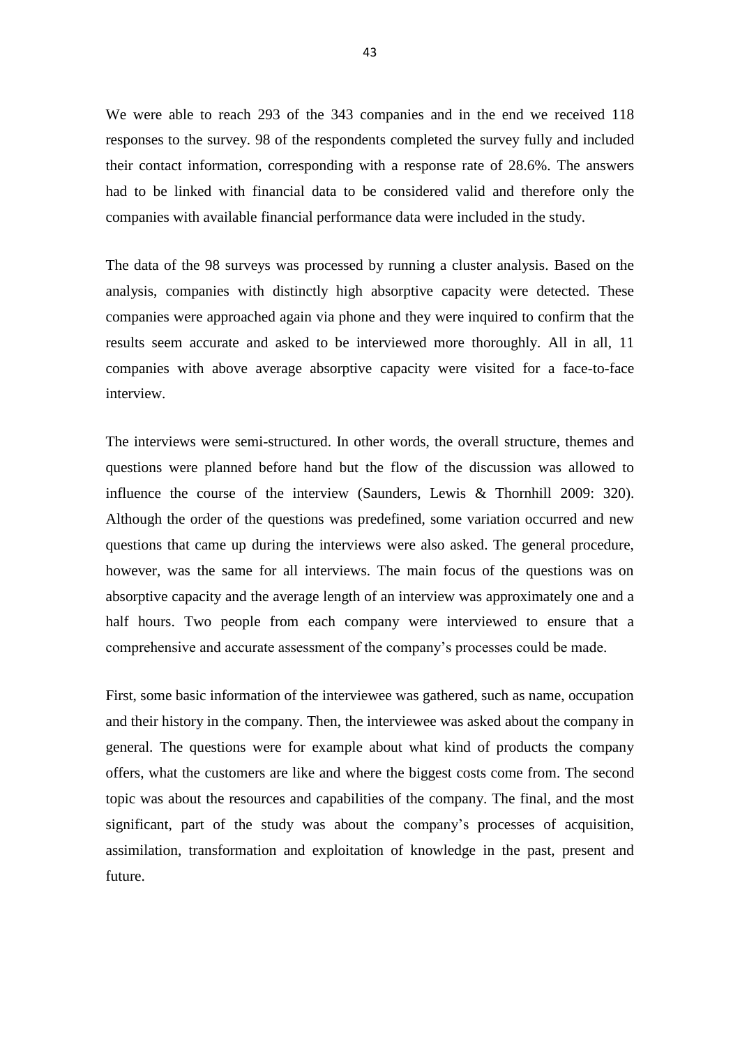We were able to reach 293 of the 343 companies and in the end we received 118 responses to the survey. 98 of the respondents completed the survey fully and included their contact information, corresponding with a response rate of 28.6%. The answers had to be linked with financial data to be considered valid and therefore only the companies with available financial performance data were included in the study.

The data of the 98 surveys was processed by running a cluster analysis. Based on the analysis, companies with distinctly high absorptive capacity were detected. These companies were approached again via phone and they were inquired to confirm that the results seem accurate and asked to be interviewed more thoroughly. All in all, 11 companies with above average absorptive capacity were visited for a face-to-face interview.

The interviews were semi-structured. In other words, the overall structure, themes and questions were planned before hand but the flow of the discussion was allowed to influence the course of the interview (Saunders, Lewis & Thornhill 2009: 320). Although the order of the questions was predefined, some variation occurred and new questions that came up during the interviews were also asked. The general procedure, however, was the same for all interviews. The main focus of the questions was on absorptive capacity and the average length of an interview was approximately one and a half hours. Two people from each company were interviewed to ensure that a comprehensive and accurate assessment of the company's processes could be made.

First, some basic information of the interviewee was gathered, such as name, occupation and their history in the company. Then, the interviewee was asked about the company in general. The questions were for example about what kind of products the company offers, what the customers are like and where the biggest costs come from. The second topic was about the resources and capabilities of the company. The final, and the most significant, part of the study was about the company's processes of acquisition, assimilation, transformation and exploitation of knowledge in the past, present and future.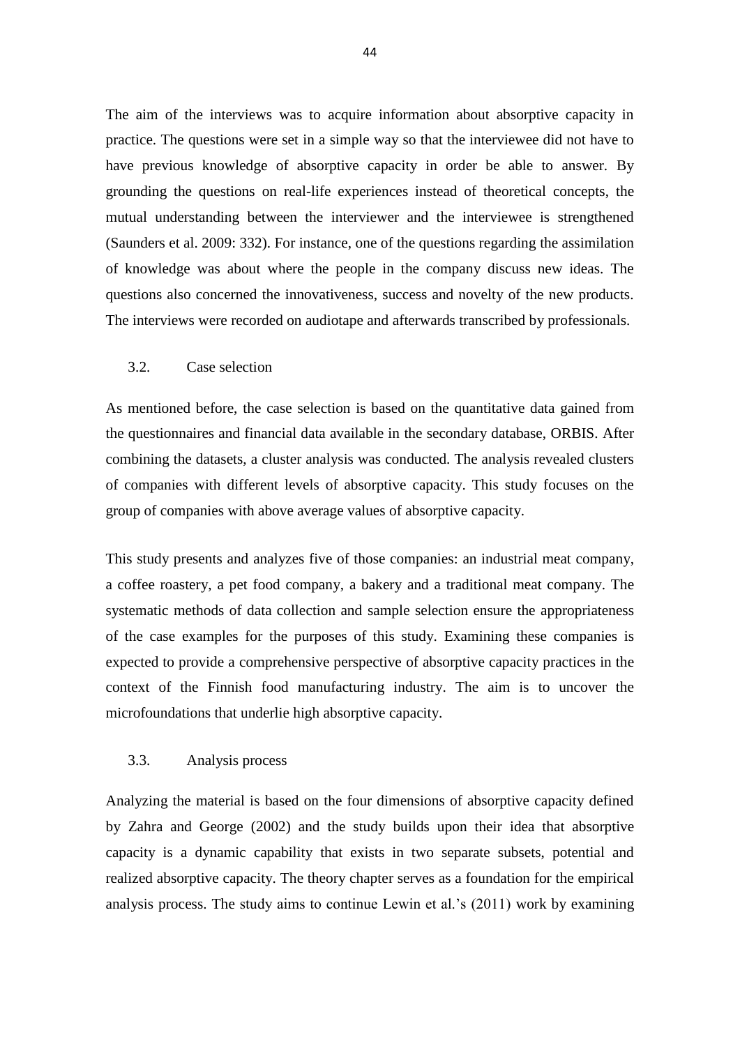The aim of the interviews was to acquire information about absorptive capacity in practice. The questions were set in a simple way so that the interviewee did not have to have previous knowledge of absorptive capacity in order be able to answer. By grounding the questions on real-life experiences instead of theoretical concepts, the mutual understanding between the interviewer and the interviewee is strengthened (Saunders et al. 2009: 332). For instance, one of the questions regarding the assimilation of knowledge was about where the people in the company discuss new ideas. The questions also concerned the innovativeness, success and novelty of the new products. The interviews were recorded on audiotape and afterwards transcribed by professionals.

### 3.2. Case selection

As mentioned before, the case selection is based on the quantitative data gained from the questionnaires and financial data available in the secondary database, ORBIS. After combining the datasets, a cluster analysis was conducted. The analysis revealed clusters of companies with different levels of absorptive capacity. This study focuses on the group of companies with above average values of absorptive capacity.

This study presents and analyzes five of those companies: an industrial meat company, a coffee roastery, a pet food company, a bakery and a traditional meat company. The systematic methods of data collection and sample selection ensure the appropriateness of the case examples for the purposes of this study. Examining these companies is expected to provide a comprehensive perspective of absorptive capacity practices in the context of the Finnish food manufacturing industry. The aim is to uncover the microfoundations that underlie high absorptive capacity.

#### 3.3. Analysis process

Analyzing the material is based on the four dimensions of absorptive capacity defined by Zahra and George (2002) and the study builds upon their idea that absorptive capacity is a dynamic capability that exists in two separate subsets, potential and realized absorptive capacity. The theory chapter serves as a foundation for the empirical analysis process. The study aims to continue Lewin et al.'s (2011) work by examining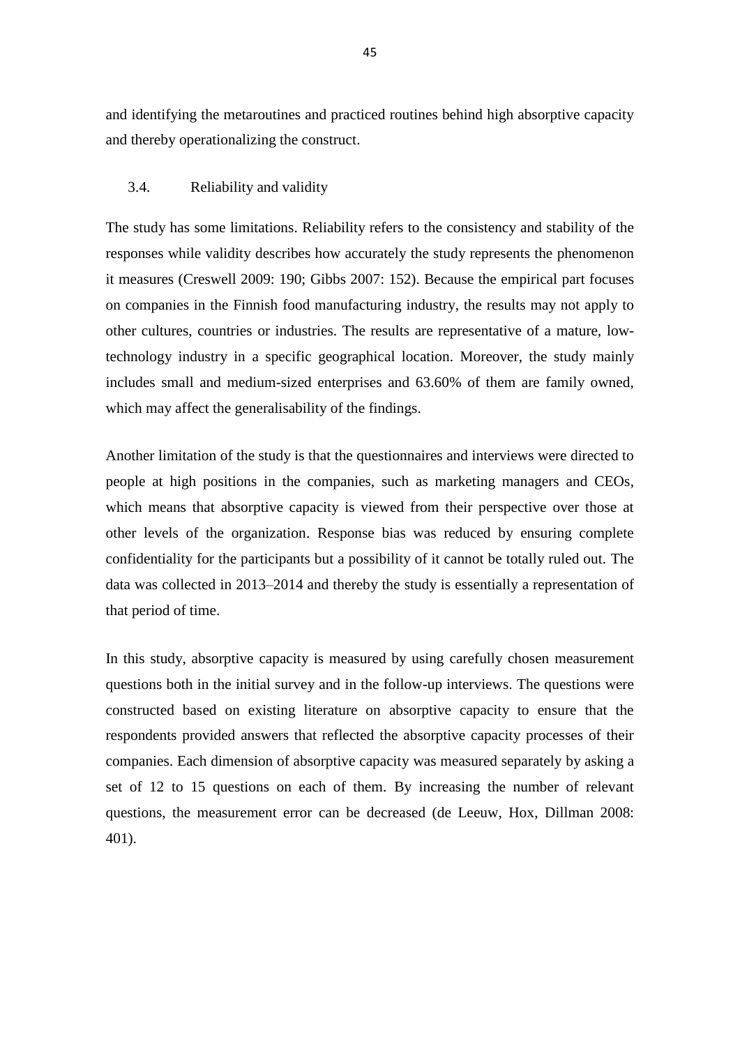and identifying the metaroutines and practiced routines behind high absorptive capacity and thereby operationalizing the construct.

## 3.4. Reliability and validity

The study has some limitations. Reliability refers to the consistency and stability of the responses while validity describes how accurately the study represents the phenomenon it measures (Creswell 2009: 190; Gibbs 2007: 152). Because the empirical part focuses on companies in the Finnish food manufacturing industry, the results may not apply to other cultures, countries or industries. The results are representative of a mature, lowtechnology industry in a specific geographical location. Moreover, the study mainly includes small and medium-sized enterprises and 63.60% of them are family owned, which may affect the generalisability of the findings.

Another limitation of the study is that the questionnaires and interviews were directed to people at high positions in the companies, such as marketing managers and CEOs, which means that absorptive capacity is viewed from their perspective over those at other levels of the organization. Response bias was reduced by ensuring complete confidentiality for the participants but a possibility of it cannot be totally ruled out. The data was collected in 2013–2014 and thereby the study is essentially a representation of that period of time.

In this study, absorptive capacity is measured by using carefully chosen measurement questions both in the initial survey and in the follow-up interviews. The questions were constructed based on existing literature on absorptive capacity to ensure that the respondents provided answers that reflected the absorptive capacity processes of their companies. Each dimension of absorptive capacity was measured separately by asking a set of 12 to 15 questions on each of them. By increasing the number of relevant questions, the measurement error can be decreased (de Leeuw, Hox, Dillman 2008: 401).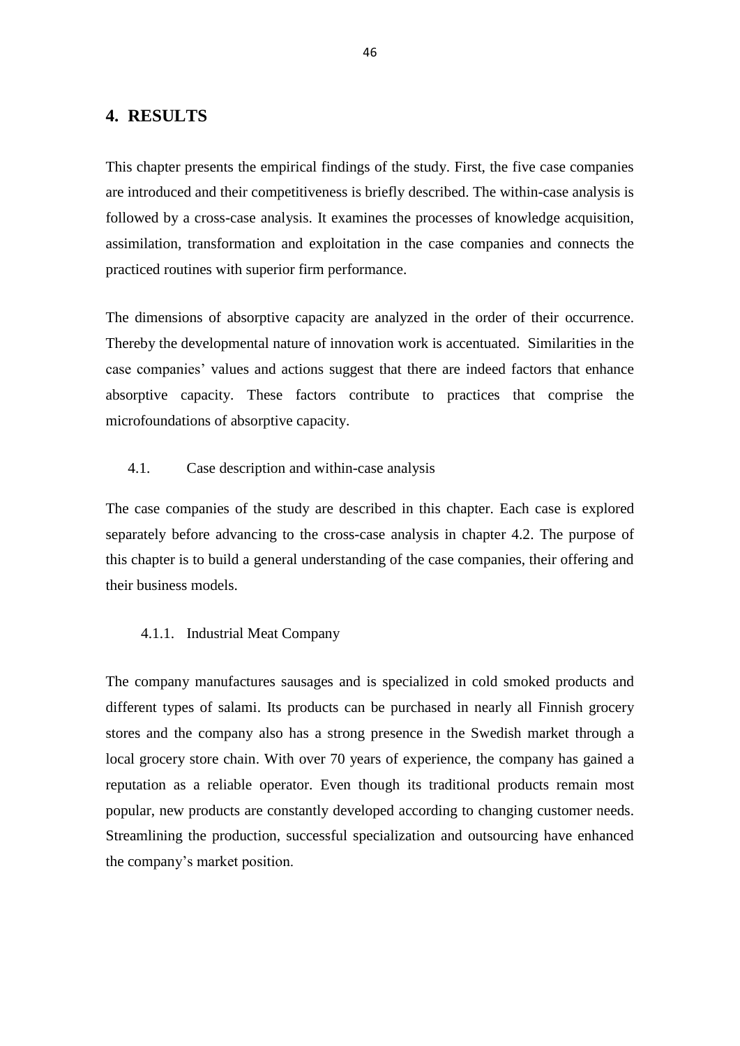# **4. RESULTS**

This chapter presents the empirical findings of the study. First, the five case companies are introduced and their competitiveness is briefly described. The within-case analysis is followed by a cross-case analysis. It examines the processes of knowledge acquisition, assimilation, transformation and exploitation in the case companies and connects the practiced routines with superior firm performance.

The dimensions of absorptive capacity are analyzed in the order of their occurrence. Thereby the developmental nature of innovation work is accentuated. Similarities in the case companies' values and actions suggest that there are indeed factors that enhance absorptive capacity. These factors contribute to practices that comprise the microfoundations of absorptive capacity.

## 4.1. Case description and within-case analysis

The case companies of the study are described in this chapter. Each case is explored separately before advancing to the cross-case analysis in chapter 4.2. The purpose of this chapter is to build a general understanding of the case companies, their offering and their business models.

### 4.1.1. Industrial Meat Company

The company manufactures sausages and is specialized in cold smoked products and different types of salami. Its products can be purchased in nearly all Finnish grocery stores and the company also has a strong presence in the Swedish market through a local grocery store chain. With over 70 years of experience, the company has gained a reputation as a reliable operator. Even though its traditional products remain most popular, new products are constantly developed according to changing customer needs. Streamlining the production, successful specialization and outsourcing have enhanced the company's market position.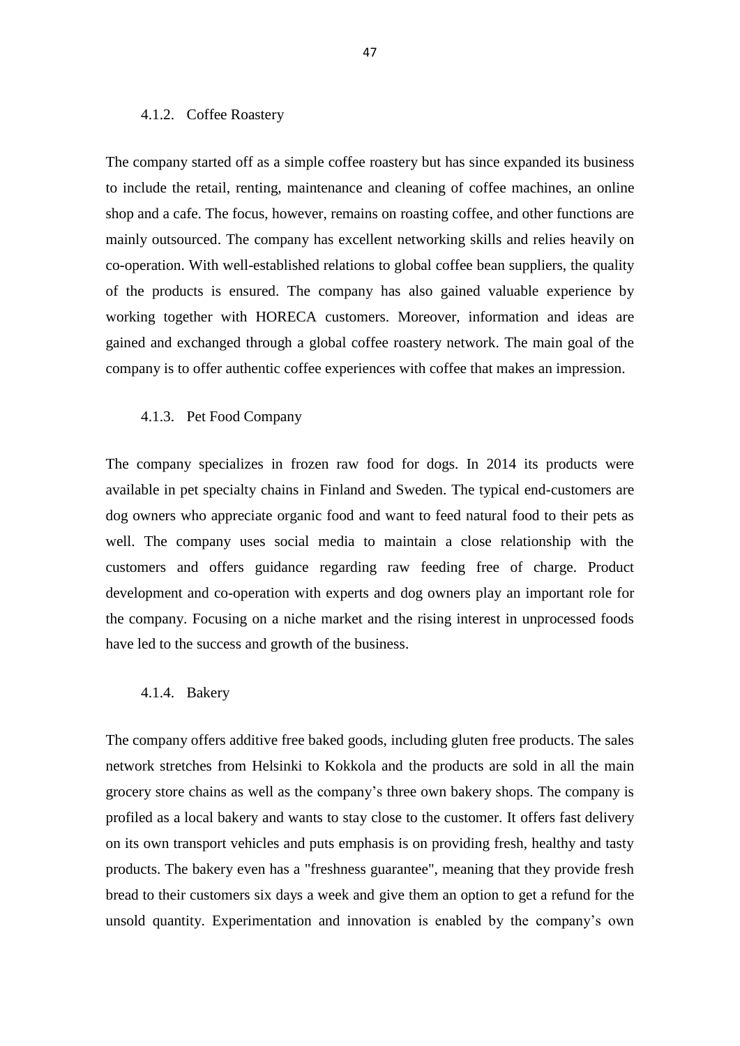#### 4.1.2. Coffee Roastery

The company started off as a simple coffee roastery but has since expanded its business to include the retail, renting, maintenance and cleaning of coffee machines, an online shop and a cafe. The focus, however, remains on roasting coffee, and other functions are mainly outsourced. The company has excellent networking skills and relies heavily on co-operation. With well-established relations to global coffee bean suppliers, the quality of the products is ensured. The company has also gained valuable experience by working together with HORECA customers. Moreover, information and ideas are gained and exchanged through a global coffee roastery network. The main goal of the company is to offer authentic coffee experiences with coffee that makes an impression.

### 4.1.3. Pet Food Company

The company specializes in frozen raw food for dogs. In 2014 its products were available in pet specialty chains in Finland and Sweden. The typical end-customers are dog owners who appreciate organic food and want to feed natural food to their pets as well. The company uses social media to maintain a close relationship with the customers and offers guidance regarding raw feeding free of charge. Product development and co-operation with experts and dog owners play an important role for the company. Focusing on a niche market and the rising interest in unprocessed foods have led to the success and growth of the business.

#### 4.1.4. Bakery

The company offers additive free baked goods, including gluten free products. The sales network stretches from Helsinki to Kokkola and the products are sold in all the main grocery store chains as well as the company's three own bakery shops. The company is profiled as a local bakery and wants to stay close to the customer. It offers fast delivery on its own transport vehicles and puts emphasis is on providing fresh, healthy and tasty products. The bakery even has a "freshness guarantee", meaning that they provide fresh bread to their customers six days a week and give them an option to get a refund for the unsold quantity. Experimentation and innovation is enabled by the company's own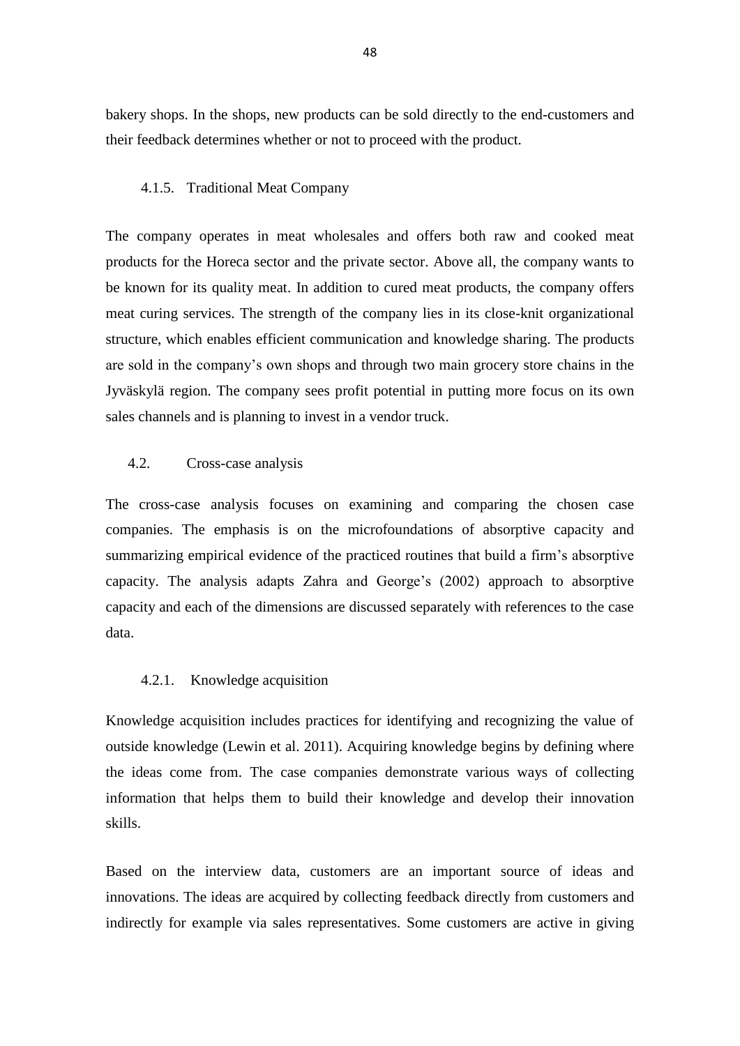bakery shops. In the shops, new products can be sold directly to the end-customers and their feedback determines whether or not to proceed with the product.

### 4.1.5. Traditional Meat Company

The company operates in meat wholesales and offers both raw and cooked meat products for the Horeca sector and the private sector. Above all, the company wants to be known for its quality meat. In addition to cured meat products, the company offers meat curing services. The strength of the company lies in its close-knit organizational structure, which enables efficient communication and knowledge sharing. The products are sold in the company's own shops and through two main grocery store chains in the Jyväskylä region. The company sees profit potential in putting more focus on its own sales channels and is planning to invest in a vendor truck.

#### 4.2. Cross-case analysis

The cross-case analysis focuses on examining and comparing the chosen case companies. The emphasis is on the microfoundations of absorptive capacity and summarizing empirical evidence of the practiced routines that build a firm's absorptive capacity. The analysis adapts Zahra and George's (2002) approach to absorptive capacity and each of the dimensions are discussed separately with references to the case data.

### 4.2.1. Knowledge acquisition

Knowledge acquisition includes practices for identifying and recognizing the value of outside knowledge (Lewin et al. 2011). Acquiring knowledge begins by defining where the ideas come from. The case companies demonstrate various ways of collecting information that helps them to build their knowledge and develop their innovation skills.

Based on the interview data, customers are an important source of ideas and innovations. The ideas are acquired by collecting feedback directly from customers and indirectly for example via sales representatives. Some customers are active in giving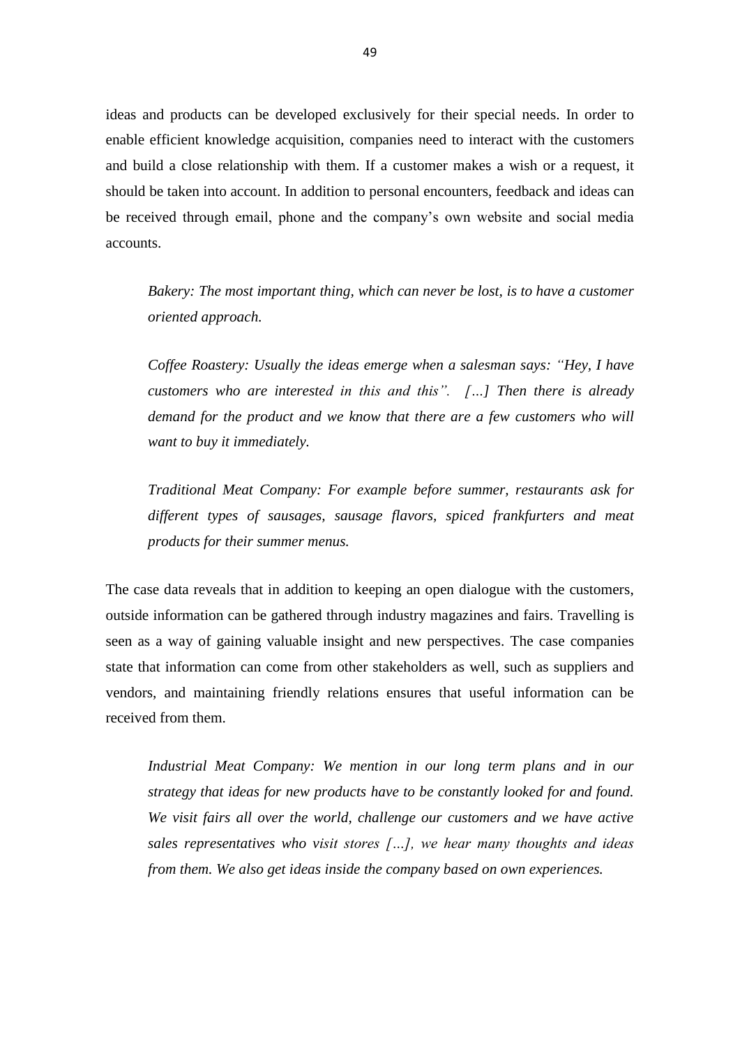ideas and products can be developed exclusively for their special needs. In order to enable efficient knowledge acquisition, companies need to interact with the customers and build a close relationship with them. If a customer makes a wish or a request, it should be taken into account. In addition to personal encounters, feedback and ideas can be received through email, phone and the company's own website and social media accounts.

*Bakery: The most important thing, which can never be lost, is to have a customer oriented approach.* 

*Coffee Roastery: Usually the ideas emerge when a salesman says: "Hey, I have customers who are interested in this and this". […] Then there is already*  demand for the product and we know that there are a few customers who will *want to buy it immediately.* 

*Traditional Meat Company: For example before summer, restaurants ask for different types of sausages, sausage flavors, spiced frankfurters and meat products for their summer menus.* 

The case data reveals that in addition to keeping an open dialogue with the customers, outside information can be gathered through industry magazines and fairs. Travelling is seen as a way of gaining valuable insight and new perspectives. The case companies state that information can come from other stakeholders as well, such as suppliers and vendors, and maintaining friendly relations ensures that useful information can be received from them.

*Industrial Meat Company: We mention in our long term plans and in our strategy that ideas for new products have to be constantly looked for and found. We visit fairs all over the world, challenge our customers and we have active sales representatives who visit stores […], we hear many thoughts and ideas from them. We also get ideas inside the company based on own experiences.*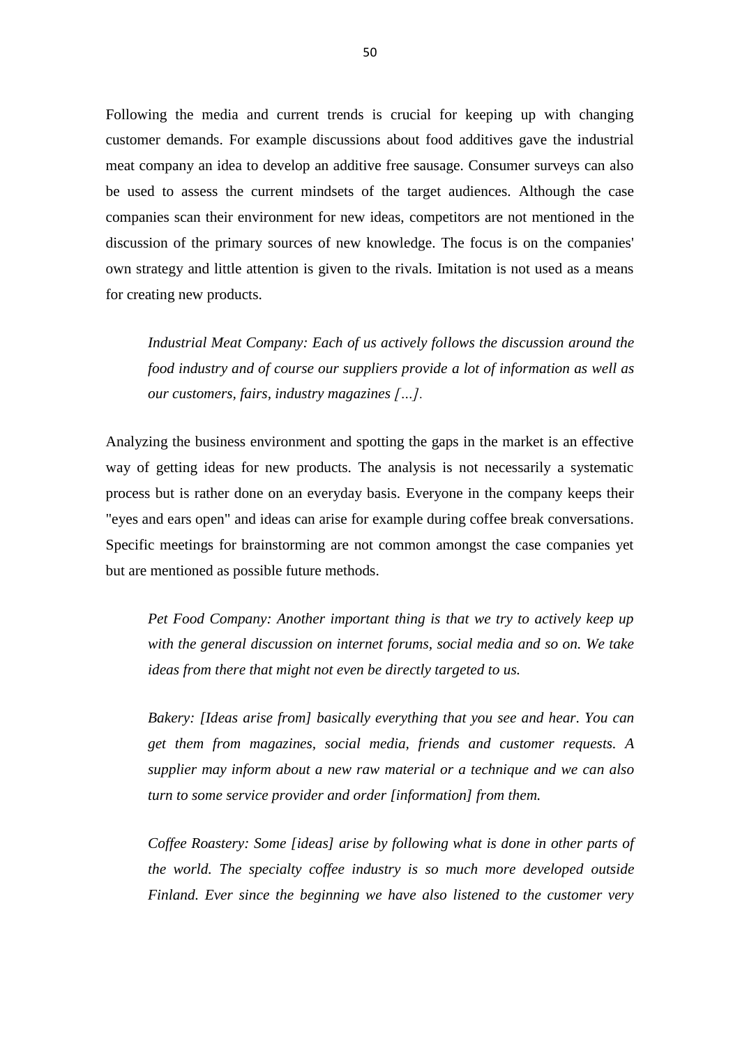Following the media and current trends is crucial for keeping up with changing customer demands. For example discussions about food additives gave the industrial meat company an idea to develop an additive free sausage. Consumer surveys can also be used to assess the current mindsets of the target audiences. Although the case companies scan their environment for new ideas, competitors are not mentioned in the discussion of the primary sources of new knowledge. The focus is on the companies' own strategy and little attention is given to the rivals. Imitation is not used as a means for creating new products.

*Industrial Meat Company: Each of us actively follows the discussion around the food industry and of course our suppliers provide a lot of information as well as our customers, fairs, industry magazines […].*

Analyzing the business environment and spotting the gaps in the market is an effective way of getting ideas for new products. The analysis is not necessarily a systematic process but is rather done on an everyday basis. Everyone in the company keeps their "eyes and ears open" and ideas can arise for example during coffee break conversations. Specific meetings for brainstorming are not common amongst the case companies yet but are mentioned as possible future methods.

*Pet Food Company: Another important thing is that we try to actively keep up with the general discussion on internet forums, social media and so on. We take ideas from there that might not even be directly targeted to us.* 

*Bakery: [Ideas arise from] basically everything that you see and hear. You can get them from magazines, social media, friends and customer requests. A supplier may inform about a new raw material or a technique and we can also turn to some service provider and order [information] from them.* 

*Coffee Roastery: Some [ideas] arise by following what is done in other parts of the world. The specialty coffee industry is so much more developed outside Finland. Ever since the beginning we have also listened to the customer very*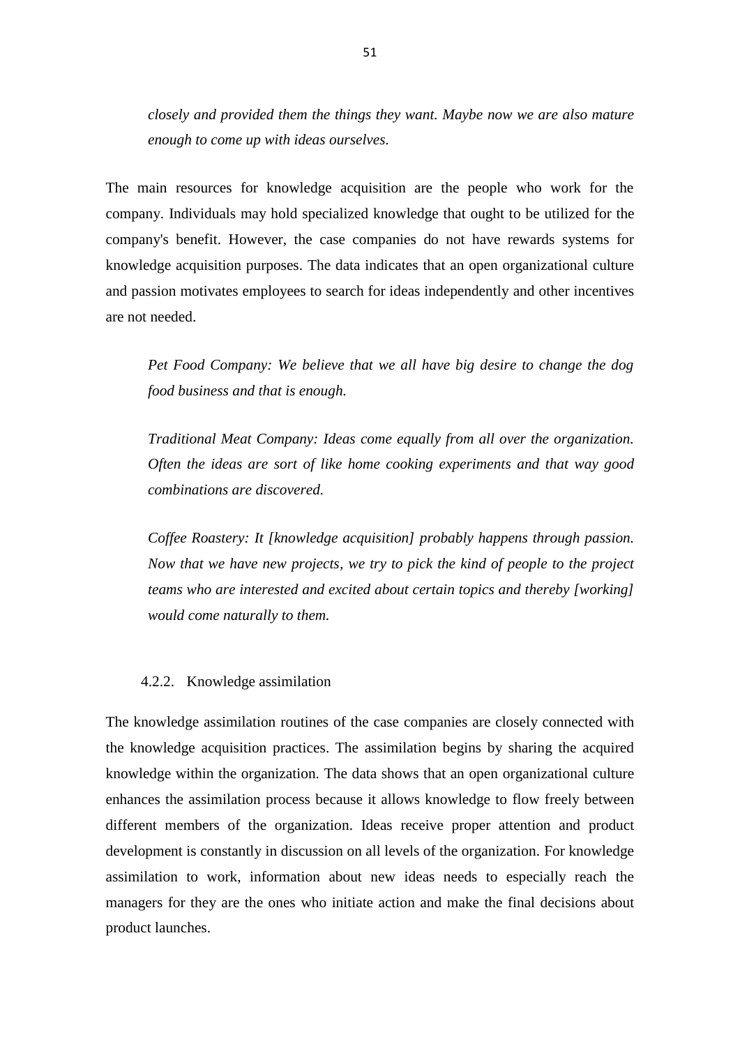*closely and provided them the things they want. Maybe now we are also mature enough to come up with ideas ourselves.* 

The main resources for knowledge acquisition are the people who work for the company. Individuals may hold specialized knowledge that ought to be utilized for the company's benefit. However, the case companies do not have rewards systems for knowledge acquisition purposes. The data indicates that an open organizational culture and passion motivates employees to search for ideas independently and other incentives are not needed.

*Pet Food Company: We believe that we all have big desire to change the dog food business and that is enough.* 

*Traditional Meat Company: Ideas come equally from all over the organization. Often the ideas are sort of like home cooking experiments and that way good combinations are discovered.*

*Coffee Roastery: It [knowledge acquisition] probably happens through passion. Now that we have new projects, we try to pick the kind of people to the project teams who are interested and excited about certain topics and thereby [working] would come naturally to them.*

### 4.2.2. Knowledge assimilation

The knowledge assimilation routines of the case companies are closely connected with the knowledge acquisition practices. The assimilation begins by sharing the acquired knowledge within the organization. The data shows that an open organizational culture enhances the assimilation process because it allows knowledge to flow freely between different members of the organization. Ideas receive proper attention and product development is constantly in discussion on all levels of the organization. For knowledge assimilation to work, information about new ideas needs to especially reach the managers for they are the ones who initiate action and make the final decisions about product launches.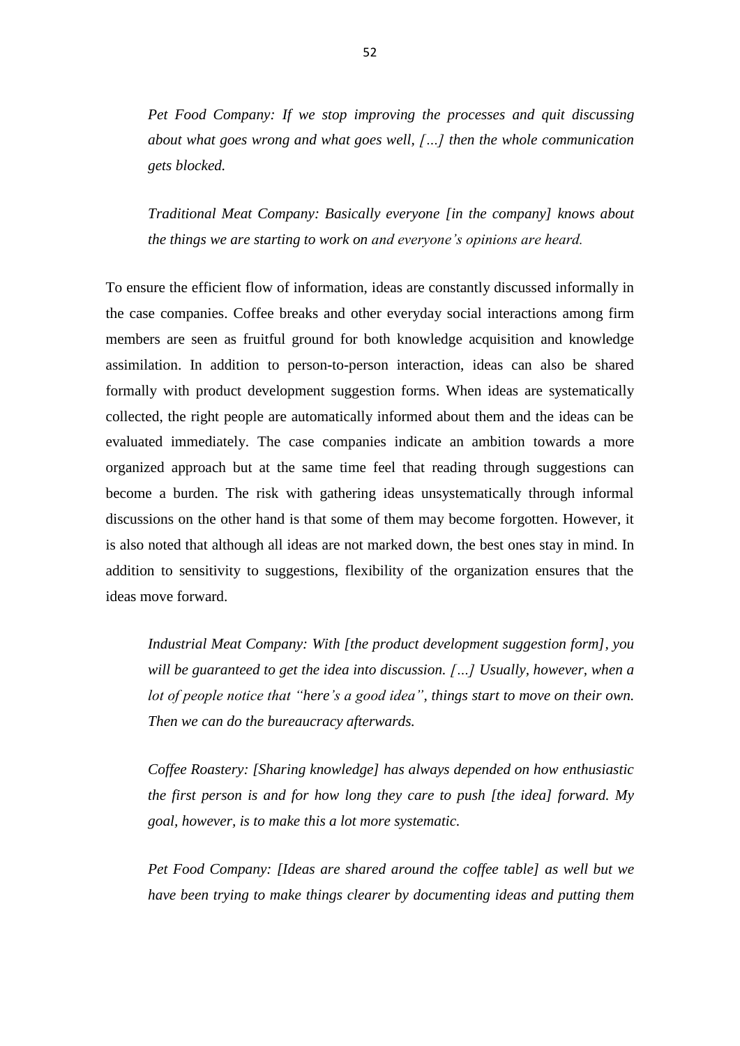*Pet Food Company: If we stop improving the processes and quit discussing about what goes wrong and what goes well, […] then the whole communication gets blocked.* 

*Traditional Meat Company: Basically everyone [in the company] knows about the things we are starting to work on and everyone's opinions are heard.* 

To ensure the efficient flow of information, ideas are constantly discussed informally in the case companies. Coffee breaks and other everyday social interactions among firm members are seen as fruitful ground for both knowledge acquisition and knowledge assimilation. In addition to person-to-person interaction, ideas can also be shared formally with product development suggestion forms. When ideas are systematically collected, the right people are automatically informed about them and the ideas can be evaluated immediately. The case companies indicate an ambition towards a more organized approach but at the same time feel that reading through suggestions can become a burden. The risk with gathering ideas unsystematically through informal discussions on the other hand is that some of them may become forgotten. However, it is also noted that although all ideas are not marked down, the best ones stay in mind. In addition to sensitivity to suggestions, flexibility of the organization ensures that the ideas move forward.

*Industrial Meat Company: With [the product development suggestion form], you will be guaranteed to get the idea into discussion. […] Usually, however, when a lot of people notice that "here's a good idea", things start to move on their own. Then we can do the bureaucracy afterwards.*

*Coffee Roastery: [Sharing knowledge] has always depended on how enthusiastic the first person is and for how long they care to push [the idea] forward. My goal, however, is to make this a lot more systematic.* 

*Pet Food Company: [Ideas are shared around the coffee table] as well but we have been trying to make things clearer by documenting ideas and putting them*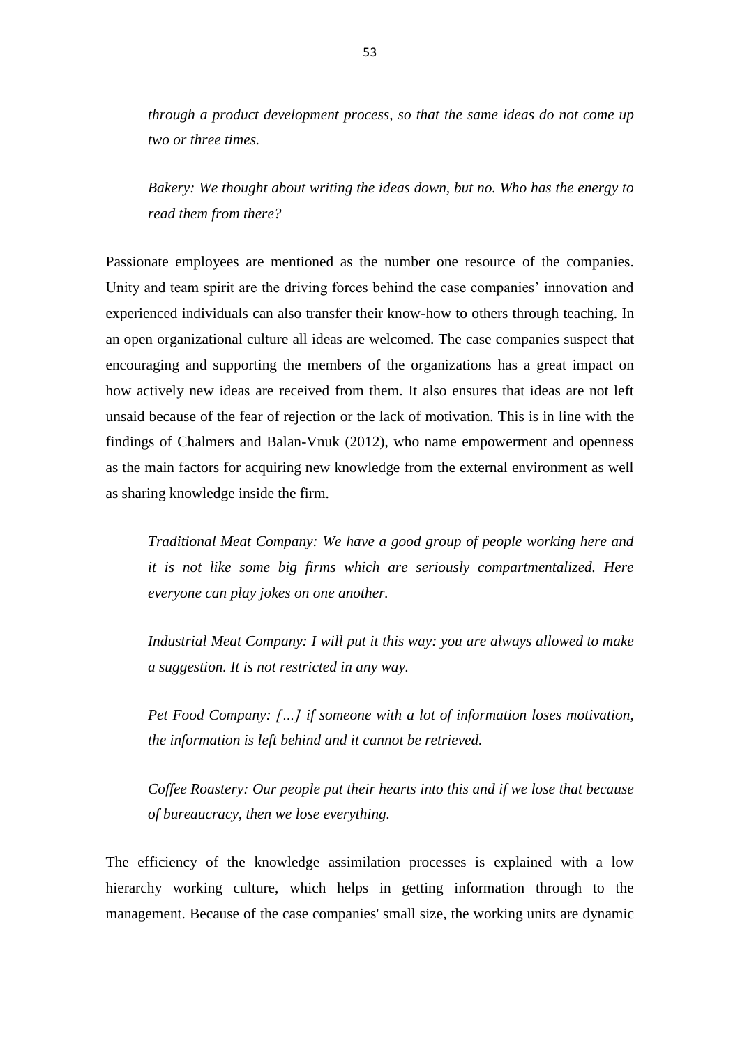*through a product development process, so that the same ideas do not come up two or three times.* 

*Bakery: We thought about writing the ideas down, but no. Who has the energy to read them from there?* 

Passionate employees are mentioned as the number one resource of the companies. Unity and team spirit are the driving forces behind the case companies' innovation and experienced individuals can also transfer their know-how to others through teaching. In an open organizational culture all ideas are welcomed. The case companies suspect that encouraging and supporting the members of the organizations has a great impact on how actively new ideas are received from them. It also ensures that ideas are not left unsaid because of the fear of rejection or the lack of motivation. This is in line with the findings of Chalmers and Balan-Vnuk (2012), who name empowerment and openness as the main factors for acquiring new knowledge from the external environment as well as sharing knowledge inside the firm.

*Traditional Meat Company: We have a good group of people working here and it is not like some big firms which are seriously compartmentalized. Here everyone can play jokes on one another.* 

*Industrial Meat Company: I will put it this way: you are always allowed to make a suggestion. It is not restricted in any way.* 

*Pet Food Company: […] if someone with a lot of information loses motivation, the information is left behind and it cannot be retrieved.*

*Coffee Roastery: Our people put their hearts into this and if we lose that because of bureaucracy, then we lose everything.* 

The efficiency of the knowledge assimilation processes is explained with a low hierarchy working culture, which helps in getting information through to the management. Because of the case companies' small size, the working units are dynamic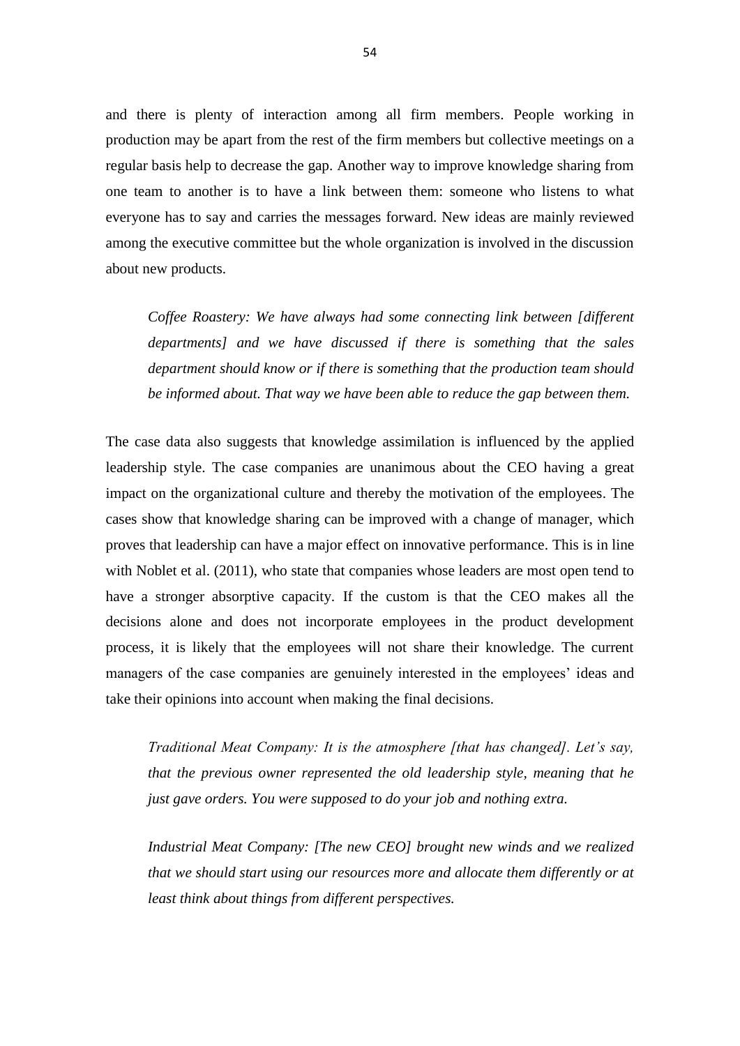and there is plenty of interaction among all firm members. People working in production may be apart from the rest of the firm members but collective meetings on a regular basis help to decrease the gap. Another way to improve knowledge sharing from one team to another is to have a link between them: someone who listens to what everyone has to say and carries the messages forward. New ideas are mainly reviewed among the executive committee but the whole organization is involved in the discussion about new products.

*Coffee Roastery: We have always had some connecting link between [different departments] and we have discussed if there is something that the sales department should know or if there is something that the production team should be informed about. That way we have been able to reduce the gap between them.* 

The case data also suggests that knowledge assimilation is influenced by the applied leadership style. The case companies are unanimous about the CEO having a great impact on the organizational culture and thereby the motivation of the employees. The cases show that knowledge sharing can be improved with a change of manager, which proves that leadership can have a major effect on innovative performance. This is in line with Noblet et al. (2011), who state that companies whose leaders are most open tend to have a stronger absorptive capacity. If the custom is that the CEO makes all the decisions alone and does not incorporate employees in the product development process, it is likely that the employees will not share their knowledge. The current managers of the case companies are genuinely interested in the employees' ideas and take their opinions into account when making the final decisions.

*Traditional Meat Company: It is the atmosphere [that has changed]. Let's say, that the previous owner represented the old leadership style, meaning that he just gave orders. You were supposed to do your job and nothing extra.* 

*Industrial Meat Company: [The new CEO] brought new winds and we realized that we should start using our resources more and allocate them differently or at least think about things from different perspectives.*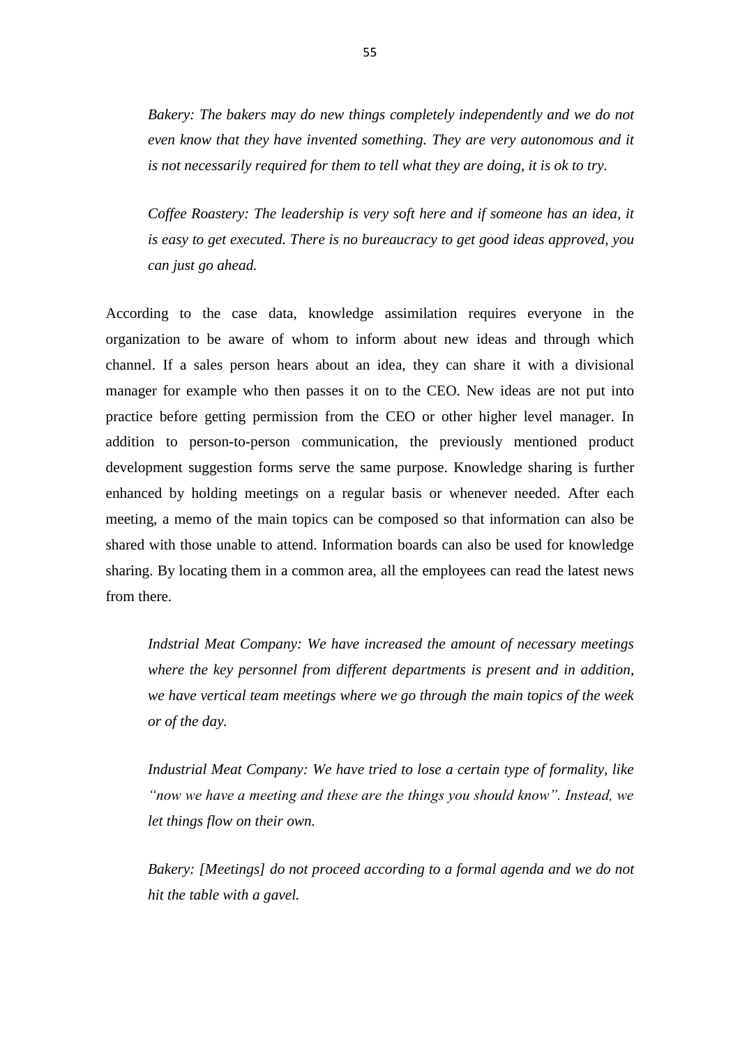*Bakery: The bakers may do new things completely independently and we do not even know that they have invented something. They are very autonomous and it is not necessarily required for them to tell what they are doing, it is ok to try.* 

*Coffee Roastery: The leadership is very soft here and if someone has an idea, it is easy to get executed. There is no bureaucracy to get good ideas approved, you can just go ahead.* 

According to the case data, knowledge assimilation requires everyone in the organization to be aware of whom to inform about new ideas and through which channel. If a sales person hears about an idea, they can share it with a divisional manager for example who then passes it on to the CEO. New ideas are not put into practice before getting permission from the CEO or other higher level manager. In addition to person-to-person communication, the previously mentioned product development suggestion forms serve the same purpose. Knowledge sharing is further enhanced by holding meetings on a regular basis or whenever needed. After each meeting, a memo of the main topics can be composed so that information can also be shared with those unable to attend. Information boards can also be used for knowledge sharing. By locating them in a common area, all the employees can read the latest news from there.

*Indstrial Meat Company: We have increased the amount of necessary meetings where the key personnel from different departments is present and in addition, we have vertical team meetings where we go through the main topics of the week or of the day.*

*Industrial Meat Company: We have tried to lose a certain type of formality, like "now we have a meeting and these are the things you should know". Instead, we let things flow on their own.* 

*Bakery: [Meetings] do not proceed according to a formal agenda and we do not hit the table with a gavel.*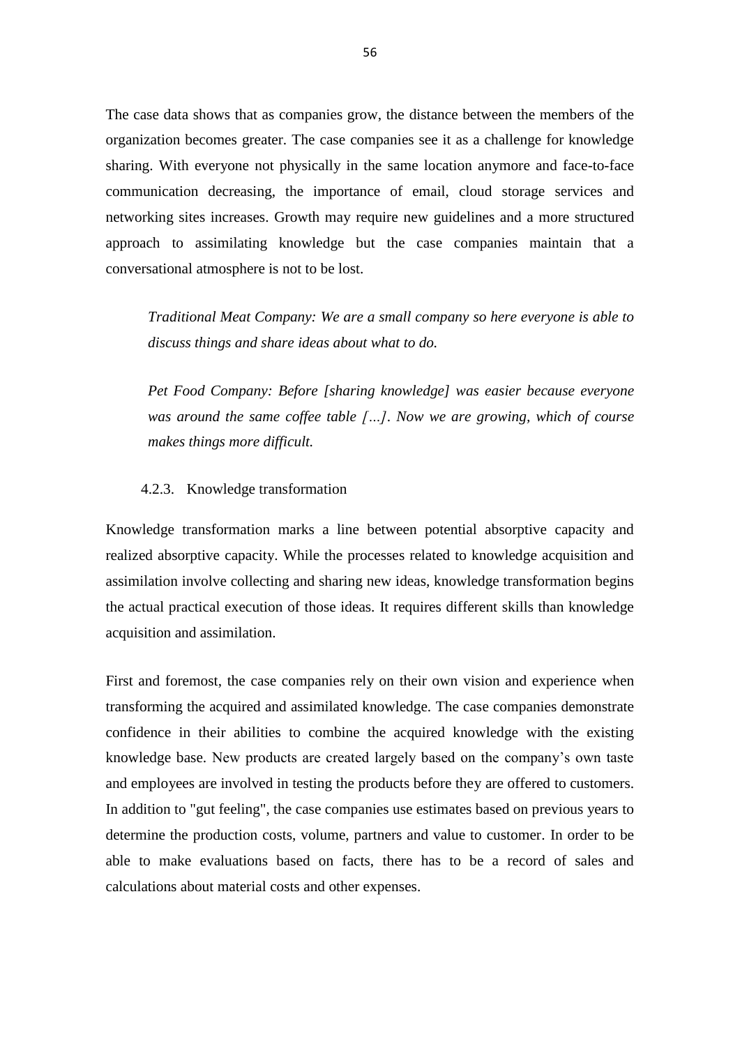The case data shows that as companies grow, the distance between the members of the organization becomes greater. The case companies see it as a challenge for knowledge sharing. With everyone not physically in the same location anymore and face-to-face communication decreasing, the importance of email, cloud storage services and networking sites increases. Growth may require new guidelines and a more structured approach to assimilating knowledge but the case companies maintain that a conversational atmosphere is not to be lost.

*Traditional Meat Company: We are a small company so here everyone is able to discuss things and share ideas about what to do.* 

*Pet Food Company: Before [sharing knowledge] was easier because everyone was around the same coffee table […]. Now we are growing, which of course makes things more difficult.* 

#### 4.2.3. Knowledge transformation

Knowledge transformation marks a line between potential absorptive capacity and realized absorptive capacity. While the processes related to knowledge acquisition and assimilation involve collecting and sharing new ideas, knowledge transformation begins the actual practical execution of those ideas. It requires different skills than knowledge acquisition and assimilation.

First and foremost, the case companies rely on their own vision and experience when transforming the acquired and assimilated knowledge. The case companies demonstrate confidence in their abilities to combine the acquired knowledge with the existing knowledge base. New products are created largely based on the company's own taste and employees are involved in testing the products before they are offered to customers. In addition to "gut feeling", the case companies use estimates based on previous years to determine the production costs, volume, partners and value to customer. In order to be able to make evaluations based on facts, there has to be a record of sales and calculations about material costs and other expenses.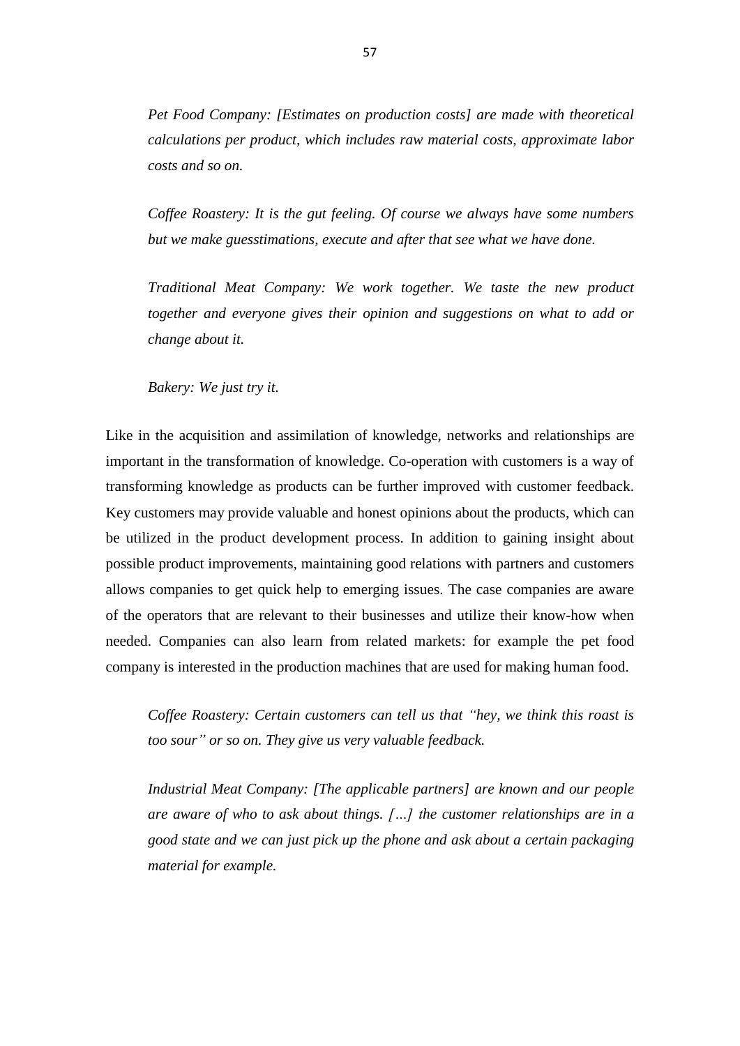*Pet Food Company: [Estimates on production costs] are made with theoretical calculations per product, which includes raw material costs, approximate labor costs and so on.* 

*Coffee Roastery: It is the gut feeling. Of course we always have some numbers but we make guesstimations, execute and after that see what we have done.* 

*Traditional Meat Company: We work together. We taste the new product together and everyone gives their opinion and suggestions on what to add or change about it.* 

*Bakery: We just try it.* 

Like in the acquisition and assimilation of knowledge, networks and relationships are important in the transformation of knowledge. Co-operation with customers is a way of transforming knowledge as products can be further improved with customer feedback. Key customers may provide valuable and honest opinions about the products, which can be utilized in the product development process. In addition to gaining insight about possible product improvements, maintaining good relations with partners and customers allows companies to get quick help to emerging issues. The case companies are aware of the operators that are relevant to their businesses and utilize their know-how when needed. Companies can also learn from related markets: for example the pet food company is interested in the production machines that are used for making human food.

*Coffee Roastery: Certain customers can tell us that "hey, we think this roast is too sour" or so on. They give us very valuable feedback.*

*Industrial Meat Company: [The applicable partners] are known and our people are aware of who to ask about things. […] the customer relationships are in a good state and we can just pick up the phone and ask about a certain packaging material for example.*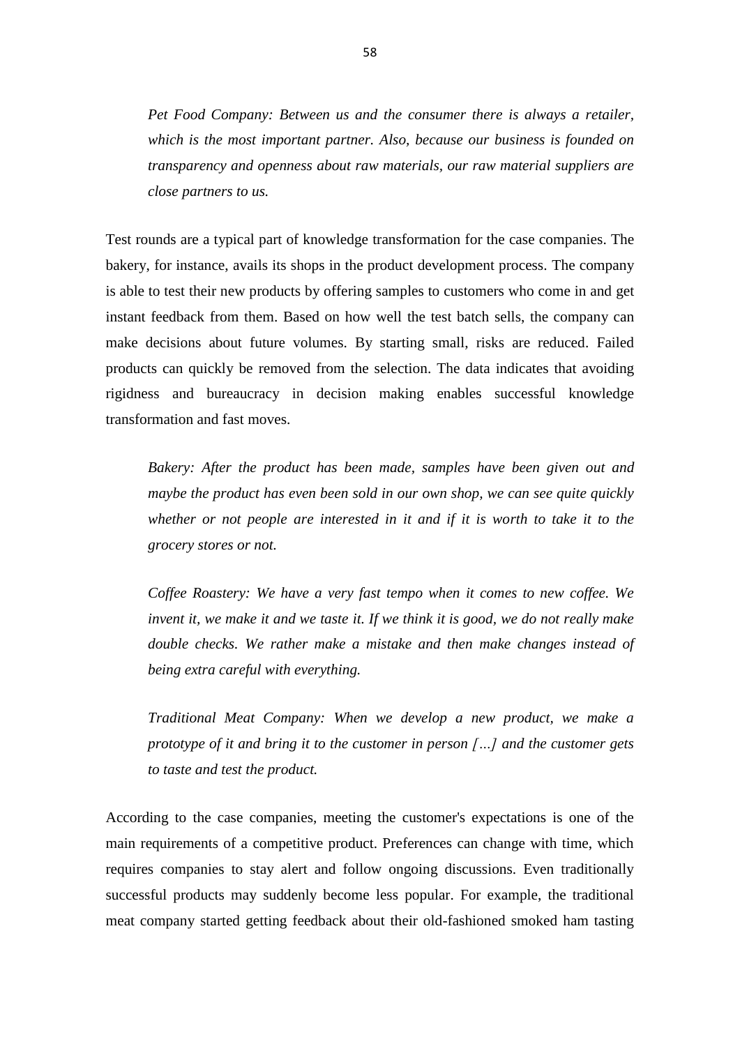*Pet Food Company: Between us and the consumer there is always a retailer, which is the most important partner. Also, because our business is founded on transparency and openness about raw materials, our raw material suppliers are close partners to us.* 

Test rounds are a typical part of knowledge transformation for the case companies. The bakery, for instance, avails its shops in the product development process. The company is able to test their new products by offering samples to customers who come in and get instant feedback from them. Based on how well the test batch sells, the company can make decisions about future volumes. By starting small, risks are reduced. Failed products can quickly be removed from the selection. The data indicates that avoiding rigidness and bureaucracy in decision making enables successful knowledge transformation and fast moves.

*Bakery: After the product has been made, samples have been given out and maybe the product has even been sold in our own shop, we can see quite quickly whether or not people are interested in it and if it is worth to take it to the grocery stores or not.* 

*Coffee Roastery: We have a very fast tempo when it comes to new coffee. We invent it, we make it and we taste it. If we think it is good, we do not really make double checks. We rather make a mistake and then make changes instead of being extra careful with everything.* 

*Traditional Meat Company: When we develop a new product, we make a prototype of it and bring it to the customer in person […] and the customer gets to taste and test the product.*

According to the case companies, meeting the customer's expectations is one of the main requirements of a competitive product. Preferences can change with time, which requires companies to stay alert and follow ongoing discussions. Even traditionally successful products may suddenly become less popular. For example, the traditional meat company started getting feedback about their old-fashioned smoked ham tasting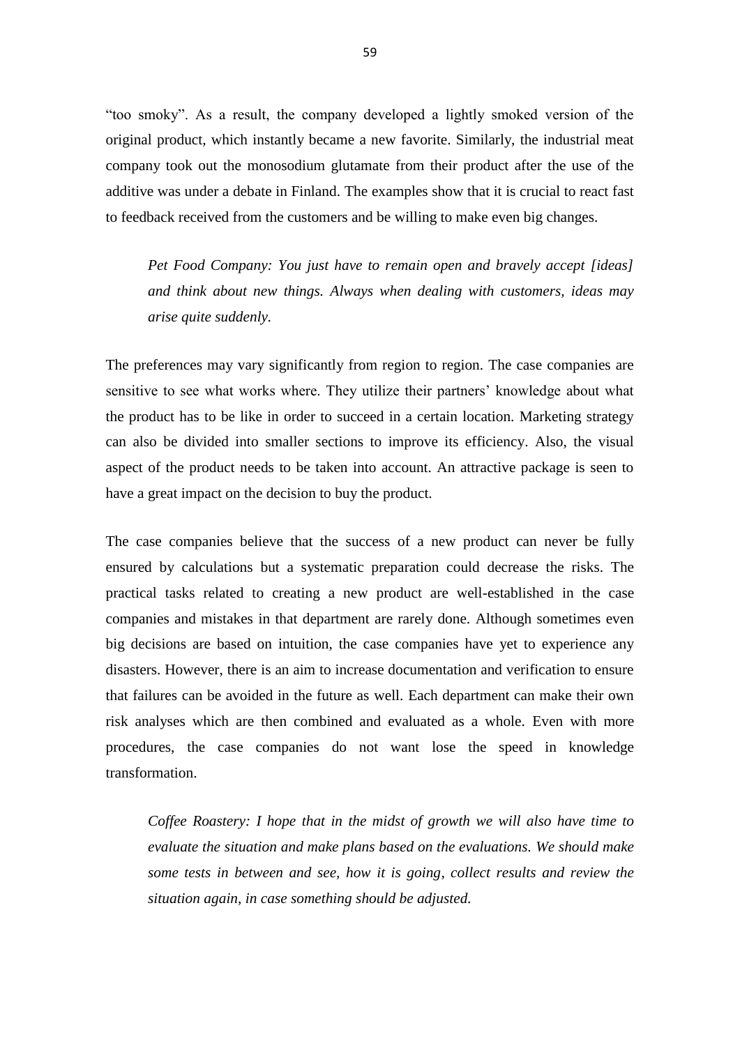"too smoky". As a result, the company developed a lightly smoked version of the original product, which instantly became a new favorite. Similarly, the industrial meat company took out the monosodium glutamate from their product after the use of the additive was under a debate in Finland. The examples show that it is crucial to react fast to feedback received from the customers and be willing to make even big changes.

*Pet Food Company: You just have to remain open and bravely accept [ideas] and think about new things. Always when dealing with customers, ideas may arise quite suddenly.* 

The preferences may vary significantly from region to region. The case companies are sensitive to see what works where. They utilize their partners' knowledge about what the product has to be like in order to succeed in a certain location. Marketing strategy can also be divided into smaller sections to improve its efficiency. Also, the visual aspect of the product needs to be taken into account. An attractive package is seen to have a great impact on the decision to buy the product.

The case companies believe that the success of a new product can never be fully ensured by calculations but a systematic preparation could decrease the risks. The practical tasks related to creating a new product are well-established in the case companies and mistakes in that department are rarely done. Although sometimes even big decisions are based on intuition, the case companies have yet to experience any disasters. However, there is an aim to increase documentation and verification to ensure that failures can be avoided in the future as well. Each department can make their own risk analyses which are then combined and evaluated as a whole. Even with more procedures, the case companies do not want lose the speed in knowledge transformation.

*Coffee Roastery: I hope that in the midst of growth we will also have time to evaluate the situation and make plans based on the evaluations. We should make some tests in between and see, how it is going, collect results and review the situation again, in case something should be adjusted.*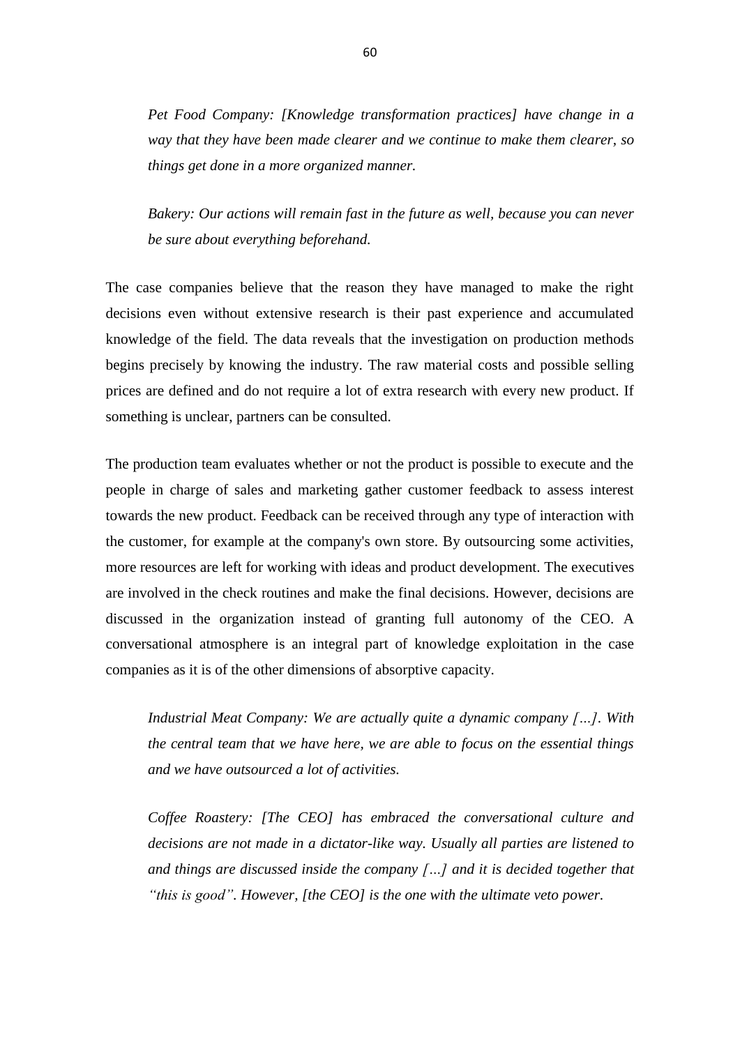*Pet Food Company: [Knowledge transformation practices] have change in a way that they have been made clearer and we continue to make them clearer, so things get done in a more organized manner.* 

*Bakery: Our actions will remain fast in the future as well, because you can never be sure about everything beforehand.*

The case companies believe that the reason they have managed to make the right decisions even without extensive research is their past experience and accumulated knowledge of the field. The data reveals that the investigation on production methods begins precisely by knowing the industry. The raw material costs and possible selling prices are defined and do not require a lot of extra research with every new product. If something is unclear, partners can be consulted.

The production team evaluates whether or not the product is possible to execute and the people in charge of sales and marketing gather customer feedback to assess interest towards the new product. Feedback can be received through any type of interaction with the customer, for example at the company's own store. By outsourcing some activities, more resources are left for working with ideas and product development. The executives are involved in the check routines and make the final decisions. However, decisions are discussed in the organization instead of granting full autonomy of the CEO. A conversational atmosphere is an integral part of knowledge exploitation in the case companies as it is of the other dimensions of absorptive capacity.

*Industrial Meat Company: We are actually quite a dynamic company […]. With the central team that we have here, we are able to focus on the essential things and we have outsourced a lot of activities.* 

*Coffee Roastery: [The CEO] has embraced the conversational culture and decisions are not made in a dictator-like way. Usually all parties are listened to and things are discussed inside the company […] and it is decided together that "this is good". However, [the CEO] is the one with the ultimate veto power.*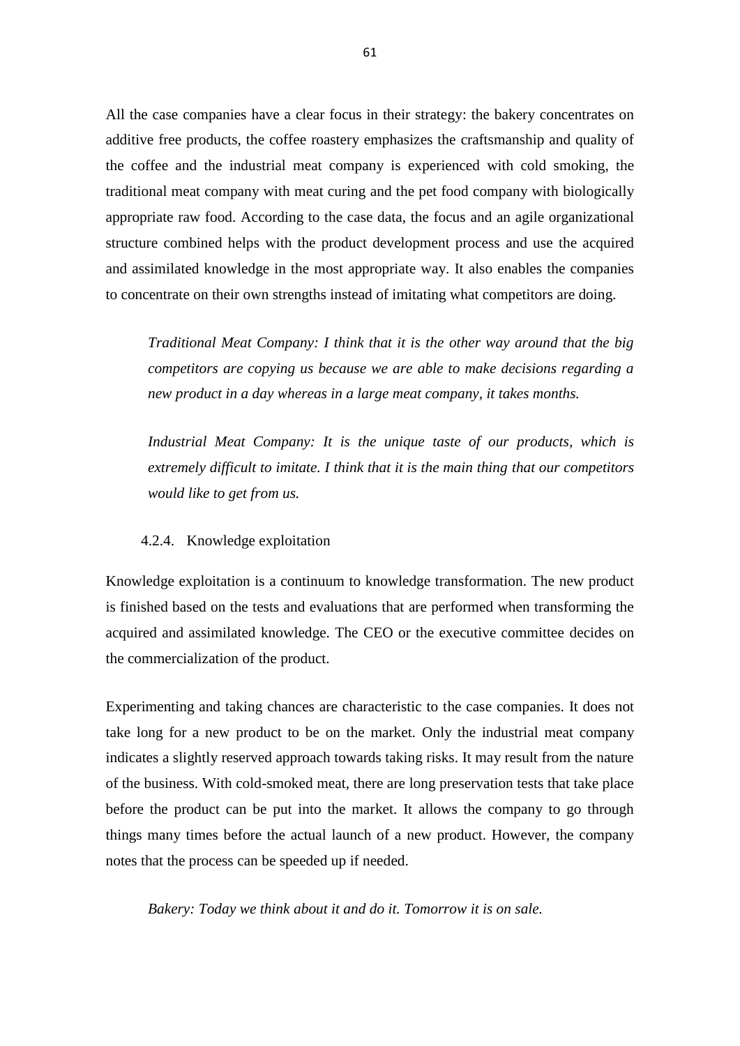All the case companies have a clear focus in their strategy: the bakery concentrates on additive free products, the coffee roastery emphasizes the craftsmanship and quality of the coffee and the industrial meat company is experienced with cold smoking, the traditional meat company with meat curing and the pet food company with biologically appropriate raw food. According to the case data, the focus and an agile organizational structure combined helps with the product development process and use the acquired and assimilated knowledge in the most appropriate way. It also enables the companies to concentrate on their own strengths instead of imitating what competitors are doing.

*Traditional Meat Company: I think that it is the other way around that the big competitors are copying us because we are able to make decisions regarding a new product in a day whereas in a large meat company, it takes months.* 

*Industrial Meat Company: It is the unique taste of our products, which is extremely difficult to imitate. I think that it is the main thing that our competitors would like to get from us.* 

#### 4.2.4. Knowledge exploitation

Knowledge exploitation is a continuum to knowledge transformation. The new product is finished based on the tests and evaluations that are performed when transforming the acquired and assimilated knowledge. The CEO or the executive committee decides on the commercialization of the product.

Experimenting and taking chances are characteristic to the case companies. It does not take long for a new product to be on the market. Only the industrial meat company indicates a slightly reserved approach towards taking risks. It may result from the nature of the business. With cold-smoked meat, there are long preservation tests that take place before the product can be put into the market. It allows the company to go through things many times before the actual launch of a new product. However, the company notes that the process can be speeded up if needed.

*Bakery: Today we think about it and do it. Tomorrow it is on sale.*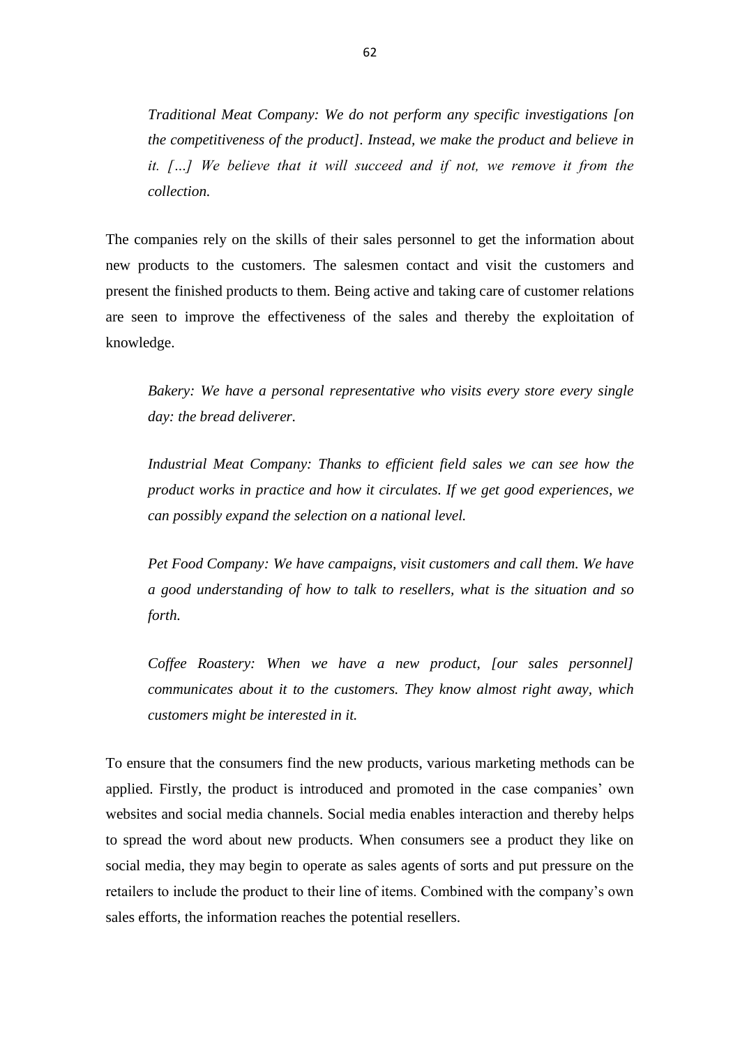*Traditional Meat Company: We do not perform any specific investigations [on the competitiveness of the product]. Instead, we make the product and believe in*  it. [...] We believe that it will succeed and if not, we remove it from the *collection.*

The companies rely on the skills of their sales personnel to get the information about new products to the customers. The salesmen contact and visit the customers and present the finished products to them. Being active and taking care of customer relations are seen to improve the effectiveness of the sales and thereby the exploitation of knowledge.

*Bakery: We have a personal representative who visits every store every single day: the bread deliverer.* 

*Industrial Meat Company: Thanks to efficient field sales we can see how the product works in practice and how it circulates. If we get good experiences, we can possibly expand the selection on a national level.*

*Pet Food Company: We have campaigns, visit customers and call them. We have a good understanding of how to talk to resellers, what is the situation and so forth.* 

*Coffee Roastery: When we have a new product, [our sales personnel] communicates about it to the customers. They know almost right away, which customers might be interested in it.* 

To ensure that the consumers find the new products, various marketing methods can be applied. Firstly, the product is introduced and promoted in the case companies' own websites and social media channels. Social media enables interaction and thereby helps to spread the word about new products. When consumers see a product they like on social media, they may begin to operate as sales agents of sorts and put pressure on the retailers to include the product to their line of items. Combined with the company's own sales efforts, the information reaches the potential resellers.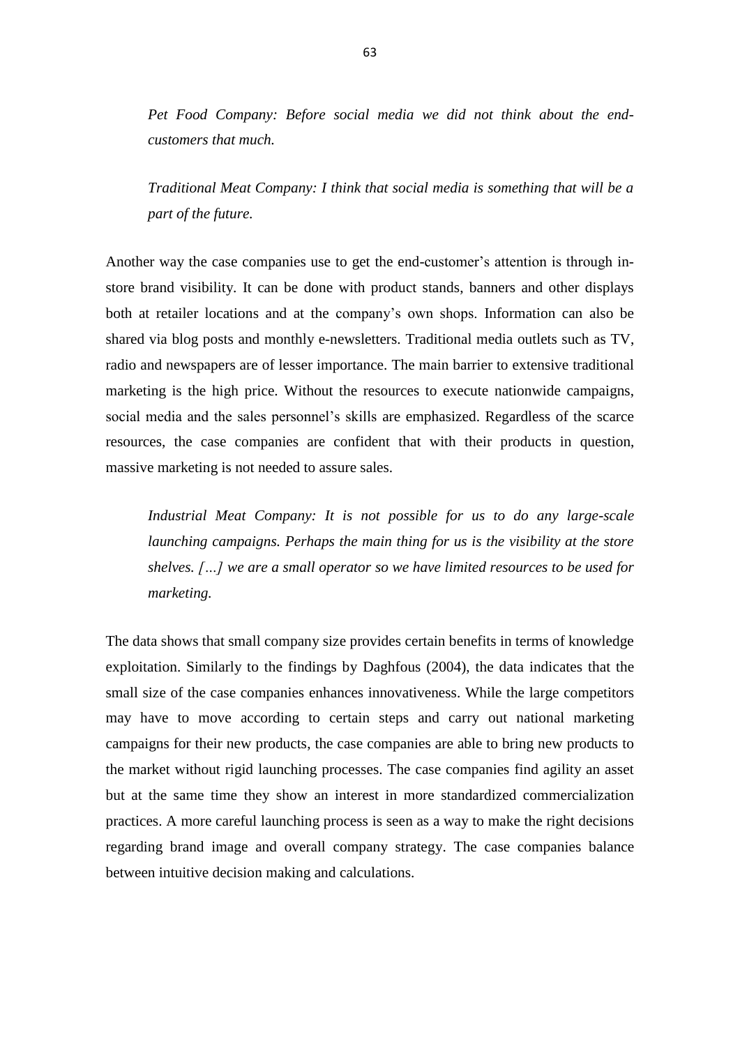*Pet Food Company: Before social media we did not think about the endcustomers that much.* 

*Traditional Meat Company: I think that social media is something that will be a part of the future.* 

Another way the case companies use to get the end-customer's attention is through instore brand visibility. It can be done with product stands, banners and other displays both at retailer locations and at the company's own shops. Information can also be shared via blog posts and monthly e-newsletters. Traditional media outlets such as TV, radio and newspapers are of lesser importance. The main barrier to extensive traditional marketing is the high price. Without the resources to execute nationwide campaigns, social media and the sales personnel's skills are emphasized. Regardless of the scarce resources, the case companies are confident that with their products in question, massive marketing is not needed to assure sales.

*Industrial Meat Company: It is not possible for us to do any large-scale launching campaigns. Perhaps the main thing for us is the visibility at the store shelves. […] we are a small operator so we have limited resources to be used for marketing.* 

The data shows that small company size provides certain benefits in terms of knowledge exploitation. Similarly to the findings by Daghfous (2004), the data indicates that the small size of the case companies enhances innovativeness. While the large competitors may have to move according to certain steps and carry out national marketing campaigns for their new products, the case companies are able to bring new products to the market without rigid launching processes. The case companies find agility an asset but at the same time they show an interest in more standardized commercialization practices. A more careful launching process is seen as a way to make the right decisions regarding brand image and overall company strategy. The case companies balance between intuitive decision making and calculations.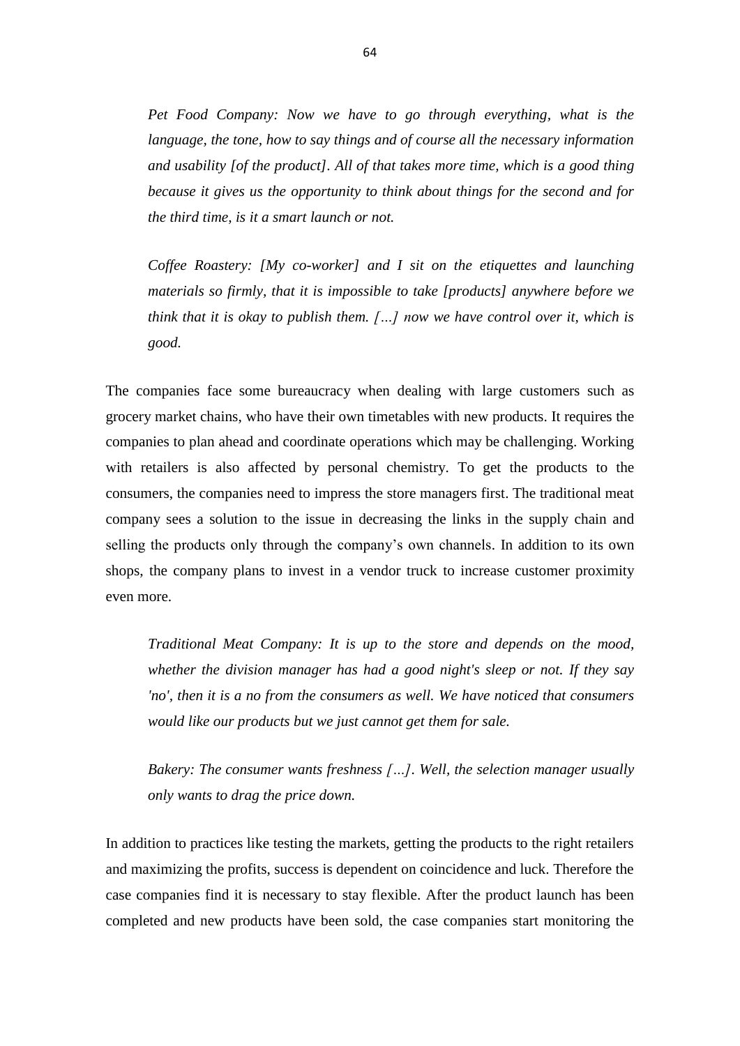*Pet Food Company: Now we have to go through everything, what is the language, the tone, how to say things and of course all the necessary information and usability [of the product]. All of that takes more time, which is a good thing because it gives us the opportunity to think about things for the second and for the third time, is it a smart launch or not.* 

*Coffee Roastery: [My co-worker] and I sit on the etiquettes and launching materials so firmly, that it is impossible to take [products] anywhere before we think that it is okay to publish them. […] now we have control over it, which is good.* 

The companies face some bureaucracy when dealing with large customers such as grocery market chains, who have their own timetables with new products. It requires the companies to plan ahead and coordinate operations which may be challenging. Working with retailers is also affected by personal chemistry. To get the products to the consumers, the companies need to impress the store managers first. The traditional meat company sees a solution to the issue in decreasing the links in the supply chain and selling the products only through the company's own channels. In addition to its own shops, the company plans to invest in a vendor truck to increase customer proximity even more.

*Traditional Meat Company: It is up to the store and depends on the mood, whether the division manager has had a good night's sleep or not. If they say 'no', then it is a no from the consumers as well. We have noticed that consumers would like our products but we just cannot get them for sale.*

*Bakery: The consumer wants freshness […]. Well, the selection manager usually only wants to drag the price down.* 

In addition to practices like testing the markets, getting the products to the right retailers and maximizing the profits, success is dependent on coincidence and luck. Therefore the case companies find it is necessary to stay flexible. After the product launch has been completed and new products have been sold, the case companies start monitoring the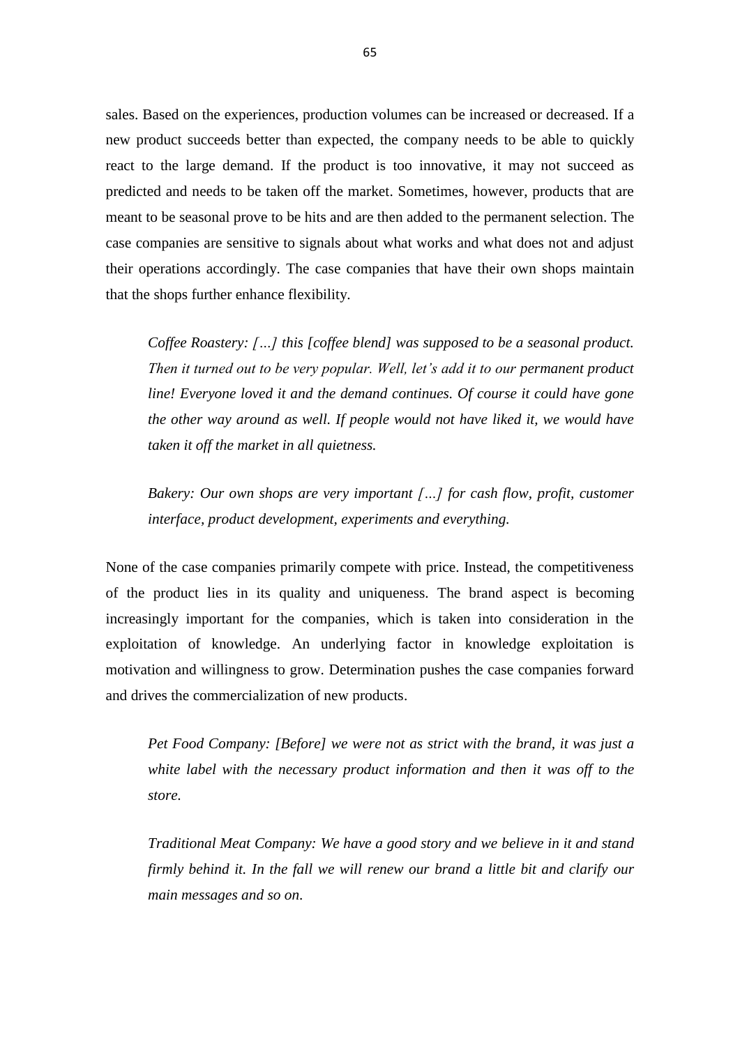sales. Based on the experiences, production volumes can be increased or decreased. If a new product succeeds better than expected, the company needs to be able to quickly react to the large demand. If the product is too innovative, it may not succeed as predicted and needs to be taken off the market. Sometimes, however, products that are meant to be seasonal prove to be hits and are then added to the permanent selection. The case companies are sensitive to signals about what works and what does not and adjust their operations accordingly. The case companies that have their own shops maintain that the shops further enhance flexibility.

*Coffee Roastery: […] this [coffee blend] was supposed to be a seasonal product. Then it turned out to be very popular. Well, let's add it to our permanent product line! Everyone loved it and the demand continues. Of course it could have gone the other way around as well. If people would not have liked it, we would have taken it off the market in all quietness.* 

*Bakery: Our own shops are very important […] for cash flow, profit, customer interface, product development, experiments and everything.* 

None of the case companies primarily compete with price. Instead, the competitiveness of the product lies in its quality and uniqueness. The brand aspect is becoming increasingly important for the companies, which is taken into consideration in the exploitation of knowledge. An underlying factor in knowledge exploitation is motivation and willingness to grow. Determination pushes the case companies forward and drives the commercialization of new products.

*Pet Food Company: [Before] we were not as strict with the brand, it was just a white label with the necessary product information and then it was off to the store.* 

*Traditional Meat Company: We have a good story and we believe in it and stand firmly behind it. In the fall we will renew our brand a little bit and clarify our main messages and so on.*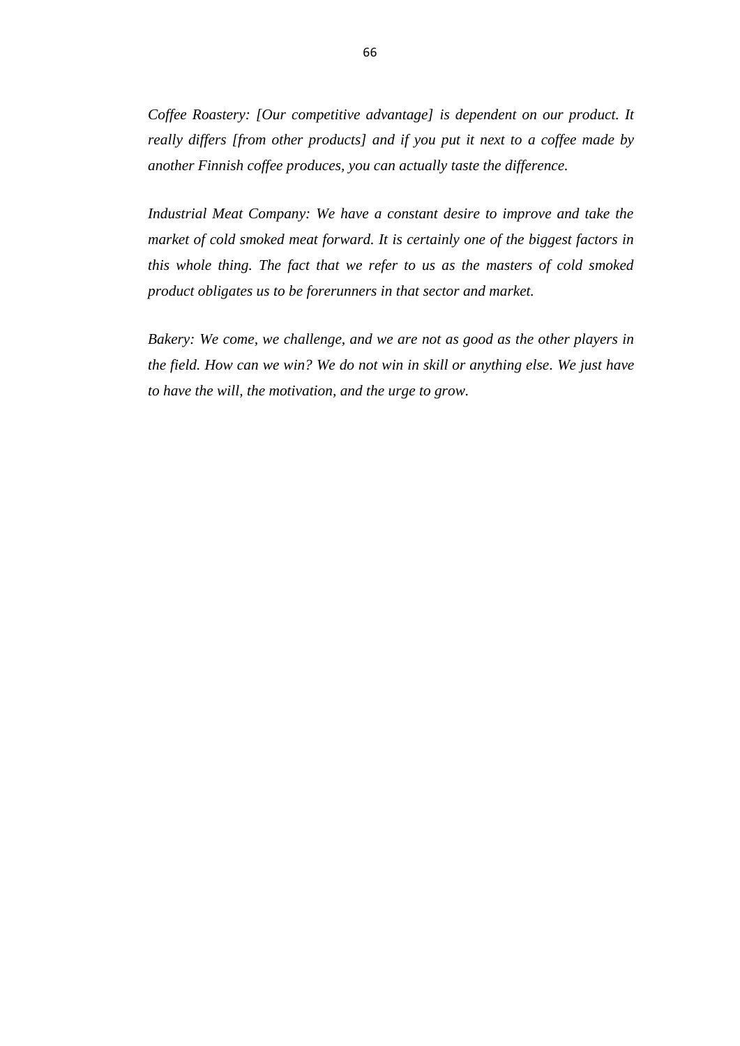*Coffee Roastery: [Our competitive advantage] is dependent on our product. It really differs [from other products] and if you put it next to a coffee made by another Finnish coffee produces, you can actually taste the difference.* 

*Industrial Meat Company: We have a constant desire to improve and take the market of cold smoked meat forward. It is certainly one of the biggest factors in this whole thing. The fact that we refer to us as the masters of cold smoked product obligates us to be forerunners in that sector and market.* 

*Bakery: We come, we challenge, and we are not as good as the other players in the field. How can we win? We do not win in skill or anything else. We just have to have the will, the motivation, and the urge to grow.*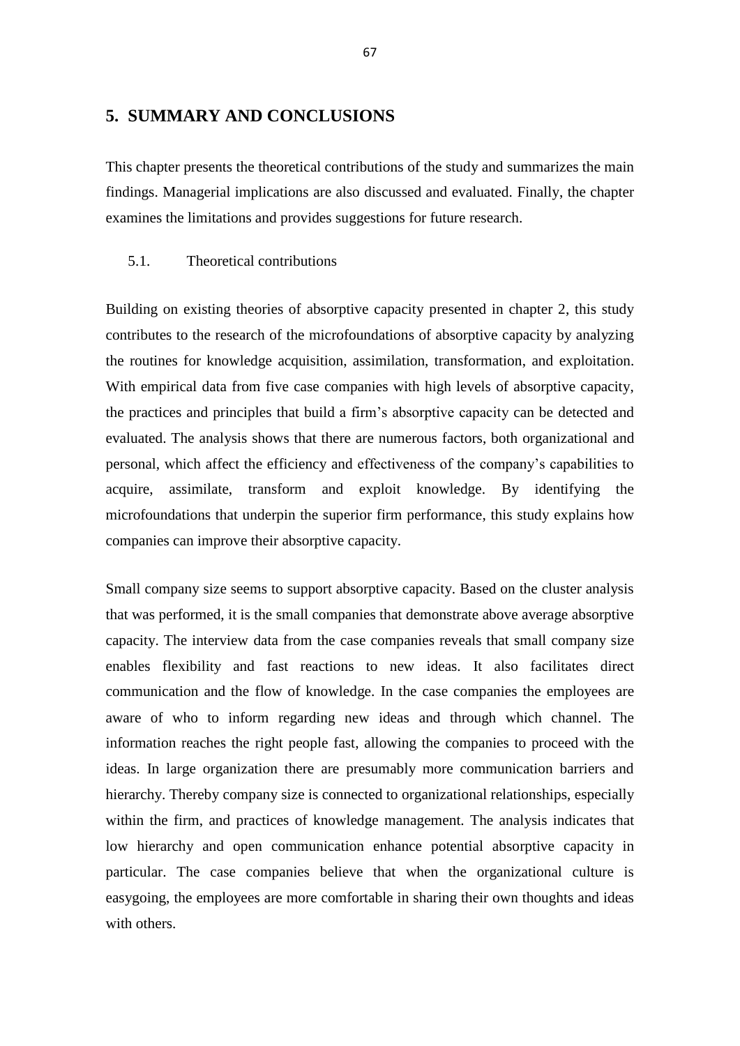# **5. SUMMARY AND CONCLUSIONS**

This chapter presents the theoretical contributions of the study and summarizes the main findings. Managerial implications are also discussed and evaluated. Finally, the chapter examines the limitations and provides suggestions for future research.

#### 5.1. Theoretical contributions

Building on existing theories of absorptive capacity presented in chapter 2, this study contributes to the research of the microfoundations of absorptive capacity by analyzing the routines for knowledge acquisition, assimilation, transformation, and exploitation. With empirical data from five case companies with high levels of absorptive capacity, the practices and principles that build a firm's absorptive capacity can be detected and evaluated. The analysis shows that there are numerous factors, both organizational and personal, which affect the efficiency and effectiveness of the company's capabilities to acquire, assimilate, transform and exploit knowledge. By identifying the microfoundations that underpin the superior firm performance, this study explains how companies can improve their absorptive capacity.

Small company size seems to support absorptive capacity. Based on the cluster analysis that was performed, it is the small companies that demonstrate above average absorptive capacity. The interview data from the case companies reveals that small company size enables flexibility and fast reactions to new ideas. It also facilitates direct communication and the flow of knowledge. In the case companies the employees are aware of who to inform regarding new ideas and through which channel. The information reaches the right people fast, allowing the companies to proceed with the ideas. In large organization there are presumably more communication barriers and hierarchy. Thereby company size is connected to organizational relationships, especially within the firm, and practices of knowledge management. The analysis indicates that low hierarchy and open communication enhance potential absorptive capacity in particular. The case companies believe that when the organizational culture is easygoing, the employees are more comfortable in sharing their own thoughts and ideas with others.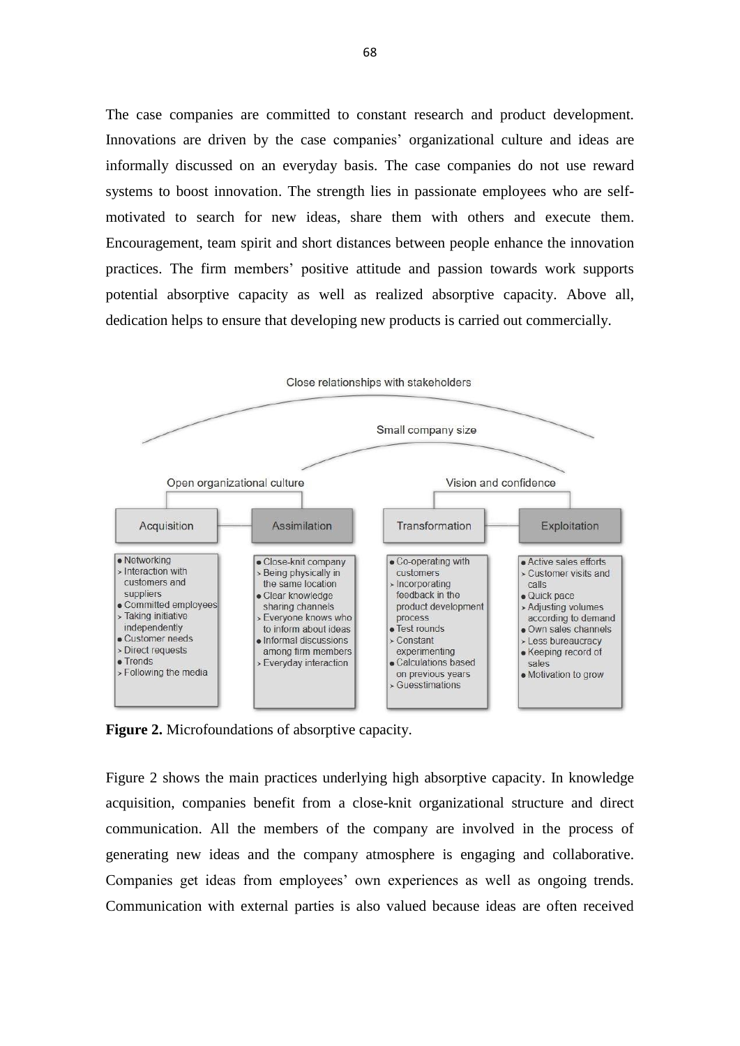The case companies are committed to constant research and product development. Innovations are driven by the case companies' organizational culture and ideas are informally discussed on an everyday basis. The case companies do not use reward systems to boost innovation. The strength lies in passionate employees who are selfmotivated to search for new ideas, share them with others and execute them. Encouragement, team spirit and short distances between people enhance the innovation practices. The firm members' positive attitude and passion towards work supports potential absorptive capacity as well as realized absorptive capacity. Above all, dedication helps to ensure that developing new products is carried out commercially.



**Figure 2.** Microfoundations of absorptive capacity.

Figure 2 shows the main practices underlying high absorptive capacity. In knowledge acquisition, companies benefit from a close-knit organizational structure and direct communication. All the members of the company are involved in the process of generating new ideas and the company atmosphere is engaging and collaborative. Companies get ideas from employees' own experiences as well as ongoing trends. Communication with external parties is also valued because ideas are often received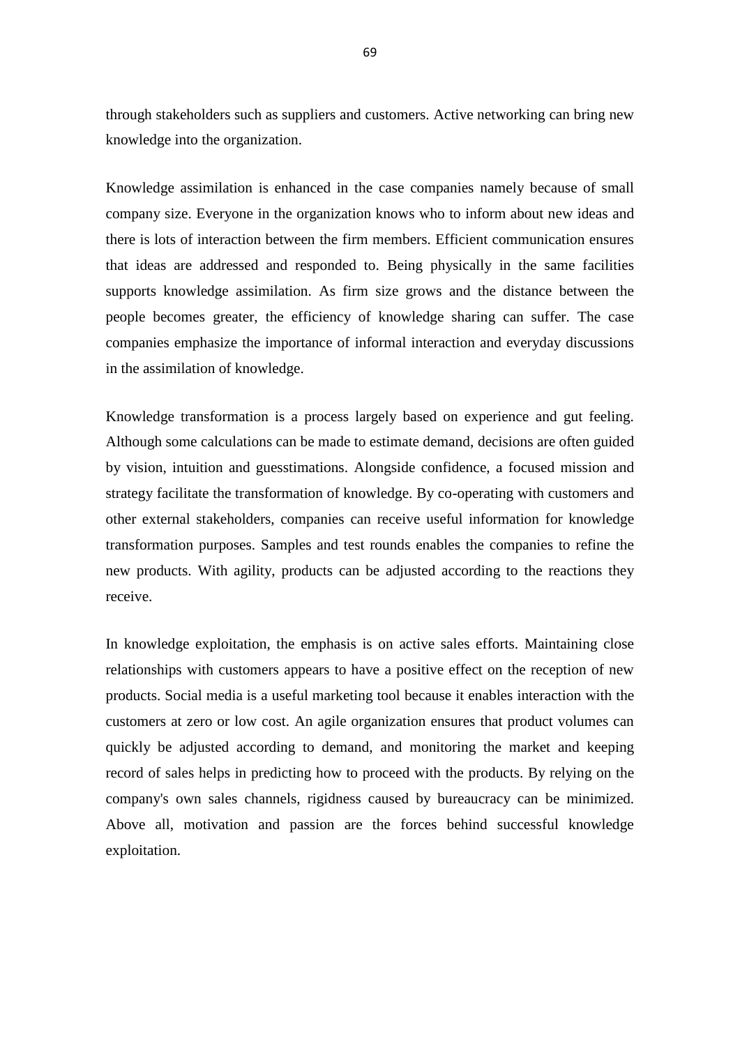through stakeholders such as suppliers and customers. Active networking can bring new knowledge into the organization.

Knowledge assimilation is enhanced in the case companies namely because of small company size. Everyone in the organization knows who to inform about new ideas and there is lots of interaction between the firm members. Efficient communication ensures that ideas are addressed and responded to. Being physically in the same facilities supports knowledge assimilation. As firm size grows and the distance between the people becomes greater, the efficiency of knowledge sharing can suffer. The case companies emphasize the importance of informal interaction and everyday discussions in the assimilation of knowledge.

Knowledge transformation is a process largely based on experience and gut feeling. Although some calculations can be made to estimate demand, decisions are often guided by vision, intuition and guesstimations. Alongside confidence, a focused mission and strategy facilitate the transformation of knowledge. By co-operating with customers and other external stakeholders, companies can receive useful information for knowledge transformation purposes. Samples and test rounds enables the companies to refine the new products. With agility, products can be adjusted according to the reactions they receive.

In knowledge exploitation, the emphasis is on active sales efforts. Maintaining close relationships with customers appears to have a positive effect on the reception of new products. Social media is a useful marketing tool because it enables interaction with the customers at zero or low cost. An agile organization ensures that product volumes can quickly be adjusted according to demand, and monitoring the market and keeping record of sales helps in predicting how to proceed with the products. By relying on the company's own sales channels, rigidness caused by bureaucracy can be minimized. Above all, motivation and passion are the forces behind successful knowledge exploitation.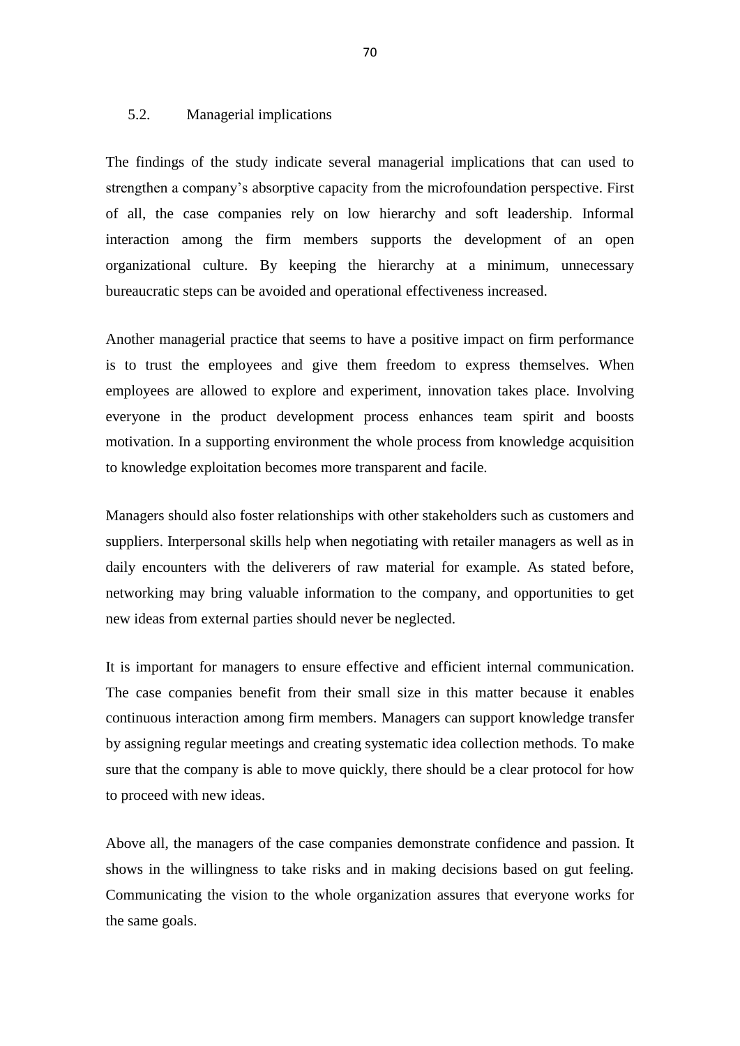#### 5.2. Managerial implications

The findings of the study indicate several managerial implications that can used to strengthen a company's absorptive capacity from the microfoundation perspective. First of all, the case companies rely on low hierarchy and soft leadership. Informal interaction among the firm members supports the development of an open organizational culture. By keeping the hierarchy at a minimum, unnecessary bureaucratic steps can be avoided and operational effectiveness increased.

Another managerial practice that seems to have a positive impact on firm performance is to trust the employees and give them freedom to express themselves. When employees are allowed to explore and experiment, innovation takes place. Involving everyone in the product development process enhances team spirit and boosts motivation. In a supporting environment the whole process from knowledge acquisition to knowledge exploitation becomes more transparent and facile.

Managers should also foster relationships with other stakeholders such as customers and suppliers. Interpersonal skills help when negotiating with retailer managers as well as in daily encounters with the deliverers of raw material for example. As stated before, networking may bring valuable information to the company, and opportunities to get new ideas from external parties should never be neglected.

It is important for managers to ensure effective and efficient internal communication. The case companies benefit from their small size in this matter because it enables continuous interaction among firm members. Managers can support knowledge transfer by assigning regular meetings and creating systematic idea collection methods. To make sure that the company is able to move quickly, there should be a clear protocol for how to proceed with new ideas.

Above all, the managers of the case companies demonstrate confidence and passion. It shows in the willingness to take risks and in making decisions based on gut feeling. Communicating the vision to the whole organization assures that everyone works for the same goals.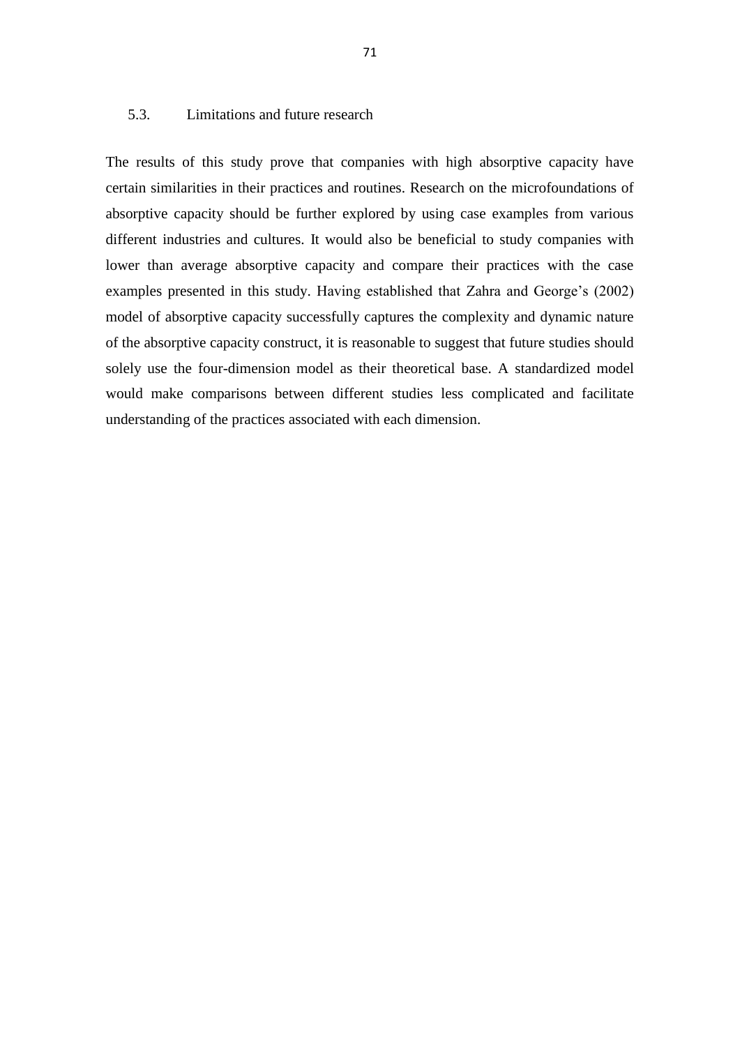## 5.3. Limitations and future research

The results of this study prove that companies with high absorptive capacity have certain similarities in their practices and routines. Research on the microfoundations of absorptive capacity should be further explored by using case examples from various different industries and cultures. It would also be beneficial to study companies with lower than average absorptive capacity and compare their practices with the case examples presented in this study. Having established that Zahra and George's (2002) model of absorptive capacity successfully captures the complexity and dynamic nature of the absorptive capacity construct, it is reasonable to suggest that future studies should solely use the four-dimension model as their theoretical base. A standardized model would make comparisons between different studies less complicated and facilitate understanding of the practices associated with each dimension.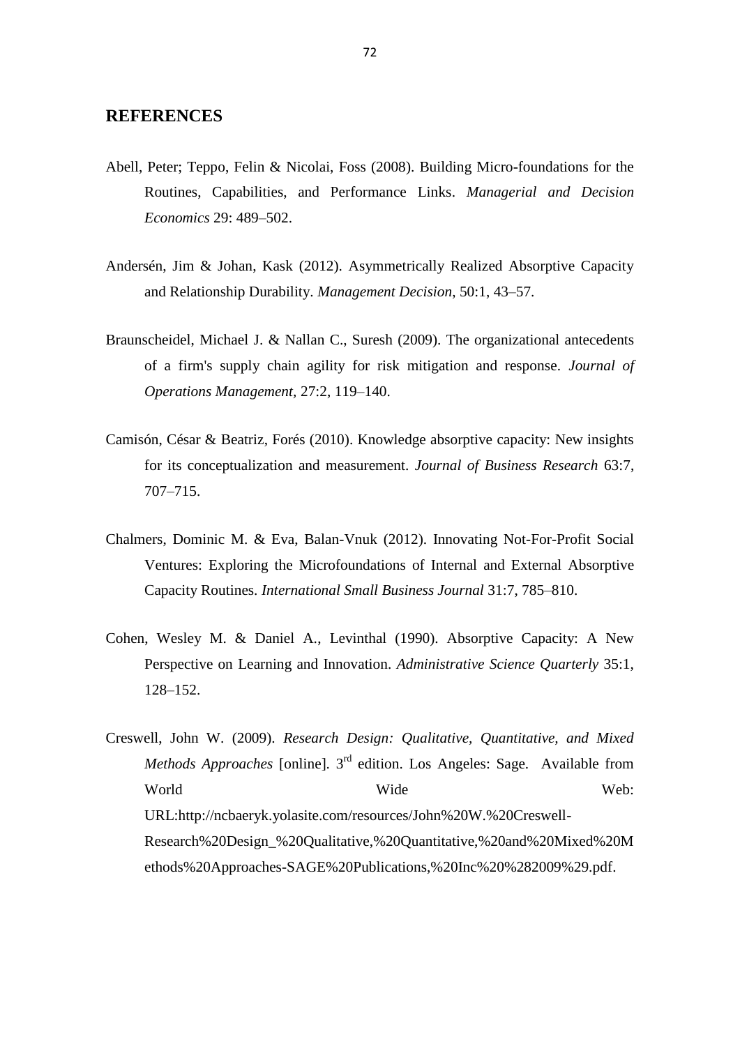## **REFERENCES**

- Abell, Peter; Teppo, Felin & Nicolai, Foss (2008). Building Micro-foundations for the Routines, Capabilities, and Performance Links. *Managerial and Decision Economics* 29: 489–502.
- Andersén, Jim & Johan, Kask (2012). Asymmetrically Realized Absorptive Capacity and Relationship Durability. *Management Decision*, 50:1, 43–57.
- Braunscheidel, Michael J. & Nallan C., Suresh (2009). The organizational antecedents of a firm's supply chain agility for risk mitigation and response. *Journal of Operations Management,* 27:2, 119–140.
- Camisón, César & Beatriz, Forés (2010). Knowledge absorptive capacity: New insights for its conceptualization and measurement. *Journal of Business Research* 63:7, 707–715.
- Chalmers, Dominic M. & Eva, Balan-Vnuk (2012). Innovating Not-For-Profit Social Ventures: Exploring the Microfoundations of Internal and External Absorptive Capacity Routines. *International Small Business Journal* 31:7, 785–810.
- Cohen, Wesley M. & Daniel A., Levinthal (1990). Absorptive Capacity: A New Perspective on Learning and Innovation. *Administrative Science Quarterly* 35:1, 128–152.
- Creswell, John W. (2009). *Research Design: Qualitative, Quantitative, and Mixed*  Methods Approaches [online]. 3<sup>rd</sup> edition. Los Angeles: Sage. Available from World Wide Web: [URL:http://ncbaeryk.yolasite.com/resources/John%20W.%20Creswell-](http://ncbaeryk.yolasite.com/resources/John%20W.%20Creswell-Research%20Design_%20Qualitative,%20Quantitative,%20and%20Mixed%20Methods%20Approaches-SAGE%20Publications,%20Inc%20%282009%29.pdf)[Research%20Design\\_%20Qualitative,%20Quantitative,%20and%20Mixed%20M](http://ncbaeryk.yolasite.com/resources/John%20W.%20Creswell-Research%20Design_%20Qualitative,%20Quantitative,%20and%20Mixed%20Methods%20Approaches-SAGE%20Publications,%20Inc%20%282009%29.pdf) [ethods%20Approaches-SAGE%20Publications,%20Inc%20%282009%29.pdf.](http://ncbaeryk.yolasite.com/resources/John%20W.%20Creswell-Research%20Design_%20Qualitative,%20Quantitative,%20and%20Mixed%20Methods%20Approaches-SAGE%20Publications,%20Inc%20%282009%29.pdf)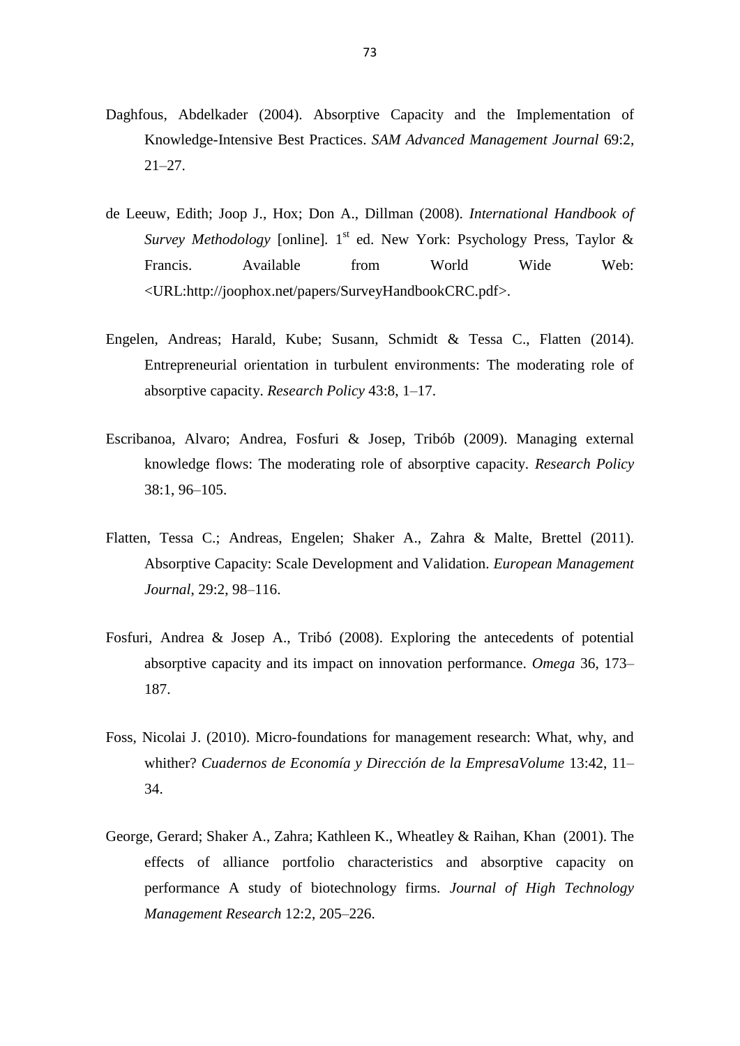- Daghfous, Abdelkader (2004). Absorptive Capacity and the Implementation of Knowledge-Intensive Best Practices. *SAM Advanced Management Journal* 69:2, 21–27.
- de Leeuw, Edith; Joop J., Hox; Don A., Dillman (2008). *International Handbook of*  Survey Methodology [online]. 1<sup>st</sup> ed. New York: Psychology Press, Taylor & Francis. Available from World Wide Web: <URL:http://joophox.net/papers/SurveyHandbookCRC.pdf>.
- Engelen, Andreas; Harald, Kube; Susann, Schmidt & Tessa C., Flatten (2014). Entrepreneurial orientation in turbulent environments: The moderating role of absorptive capacity. *Research Policy* 43:8, 1–17.
- Escribanoa, Alvaro; Andrea, Fosfuri & Josep, Tribób (2009). Managing external knowledge flows: The moderating role of absorptive capacity. *Research Policy* 38:1, 96–105.
- Flatten, Tessa C.; Andreas, Engelen; Shaker A., Zahra & Malte, Brettel (2011). Absorptive Capacity: Scale Development and Validation. *European Management Journal*, 29:2, 98–116.
- Fosfuri, Andrea & Josep A., Tribó (2008). Exploring the antecedents of potential absorptive capacity and its impact on innovation performance. *Omega* 36, 173– 187.
- Foss, Nicolai J. (2010). Micro-foundations for management research: What, why, and whither? *Cuadernos de Economía y Dirección de la EmpresaVolume* 13:42, 11– 34.
- [George, Gerard;](javascript:__doLinkPostBack() [Shaker A.,](javascript:__doLinkPostBack() Zahra; [Kathleen K.,](javascript:__doLinkPostBack() Wheatley & [Raihan,](javascript:__doLinkPostBack() Khan (2001). The effects of alliance portfolio characteristics and absorptive capacity on performance A study of biotechnology firms. *[Journal of High Technology](javascript:__doLinkPostBack()  [Management Research](javascript:__doLinkPostBack()* 12:2, 205–226.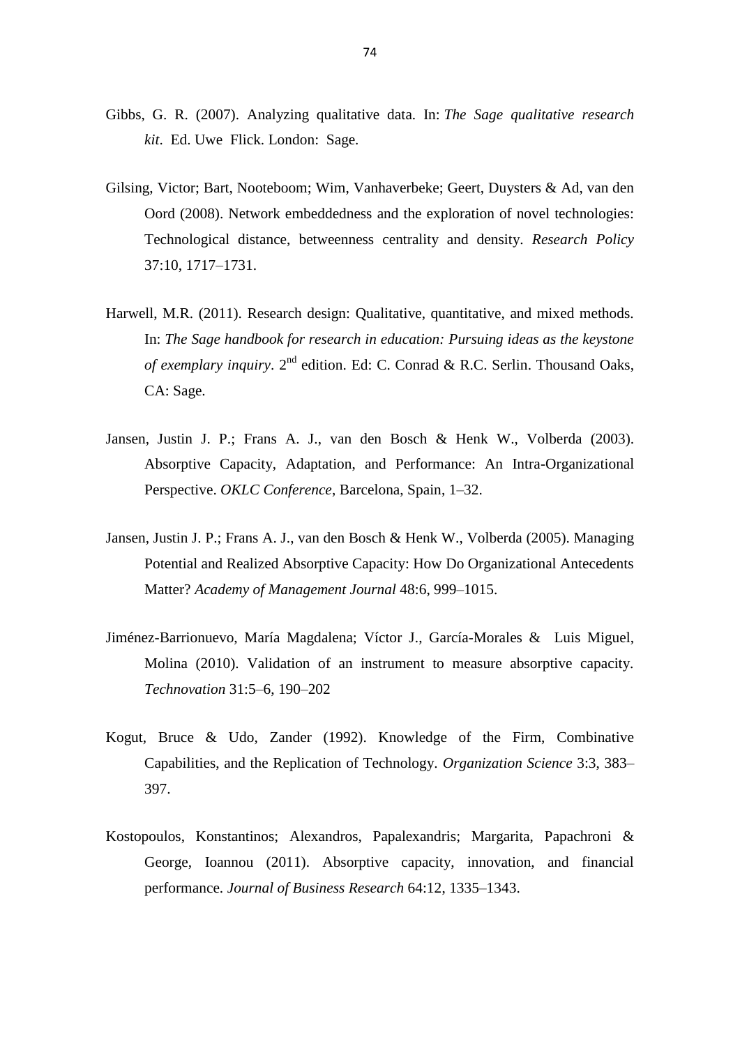- Gibbs, G. R. (2007). Analyzing qualitative data. In: *The Sage qualitative research kit*. Ed. Uwe Flick. London: Sage.
- [Gilsing,](http://www.sciencedirect.com/science/article/pii/S004873330800190X) Victor; Bart, [Nooteboom;](http://www.sciencedirect.com/science/article/pii/S004873330800190X) Wim, [Vanhaverbeke;](http://www.sciencedirect.com/science/article/pii/S004873330800190X) Geert, [Duysters](http://www.sciencedirect.com/science/article/pii/S004873330800190X) & [Ad, v](http://www.sciencedirect.com/science/article/pii/S004873330800190X)an den Oord (2008). Network embeddedness and the exploration of novel technologies: Technological distance, betweenness centrality and density. *Research Policy* [37:10,](http://www.sciencedirect.com/science/journal/00487333/37/10) 1717–1731.
- Harwell, M.R. (2011). Research design: Qualitative, quantitative, and mixed methods. In: *The Sage handbook for research in education: Pursuing ideas as the keystone*  of exemplary inquiry. 2<sup>nd</sup> edition. Ed: C. Conrad & R.C. Serlin. Thousand Oaks, CA: Sage.
- Jansen, Justin J. P.; Frans A. J., van den Bosch & Henk W., Volberda (2003). Absorptive Capacity, Adaptation, and Performance: An Intra-Organizational Perspective. *OKLC Conference*, Barcelona, Spain, 1–32.
- Jansen, Justin J. P.; Frans A. J., van den Bosch & Henk W., Volberda (2005). Managing Potential and Realized Absorptive Capacity: How Do Organizational Antecedents Matter? *Academy of Management Journal* 48:6, 999–1015.
- [Jiménez-Barrionuevo,](http://www.sciencedirect.com.proxy.tritonia.fi/science/article/pii/S016649721000132X) María Magdalena; Víctor J., [García-Morales](http://www.sciencedirect.com.proxy.tritonia.fi/science/article/pii/S016649721000132X) & [Luis Miguel,](http://www.sciencedirect.com.proxy.tritonia.fi/science/article/pii/S016649721000132X)  [Molina](http://www.sciencedirect.com.proxy.tritonia.fi/science/article/pii/S016649721000132X) (2010). Validation of an instrument to measure absorptive capacity. *[Technovation](http://www.sciencedirect.com.proxy.tritonia.fi/science/journal/01664972)* [31:5–6,](http://www.sciencedirect.com.proxy.tritonia.fi/science/journal/01664972) 190–202
- Kogut, Bruce & Udo, Zander (1992). Knowledge of the Firm, Combinative Capabilities, and the Replication of Technology. *Organization Science* 3:3, 383– 397.
- Kostopoulos, Konstantinos; Alexandros, Papalexandris; Margarita, Papachroni & George, Ioannou (2011). [Absorptive capacity, innovation, and financial](http://scholar.google.gr/citations?view_op=view_citation&hl=en&user=O70G5YwAAAAJ&citation_for_view=O70G5YwAAAAJ:d1gkVwhDpl0C)  [performance.](http://scholar.google.gr/citations?view_op=view_citation&hl=en&user=O70G5YwAAAAJ&citation_for_view=O70G5YwAAAAJ:d1gkVwhDpl0C) *Journal of Business Research* 64:12, 1335–1343.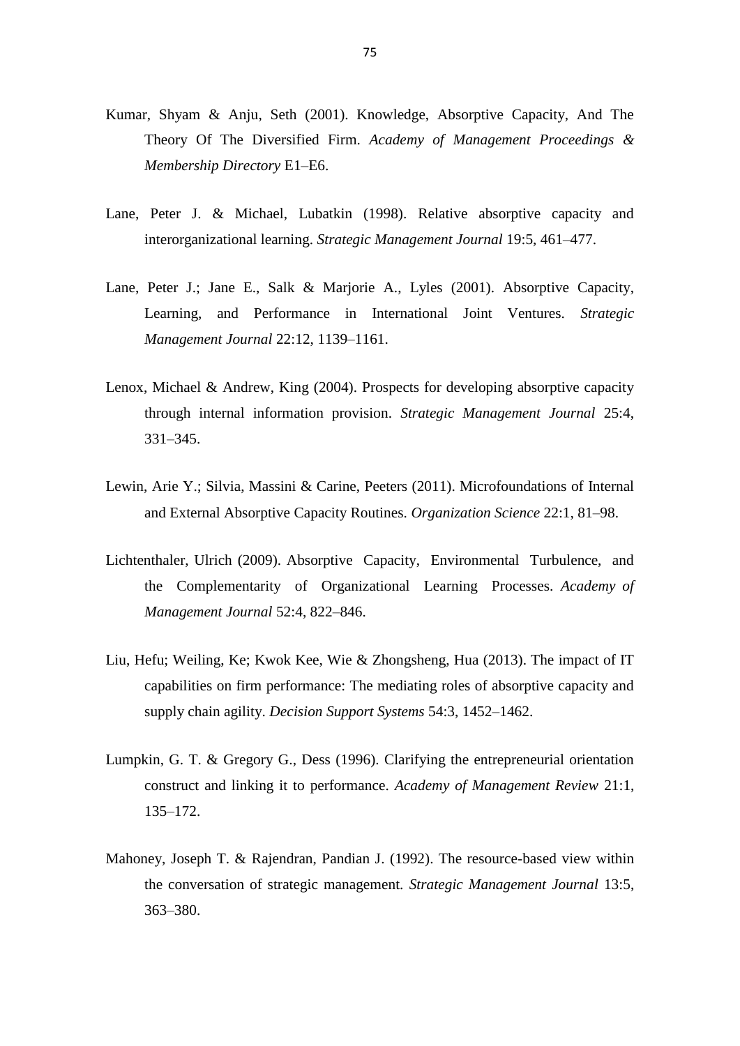- Kumar, Shyam & Anju, Seth (2001). Knowledge, Absorptive Capacity, And The Theory Of The Diversified Firm. *[Academy of Management Proceedings &](javascript:__doLinkPostBack()  [Membership Directory](javascript:__doLinkPostBack()* E1–E6.
- Lane, Peter J. & Michael, Lubatkin (1998). Relative absorptive capacity and interorganizational learning. *Strategic Management Journal* [19:5, 4](http://onlinelibrary.wiley.com/doi/10.1002/%28SICI%291097-0266%28199805%2919:5%3C%3E1.0.CO;2-R/issuetoc)61–477.
- Lane, Peter J.; Jane E., Salk & Marjorie A., Lyles (2001). Absorptive Capacity, Learning, and Performance in International Joint Ventures. *Strategic Management Journal* 22:12, 1139–1161.
- Lenox, Michael & Andrew, King (2004). Prospects for developing absorptive capacity through internal information provision. *Strategic Management Journal* 25:4, 331–345.
- Lewin, Arie Y.; Silvia, Massini & Carine, Peeters (2011). Microfoundations of Internal and External Absorptive Capacity Routines. *Organization Science* 22:1, 81–98.
- Lichtenthaler, Ulrich (2009). Absorptive Capacity, Environmental Turbulence, and the Complementarity of Organizational Learning Processes. *Academy of Management Journal* 52:4, 822–846.
- Liu, Hefu; Weiling, Ke; Kwok Kee, Wie & Zhongsheng, Hua (2013). The impact of IT capabilities on firm performance: The mediating roles of absorptive capacity and supply chain agility. *Decision Support Systems* 54:3, 1452–1462.
- Lumpkin, G. T. & Gregory G., Dess (1996). Clarifying the entrepreneurial orientation construct and linking it to performance. *Academy of Management Review* 21:1, 135–172.
- Mahoney, Joseph T. & Rajendran, Pandian J. (1992). The resource-based view within the conversation of strategic management. *Strategic Management Journal* [13:5,](http://onlinelibrary.wiley.com/doi/10.1002/smj.v13:5/issuetoc)  363–380.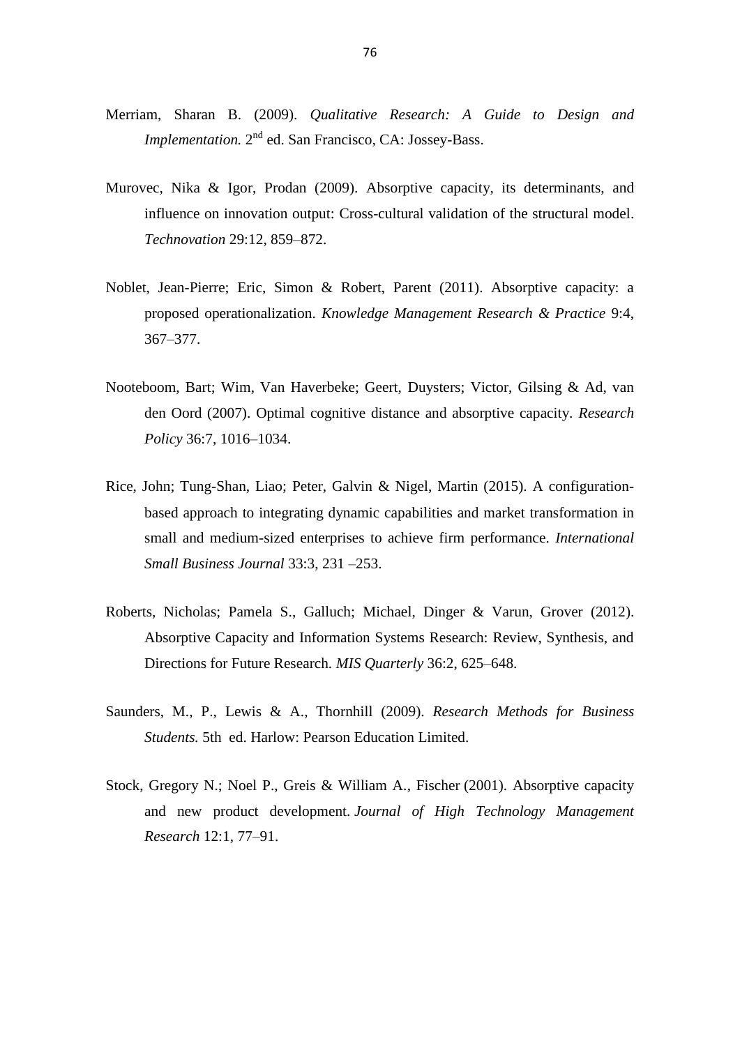- Merriam, Sharan B. (2009). *Qualitative Research: A Guide to Design and Implementation.* 2<sup>nd</sup> ed. San Francisco, CA: Jossey-Bass.
- Murovec, Nika & Igor, Prodan (2009). Absorptive capacity, its determinants, and influence on innovation output: Cross-cultural validation of the structural model. *Technovation* 29:12, 859–872.
- Noblet, Jean-Pierre; Eric, Simon & Robert, Parent (2011). Absorptive capacity: a proposed operationalization. *Knowledge Management Research & Practice* 9:4, 367–377.
- Nooteboom, Bart; Wim, Van Haverbeke; Geert, Duysters; Victor, Gilsing & Ad, van den Oord (2007). Optimal cognitive distance and absorptive capacity. *[Research](http://www.sciencedirect.com/science/journal/00487333)  [Policy](http://www.sciencedirect.com/science/journal/00487333)* [36:7,](http://www.sciencedirect.com/science/journal/00487333/36/7) 1016–1034.
- Rice, John; Tung-Shan, Liao; Peter, Galvin & Nigel, Martin (2015). A configurationbased approach to integrating dynamic capabilities and market transformation in small and medium-sized enterprises to achieve firm performance. *International Small Business Journal* 33:3, 231 –253.
- Roberts, Nicholas; Pamela S., Galluch; Michael, Dinger & Varun, Grover (2012). Absorptive Capacity and Information Systems Research: Review, Synthesis, and Directions for Future Research. *MIS Quarterly* 36:2, 625–648.
- Saunders, M., P., Lewis & A., Thornhill (2009). *Research Methods for Business Students.* 5th ed. Harlow: Pearson Education Limited.
- Stock, Gregory N.; Noel P., Greis & William A., Fischer (2001). [Absorptive capacity](http://connection.ebscohost.com/c/articles/5176713/absorptive-capacity-new-product-development)  [and new product development.](http://connection.ebscohost.com/c/articles/5176713/absorptive-capacity-new-product-development) *Journal of High Technology Management Research* 12:1, 77–91.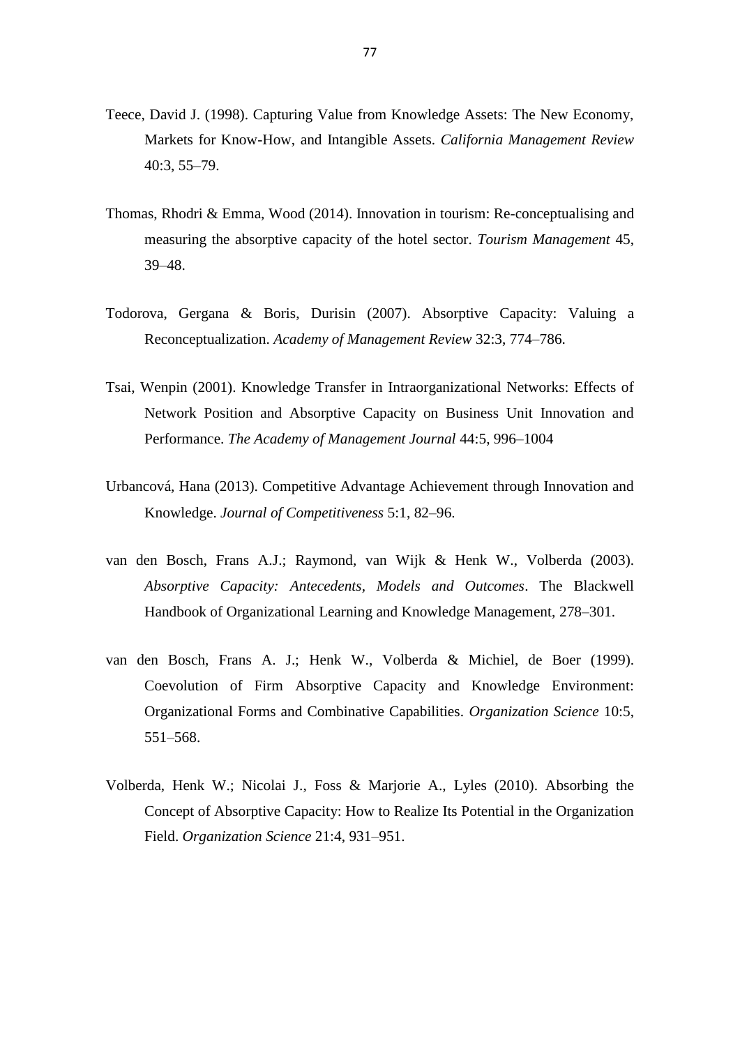- Teece, David J. (1998). Capturing Value from Knowledge Assets: The New Economy, Markets for Know-How, and Intangible Assets. *California Management Review*  40:3, 55–79.
- [Thomas,](http://www.sciencedirect.com/science/article/pii/S0261517714000673) Rhodri & Emma, [Wood](http://www.sciencedirect.com/science/article/pii/S0261517714000673) (2014). Innovation in tourism: Re-conceptualising and measuring the absorptive capacity of the hotel sector. *[Tourism Management](http://www.sciencedirect.com/science/journal/02615177)* [45,](http://www.sciencedirect.com/science/journal/02615177/45/supp/C) 39–48.
- Todorova, Gergana & Boris, Durisin (2007). Absorptive Capacity: Valuing a Reconceptualization. *Academy of Management Review* 32:3, 774–786.
- Tsai, Wenpin (2001). Knowledge Transfer in Intraorganizational Networks: Effects of Network Position and Absorptive Capacity on Business Unit Innovation and Performance. *The Academy of Management Journal* 44:5, 996–1004
- Urbancová, Hana (2013). Competitive Advantage Achievement through Innovation and Knowledge. *Journal of Competitiveness* 5:1, 82–96.
- van den Bosch, Frans A.J.; Raymond, van Wijk & Henk W., Volberda (2003). *Absorptive Capacity: Antecedents, Models and Outcomes*. The Blackwell Handbook of Organizational Learning and Knowledge Management, 278–301.
- van den Bosch, Frans A. J.; Henk W., Volberda & Michiel, de Boer (1999). Coevolution of Firm Absorptive Capacity and Knowledge Environment: Organizational Forms and Combinative Capabilities. *Organization Science* 10:5, 551–568.
- Volberda, Henk W.; Nicolai J., Foss & Marjorie A., Lyles (2010). Absorbing the Concept of Absorptive Capacity: How to Realize Its Potential in the Organization Field. *Organization Science* 21:4, 931–951.